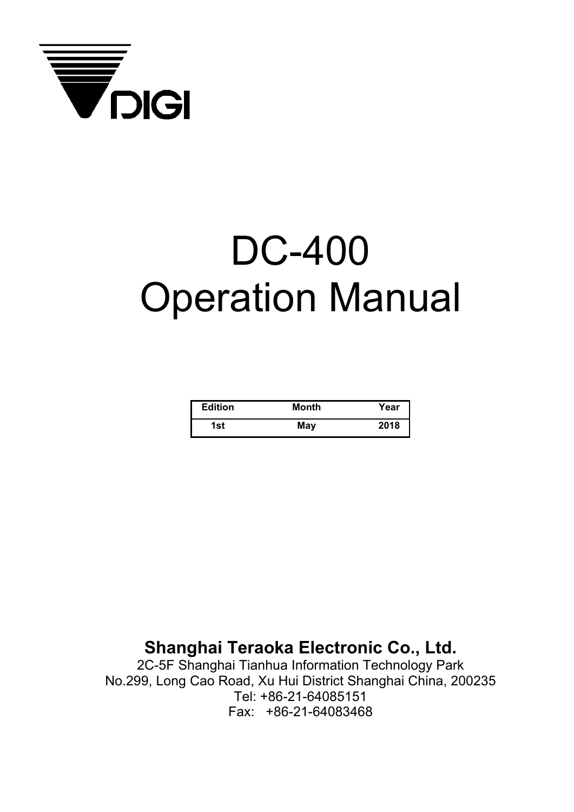

# DC-400 Operation Manual

| <b>Edition</b> | Month | Year |
|----------------|-------|------|
| 1st            | May   | 2018 |

**Shanghai Teraoka Electronic Co., Ltd.** 

2C-5F Shanghai Tianhua Information Technology Park No.299, Long Cao Road, Xu Hui District Shanghai China, 200235 Tel: +86-21-64085151 Fax: +86-21-64083468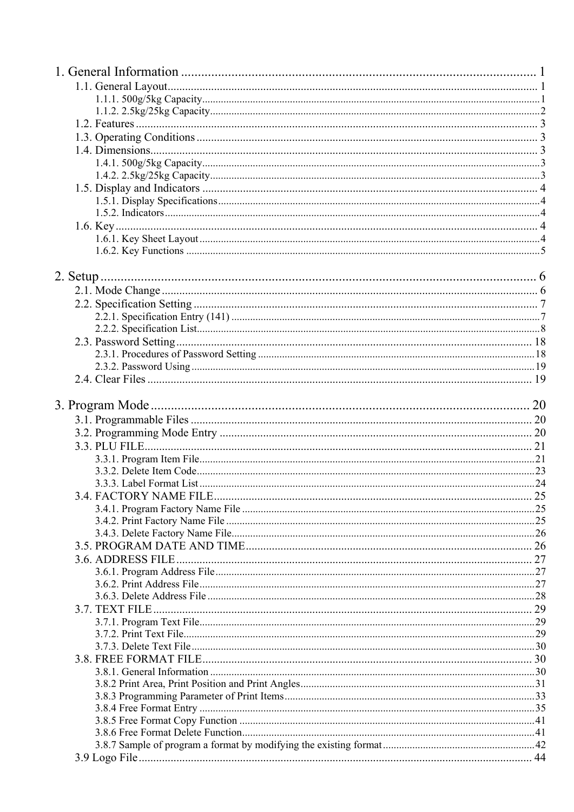|  | $\ldots$ 25 |
|--|-------------|
|  |             |
|  |             |
|  |             |
|  |             |
|  |             |
|  |             |
|  |             |
|  |             |
|  |             |
|  |             |
|  |             |
|  |             |
|  |             |
|  |             |
|  |             |
|  |             |
|  |             |
|  |             |
|  |             |
|  |             |
|  |             |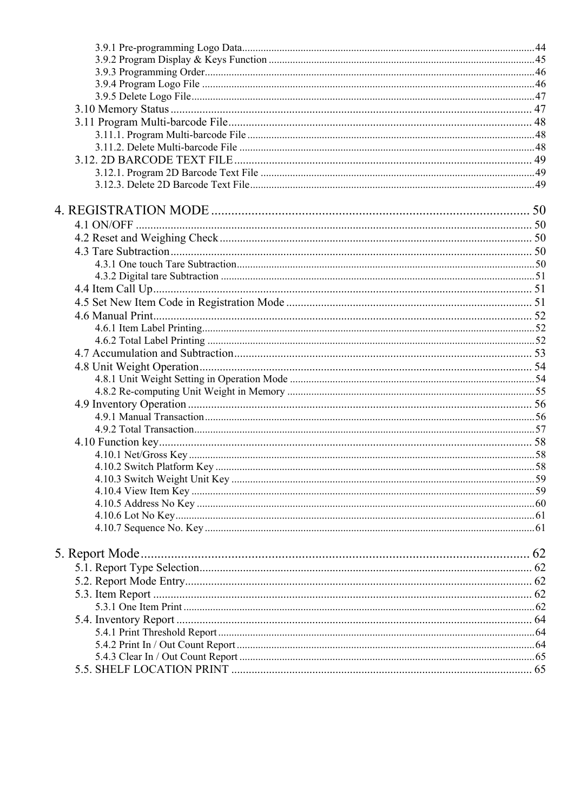| 5. Report Mode. |  |
|-----------------|--|
|                 |  |
|                 |  |
|                 |  |
|                 |  |
|                 |  |
|                 |  |
|                 |  |
|                 |  |
|                 |  |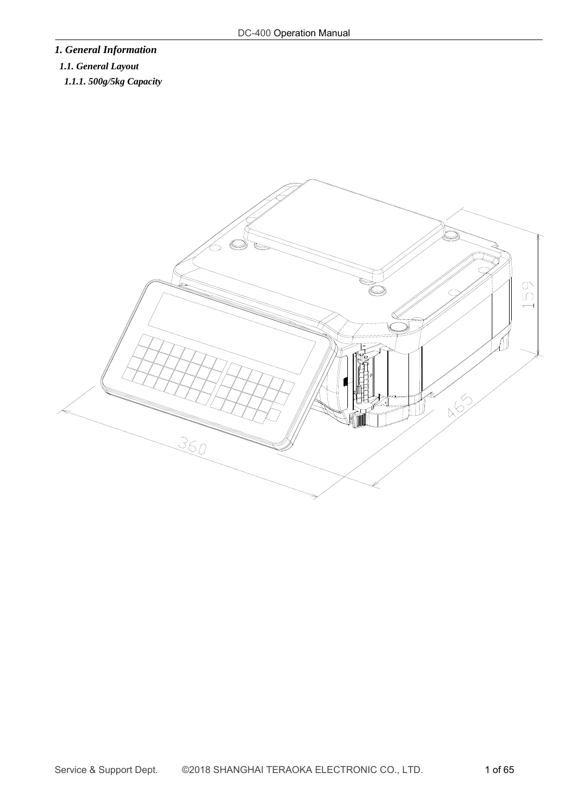# *1. General Information*

# *1.1. General Layout*

*1.1.1. 500g/5kg Capacity* 

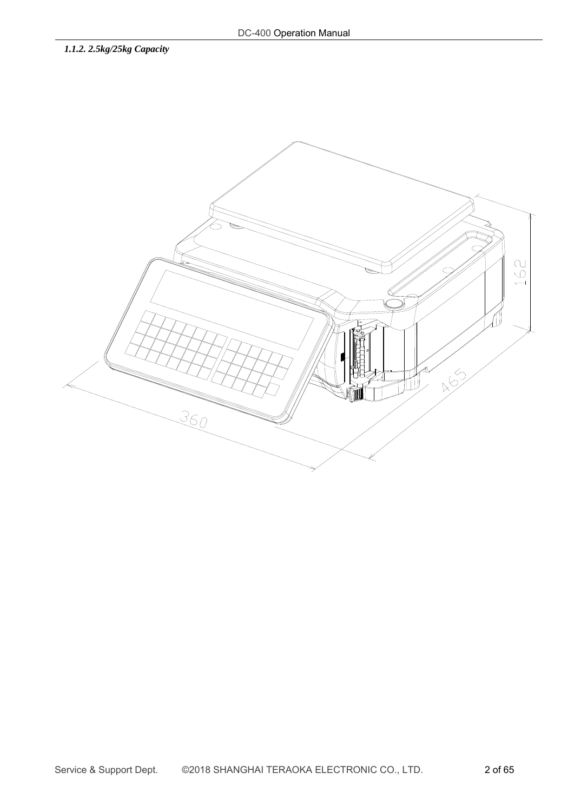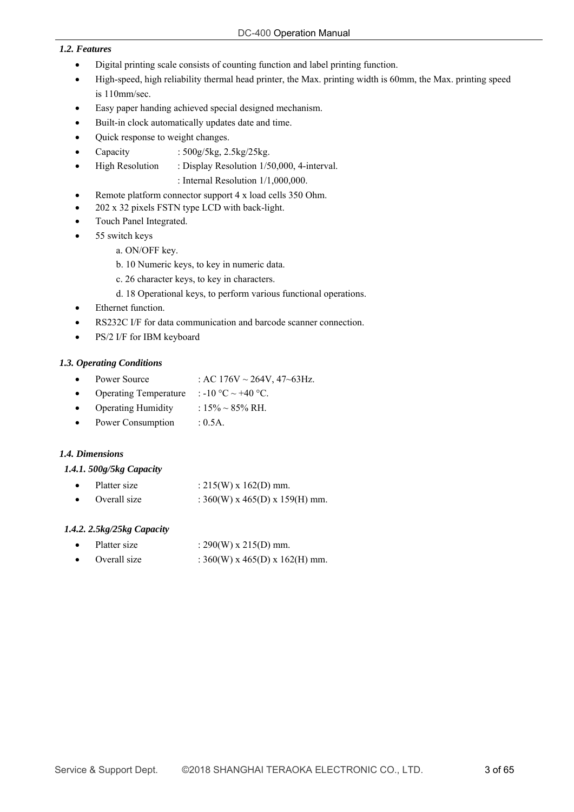#### *1.2. Features*

- Digital printing scale consists of counting function and label printing function.
- High-speed, high reliability thermal head printer, the Max. printing width is 60mm, the Max. printing speed is 110mm/sec.
- Easy paper handing achieved special designed mechanism.
- Built-in clock automatically updates date and time.
- Quick response to weight changes.
	- Capacity : 500g/5kg, 2.5kg/25kg.
- High Resolution : Display Resolution 1/50,000, 4-interval.

: Internal Resolution 1/1,000,000.

- Remote platform connector support 4 x load cells 350 Ohm.
- 202 x 32 pixels FSTN type LCD with back-light.
- Touch Panel Integrated.
- 55 switch keys
	- a. ON/OFF key.
		- b. 10 Numeric keys, to key in numeric data.
		- c. 26 character keys, to key in characters.
		- d. 18 Operational keys, to perform various functional operations.
- Ethernet function.
- RS232C I/F for data communication and barcode scanner connection.
- PS/2 I/F for IBM keyboard

#### *1.3. Operating Conditions*

- Power Source : AC  $176V \sim 264V$ ,  $47 \sim 63Hz$ .
- Operating Temperature : -10 °C ~ +40 °C.
- Operating Humidity :  $15\% \sim 85\% \text{ RH}.$
- Power Consumption : 0.5A.

#### *1.4. Dimensions*

#### *1.4.1. 500g/5kg Capacity*

- Platter size  $: 215(W) \times 162(D)$  mm.
- Overall size :  $360(W)$  x 465(D) x 159(H) mm.

#### *1.4.2. 2.5kg/25kg Capacity*

|  | Platter size | : $290(W) \times 215(D)$ mm. |
|--|--------------|------------------------------|
|--|--------------|------------------------------|

Overall size :  $360(W)$  x 465(D) x 162(H) mm.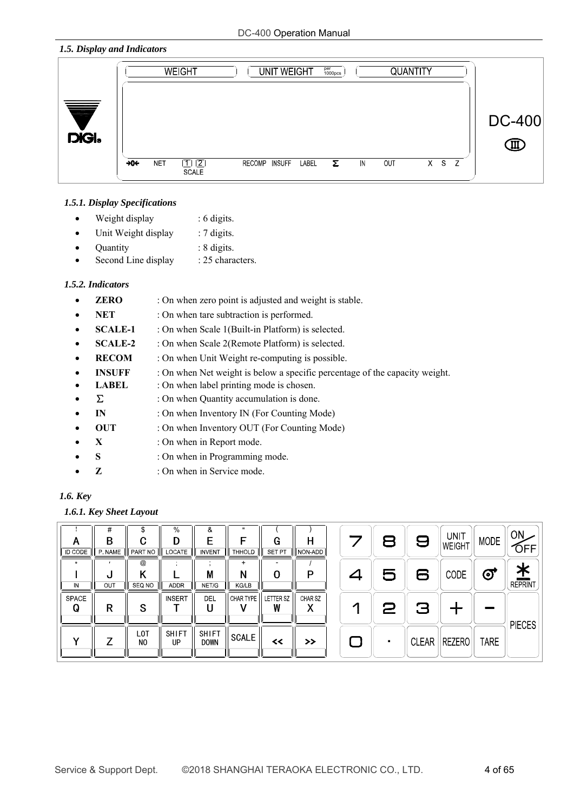#### *1.5. Display and Indicators*



#### *1.5.1. Display Specifications*

- Weight display : 6 digits.
- Unit Weight display : 7 digits.
- Quantity : 8 digits.
- Second Line display : 25 characters.

#### *1.5.2. Indicators*

- **ERO** : On when zero point is adjusted and weight is stable.
- NET : On when tare subtraction is performed.
- **SCALE-1** : On when Scale 1(Built-in Platform) is selected.
- **SCALE-2** : On when Scale 2(Remote Platform) is selected.
- **RECOM** : On when Unit Weight re-computing is possible.
- **INSUFF** : On when Net weight is below a specific percentage of the capacity weight.
- **LABEL** : On when label printing mode is chosen.
- $\Sigma$  : On when Quantity accumulation is done.
- **IN** : On when Inventory IN (For Counting Mode)
- **OUT** : On when Inventory OUT (For Counting Mode)
- **X** : On when in Report mode.
- **S** : On when in Programming mode.
- **Z** : On when in Service mode.

# *1.6. Key*

#### *1.6.1. Key Sheet Layout*

| A<br><b>ID CODE</b> | #<br>В<br>P NAME | \$<br>C<br>ι,<br>PART NO           | $\%$<br>D<br>LOCATE | &<br><b>INVENT</b>          | $\mathbf{u}$<br>F<br><b>THHOLD</b> | G<br><b>SET PT</b>    | н<br>NON-ADD  |  | 8 | 9 | <b>UNIT</b><br>WEIGHT | <b>MODE</b> | ON.<br>OFF                 |
|---------------------|------------------|------------------------------------|---------------------|-----------------------------|------------------------------------|-----------------------|---------------|--|---|---|-----------------------|-------------|----------------------------|
| IN                  | u<br>OUT         | $^{\circledR}$<br>SEQ NO           | <b>ADDR</b>         | M<br>NET/G                  | $\ddot{}$<br>N<br><b>KG/LB</b>     | 0                     | P             |  | 5 | 6 | CODE                  | €           | <u>*</u><br><b>REPRINT</b> |
| SPACE<br>Q          | R                | S                                  | <b>INSERT</b>       | DEL                         | CHAR TYPE                          | <b>LETTER SZ</b><br>W | CHAR SZ       |  | 2 | 3 |                       |             | <b>PIECES</b>              |
| v                   |                  | L <sub>0</sub> T<br>N <sub>0</sub> | <b>SHIFT</b><br>UP  | <b>SHIFT</b><br><b>DOWN</b> | <b>SCALE</b>                       | $\prec$               | $\rightarrow$ |  | п |   | CLEAR   REZERO        | <b>TARE</b> |                            |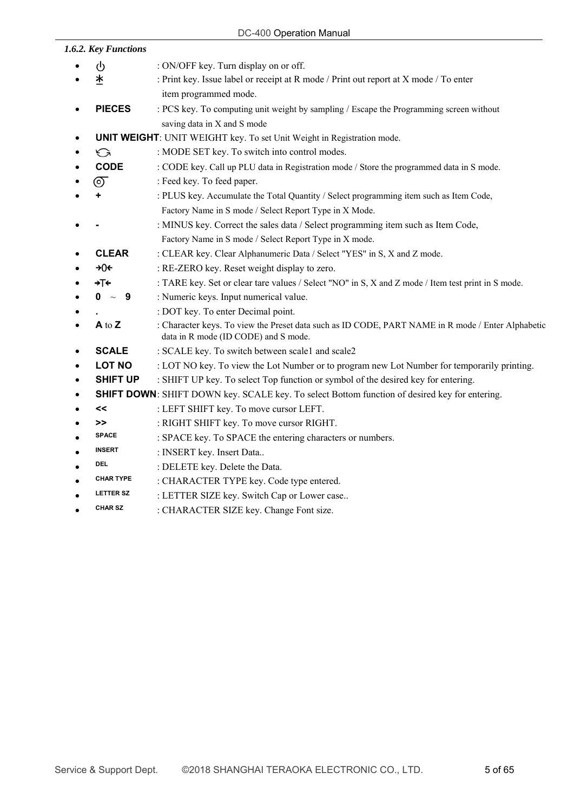#### DC-400 Operation Manual

| 1.6.2. Key Functions |                                                                                                                                           |
|----------------------|-------------------------------------------------------------------------------------------------------------------------------------------|
| ტ                    | : ON/OFF key. Turn display on or off.                                                                                                     |
| *                    | : Print key. Issue label or receipt at R mode / Print out report at X mode / To enter                                                     |
|                      | item programmed mode.                                                                                                                     |
| <b>PIECES</b>        | : PCS key. To computing unit weight by sampling / Escape the Programming screen without                                                   |
|                      | saving data in X and S mode                                                                                                               |
|                      | <b>UNIT WEIGHT:</b> UNIT WEIGHT key. To set Unit Weight in Registration mode.                                                             |
| ⊖                    | : MODE SET key. To switch into control modes.                                                                                             |
| <b>CODE</b>          | : CODE key. Call up PLU data in Registration mode / Store the programmed data in S mode.                                                  |
| で                    | : Feed key. To feed paper.                                                                                                                |
| ٠                    | : PLUS key. Accumulate the Total Quantity / Select programming item such as Item Code,                                                    |
|                      | Factory Name in S mode / Select Report Type in X Mode.                                                                                    |
|                      | : MINUS key. Correct the sales data / Select programming item such as Item Code,                                                          |
|                      | Factory Name in S mode / Select Report Type in X mode.                                                                                    |
| <b>CLEAR</b>         | : CLEAR key. Clear Alphanumeric Data / Select "YES" in S, X and Z mode.                                                                   |
| +0€                  | : RE-ZERO key. Reset weight display to zero.                                                                                              |
| ÷⊺≮                  | : TARE key. Set or clear tare values / Select "NO" in S, X and Z mode / Item test print in S mode.                                        |
| $0 \sim$<br>$_{9}$   | : Numeric keys. Input numerical value.                                                                                                    |
|                      | : DOT key. To enter Decimal point.                                                                                                        |
| A to Z               | : Character keys. To view the Preset data such as ID CODE, PART NAME in R mode / Enter Alphabetic<br>data in R mode (ID CODE) and S mode. |
| <b>SCALE</b>         | : SCALE key. To switch between scale1 and scale2                                                                                          |
| <b>LOT NO</b>        | : LOT NO key. To view the Lot Number or to program new Lot Number for temporarily printing.                                               |
| <b>SHIFT UP</b>      | : SHIFT UP key. To select Top function or symbol of the desired key for entering.                                                         |
|                      | <b>SHIFT DOWN:</b> SHIFT DOWN key. SCALE key. To select Bottom function of desired key for entering.                                      |
| <<                   | : LEFT SHIFT key. To move cursor LEFT.                                                                                                    |
| >>                   | : RIGHT SHIFT key. To move cursor RIGHT.                                                                                                  |
| SPACE                | : SPACE key. To SPACE the entering characters or numbers.                                                                                 |
| <b>INSERT</b>        | : INSERT key. Insert Data                                                                                                                 |
| <b>DEL</b>           | : DELETE key. Delete the Data.                                                                                                            |
| <b>CHAR TYPE</b>     | : CHARACTER TYPE key. Code type entered.                                                                                                  |
| <b>LETTER SZ</b>     | : LETTER SIZE key. Switch Cap or Lower case                                                                                               |

**CHAR SZ** : CHARACTER SIZE key. Change Font size.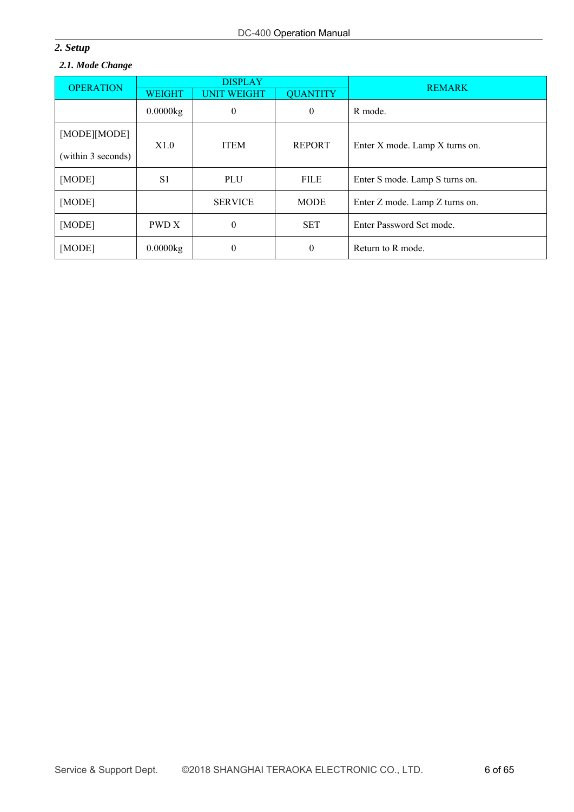# *2. Setup*

# *2.1. Mode Change*

| <b>OPERATION</b>                   |                | <b>DISPLAY</b>     |                 | <b>REMARK</b>                  |  |
|------------------------------------|----------------|--------------------|-----------------|--------------------------------|--|
|                                    | <b>WEIGHT</b>  | <b>UNIT WEIGHT</b> | <b>QUANTITY</b> |                                |  |
|                                    | 0.0000kg       | $\theta$           | 0               | R mode.                        |  |
| [MODE][MODE]<br>(within 3 seconds) | X1.0           | <b>ITEM</b>        | <b>REPORT</b>   | Enter X mode. Lamp X turns on. |  |
| [MODE]                             | S <sub>1</sub> | PLU                | <b>FILE</b>     | Enter S mode. Lamp S turns on. |  |
| [MODE]                             |                | <b>SERVICE</b>     | <b>MODE</b>     | Enter Z mode. Lamp Z turns on. |  |
| [MODE]                             | PWD X          | $\theta$           | <b>SET</b>      | Enter Password Set mode.       |  |
| [MODE]                             | 0.0000kg       | $\theta$           | $\theta$        | Return to R mode.              |  |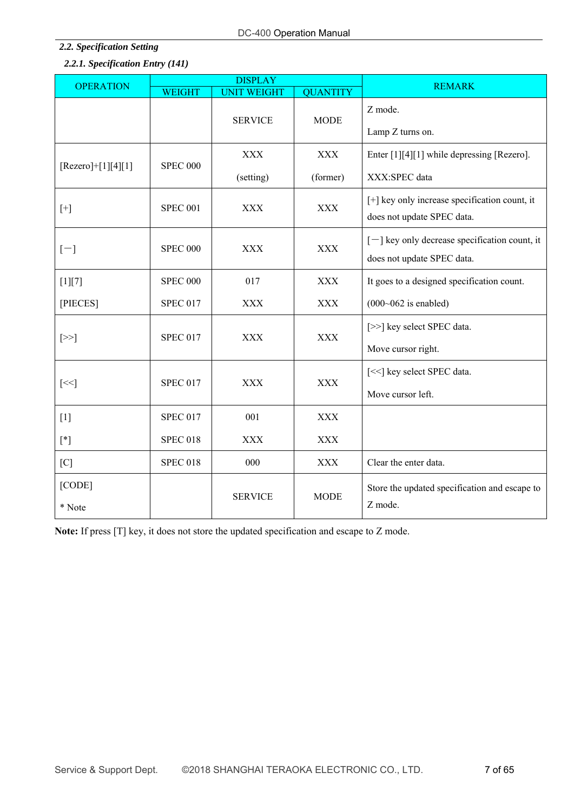# DC-400 Operation Manual

# *2.2. Specification Setting 2.2.1. Specification Entry (141)*

| <b>OPERATION</b>     |                 | <b>DISPLAY</b>     | <b>REMARK</b>   |                                                                               |
|----------------------|-----------------|--------------------|-----------------|-------------------------------------------------------------------------------|
|                      | <b>WEIGHT</b>   | <b>UNIT WEIGHT</b> | <b>QUANTITY</b> |                                                                               |
|                      |                 | <b>SERVICE</b>     | <b>MODE</b>     | Z mode.<br>Lamp Z turns on.                                                   |
|                      |                 |                    |                 |                                                                               |
| $[Rezero]+[1][4][1]$ | <b>SPEC 000</b> | <b>XXX</b>         | <b>XXX</b>      | Enter [1][4][1] while depressing [Rezero].                                    |
|                      |                 | (setting)          | (former)        | XXX:SPEC data                                                                 |
| $[+]$                | <b>SPEC 001</b> | <b>XXX</b>         | <b>XXX</b>      | [+] key only increase specification count, it<br>does not update SPEC data.   |
| $[-]$                | <b>SPEC 000</b> | XXX                | <b>XXX</b>      | $[-]$ key only decrease specification count, it<br>does not update SPEC data. |
| $[1][7]$             | <b>SPEC 000</b> | 017                | <b>XXX</b>      | It goes to a designed specification count.                                    |
| [PIECES]             | <b>SPEC 017</b> | <b>XXX</b>         | <b>XXX</b>      | $(000~062$ is enabled)                                                        |
| $[\geq>]$            | <b>SPEC 017</b> | <b>XXX</b>         | <b>XXX</b>      | [>>] key select SPEC data.                                                    |
|                      |                 |                    |                 | Move cursor right.                                                            |
| $[\leq$ $]$          | <b>SPEC 017</b> | <b>XXX</b>         | <b>XXX</b>      | [<<] key select SPEC data.                                                    |
|                      |                 |                    |                 | Move cursor left.                                                             |
| $[1]$                | <b>SPEC 017</b> | 001                | <b>XXX</b>      |                                                                               |
| $[ * ]$              | <b>SPEC 018</b> | <b>XXX</b>         | <b>XXX</b>      |                                                                               |
| [C]                  | <b>SPEC 018</b> | 000                | <b>XXX</b>      | Clear the enter data.                                                         |
| [CODE]               |                 |                    | <b>MODE</b>     | Store the updated specification and escape to                                 |
| * Note               |                 | <b>SERVICE</b>     |                 | Z mode.                                                                       |

**Note:** If press [T] key, it does not store the updated specification and escape to Z mode.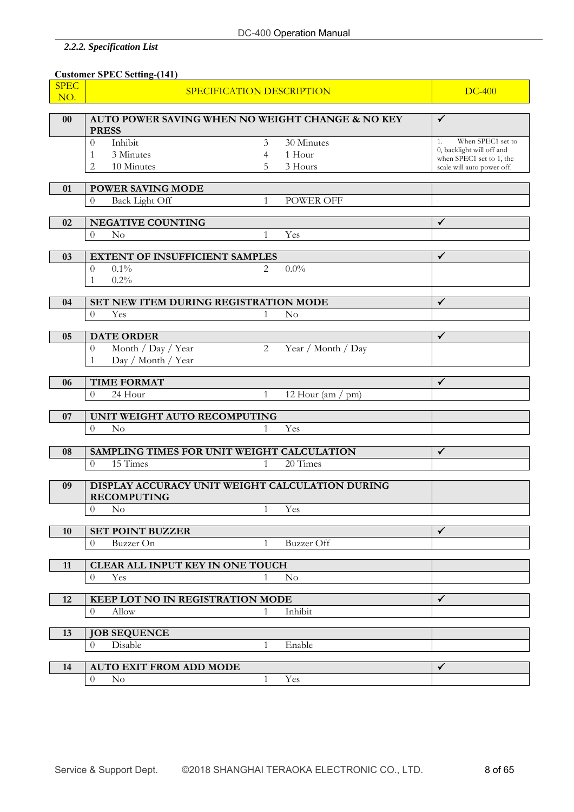# *2.2.2. Specification List*

|             | <b>Customer SPEC Setting-(141)</b>                               |                |                    |                                                       |
|-------------|------------------------------------------------------------------|----------------|--------------------|-------------------------------------------------------|
| <b>SPEC</b> | SPECIFICATION DESCRIPTION                                        |                |                    | DC-400                                                |
| NO.         |                                                                  |                |                    |                                                       |
| $00\,$      | AUTO POWER SAVING WHEN NO WEIGHT CHANGE & NO KEY<br><b>PRESS</b> |                |                    | ✓                                                     |
|             | Inhibit<br>$\Omega$                                              | 3              | 30 Minutes         | When SPEC1 set to<br>1.                               |
|             | 3 Minutes<br>1                                                   | 4              | 1 Hour             | 0, backlight will off and<br>when SPEC1 set to 1, the |
|             | 10 Minutes<br>2                                                  | 5.             | 3 Hours            | scale will auto power off.                            |
| 01          | <b>POWER SAVING MODE</b>                                         |                |                    |                                                       |
|             | Back Light Off<br>$\Omega$                                       | $\mathbf{1}$   | <b>POWER OFF</b>   | $\cdot$                                               |
|             |                                                                  |                |                    |                                                       |
| 02          | <b>NEGATIVE COUNTING</b>                                         |                |                    | ✓                                                     |
|             | No<br>$\theta$                                                   | $\mathbf{1}$   | Yes                |                                                       |
| 03          | <b>EXTENT OF INSUFFICIENT SAMPLES</b>                            |                |                    | ✓                                                     |
|             | $0.1\%$<br>$\theta$                                              | 2              | $0.0\%$            |                                                       |
|             | 0.2%<br>1                                                        |                |                    |                                                       |
| 04          | SET NEW ITEM DURING REGISTRATION MODE                            |                |                    | $\checkmark$                                          |
|             | $\theta$<br>Yes                                                  | 1              | $\rm No$           |                                                       |
|             |                                                                  |                |                    |                                                       |
| 05          | <b>DATE ORDER</b>                                                |                |                    | $\checkmark$                                          |
|             | Month / Day / Year<br>$\theta$                                   | $\overline{2}$ | Year / Month / Day |                                                       |
|             | Day / Month / Year<br>$\mathbf{1}$                               |                |                    |                                                       |
| 06          | <b>TIME FORMAT</b>                                               |                |                    | ✓                                                     |
|             | $\theta$<br>24 Hour                                              | $\mathbf{1}$   | 12 Hour (am / pm)  |                                                       |
|             |                                                                  |                |                    |                                                       |
| 07          | UNIT WEIGHT AUTO RECOMPUTING<br>$\theta$<br>No                   | 1              | Yes                |                                                       |
|             |                                                                  |                |                    |                                                       |
| 08          | SAMPLING TIMES FOR UNIT WEIGHT CALCULATION                       |                |                    | ✓                                                     |
|             | 15 Times<br>$\theta$                                             | 1              | 20 Times           |                                                       |
| 09          | DISPLAY ACCURACY UNIT WEIGHT CALCULATION DURING                  |                |                    |                                                       |
|             | <b>RECOMPUTING</b>                                               |                |                    |                                                       |
|             | $\Omega$<br>$\rm No$                                             | $\mathbf{1}$   | Yes                |                                                       |
|             |                                                                  |                |                    |                                                       |
| <b>10</b>   | <b>SET POINT BUZZER</b>                                          | $\mathbf{1}$   | <b>Buzzer</b> Off  | ✓                                                     |
|             | Buzzer On<br>$\Omega$                                            |                |                    |                                                       |
| 11          | <b>CLEAR ALL INPUT KEY IN ONE TOUCH</b>                          |                |                    |                                                       |
|             | $\theta$<br>Yes                                                  | $\mathbf{1}$   | No                 |                                                       |
|             |                                                                  |                |                    | ✓                                                     |
| 12          | KEEP LOT NO IN REGISTRATION MODE<br>Allow<br>$\Omega$            | 1              | Inhibit            |                                                       |
|             |                                                                  |                |                    |                                                       |
| 13          | <b>JOB SEQUENCE</b>                                              |                |                    |                                                       |
|             | Disable<br>$\theta$                                              | $\mathbf{1}$   | Enable             |                                                       |
| 14          | <b>AUTO EXIT FROM ADD MODE</b>                                   |                |                    | ✓                                                     |
|             | $\theta$<br>$\rm No$                                             | $\mathbf{1}$   | Yes                |                                                       |
|             |                                                                  |                |                    |                                                       |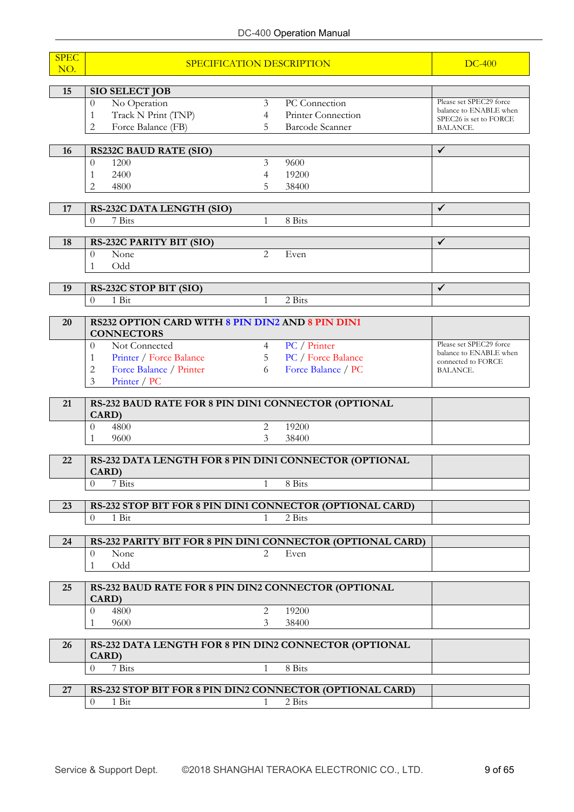| <b>SPEC</b><br>NO. | SPECIFICATION DESCRIPTION                                             |                |                           | <b>DC-400</b>                                    |
|--------------------|-----------------------------------------------------------------------|----------------|---------------------------|--------------------------------------------------|
| 15                 | <b>SIO SELECT JOB</b>                                                 |                |                           |                                                  |
|                    | No Operation<br>$\theta$                                              | $\overline{3}$ | PC Connection             | Please set SPEC29 force                          |
|                    | Track N Print (TNP)<br>$\mathbf{1}$                                   | 4              | Printer Connection        | balance to ENABLE when<br>SPEC26 is set to FORCE |
|                    | $\overline{2}$<br>Force Balance (FB)                                  | 5              | Barcode Scanner           | BALANCE.                                         |
|                    |                                                                       |                |                           |                                                  |
| 16                 | <b>RS232C BAUD RATE (SIO)</b>                                         |                |                           | $\checkmark$                                     |
|                    | $\overline{0}$<br>1200                                                | 3              | 9600                      |                                                  |
|                    | 2400<br>1                                                             | 4              | 19200                     |                                                  |
|                    | 2<br>4800                                                             | 5              | 38400                     |                                                  |
| 17                 | RS-232C DATA LENGTH (SIO)                                             |                |                           | ✓                                                |
|                    | $\boldsymbol{0}$<br>7 Bits                                            | 1              | 8 Bits                    |                                                  |
|                    |                                                                       |                |                           |                                                  |
| 18                 | RS-232C PARITY BIT (SIO)                                              |                |                           | $\checkmark$                                     |
|                    | $\overline{0}$<br>None                                                | 2              | Even                      |                                                  |
|                    | Odd<br>1                                                              |                |                           |                                                  |
| 19                 | RS-232C STOP BIT (SIO)                                                |                |                           | $\checkmark$                                     |
|                    | 1 Bit<br>$\overline{0}$                                               | $\mathbf{1}$   | 2 Bits                    |                                                  |
|                    |                                                                       |                |                           |                                                  |
| 20                 | RS232 OPTION CARD WITH 8 PIN DIN2 AND 8 PIN DIN1<br><b>CONNECTORS</b> |                |                           |                                                  |
|                    | Not Connected<br>$\Omega$                                             | $\overline{4}$ | PC / Printer              | Please set SPEC29 force                          |
|                    | Printer / Force Balance<br>1                                          | 5              | <b>PC</b> / Force Balance | balance to ENABLE when<br>connected to FORCE     |
|                    | 2<br>Force Balance / Printer                                          | 6              | Force Balance / PC        | BALANCE.                                         |
|                    | $\overline{3}$<br>Printer / PC                                        |                |                           |                                                  |
| 21                 | RS-232 BAUD RATE FOR 8 PIN DIN1 CONNECTOR (OPTIONAL                   |                |                           |                                                  |
|                    | CARD)                                                                 |                |                           |                                                  |
|                    | $\theta$<br>4800                                                      | 2              | 19200                     |                                                  |
|                    | 9600<br>$\mathbf{1}$                                                  | 3              | 38400                     |                                                  |
| 22                 | RS-232 DATA LENGTH FOR 8 PIN DIN1 CONNECTOR (OPTIONAL<br>CARD)        |                |                           |                                                  |
|                    | $\theta$<br>7 Bits                                                    | 1              | 8 Bits                    |                                                  |
|                    |                                                                       |                |                           |                                                  |
| 23                 | RS-232 STOP BIT FOR 8 PIN DIN1 CONNECTOR (OPTIONAL CARD)              |                |                           |                                                  |
|                    | 1 Bit<br>$\theta$                                                     | 1              | 2 Bits                    |                                                  |
| 24                 | RS-232 PARITY BIT FOR 8 PIN DIN1 CONNECTOR (OPTIONAL CARD)            |                |                           |                                                  |
|                    | None<br>$\theta$                                                      | 2              | Even                      |                                                  |
|                    | Odd<br>1                                                              |                |                           |                                                  |
| 25                 | RS-232 BAUD RATE FOR 8 PIN DIN2 CONNECTOR (OPTIONAL<br>CARD)          |                |                           |                                                  |
|                    | 4800<br>$\theta$                                                      | 2              | 19200                     |                                                  |
|                    | 9600<br>1                                                             | 3              | 38400                     |                                                  |
| 26                 | RS-232 DATA LENGTH FOR 8 PIN DIN2 CONNECTOR (OPTIONAL<br>CARD)        |                |                           |                                                  |
|                    | $\theta$<br>7 Bits                                                    | 1              | 8 Bits                    |                                                  |
|                    |                                                                       |                |                           |                                                  |
| 27                 | RS-232 STOP BIT FOR 8 PIN DIN2 CONNECTOR (OPTIONAL CARD)              |                |                           |                                                  |
|                    | $\theta$<br>1 Bit                                                     | 1              | 2 Bits                    |                                                  |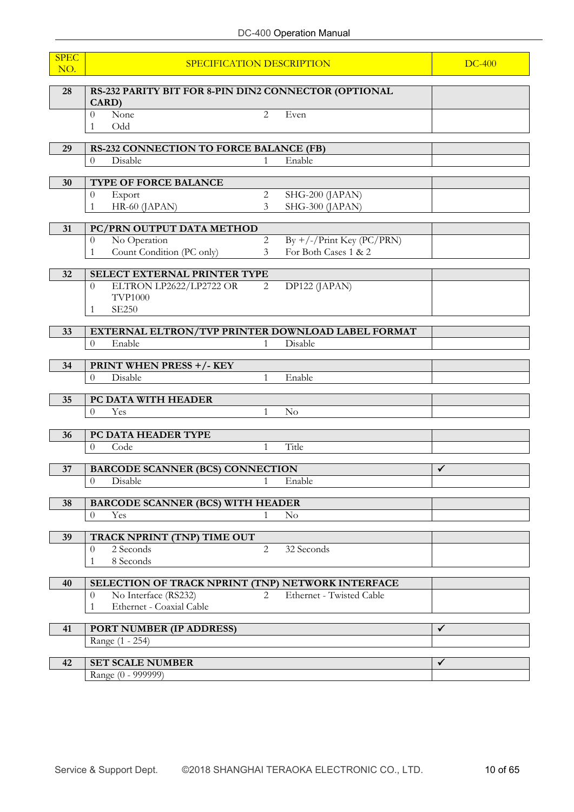| <b>SPEC</b><br>NO. | SPECIFICATION DESCRIPTION                                             | <b>DC-400</b>  |                                                     |              |
|--------------------|-----------------------------------------------------------------------|----------------|-----------------------------------------------------|--------------|
| 28                 | RS-232 PARITY BIT FOR 8-PIN DIN2 CONNECTOR (OPTIONAL<br>CARD)         |                |                                                     |              |
|                    | None<br>$\theta$<br>Odd<br>1                                          | 2              | Even                                                |              |
| 29                 | <b>RS-232 CONNECTION TO FORCE BALANCE (FB)</b>                        |                |                                                     |              |
|                    | Disable<br>$\theta$                                                   | 1              | Enable                                              |              |
| 30                 | TYPE OF FORCE BALANCE                                                 |                |                                                     |              |
|                    | Export<br>$\theta$                                                    | $\overline{c}$ | SHG-200 (JAPAN)                                     |              |
|                    | HR-60 (JAPAN)<br>1                                                    | 3              | SHG-300 (JAPAN)                                     |              |
|                    |                                                                       |                |                                                     |              |
| 31                 | PC/PRN OUTPUT DATA METHOD                                             | $\overline{c}$ |                                                     |              |
|                    | No Operation<br>$\theta$<br>Count Condition (PC only)<br>$\mathbf{1}$ | 3              | $By +/-/Print Key (PC/PRN)$<br>For Both Cases 1 & 2 |              |
|                    |                                                                       |                |                                                     |              |
| 32                 | SELECT EXTERNAL PRINTER TYPE                                          |                |                                                     |              |
|                    | ELTRON LP2622/LP2722 OR<br>$\theta$                                   | 2              | DP122 (JAPAN)                                       |              |
|                    | <b>TVP1000</b><br><b>SE250</b><br>1                                   |                |                                                     |              |
|                    |                                                                       |                |                                                     |              |
| 33                 | EXTERNAL ELTRON/TVP PRINTER DOWNLOAD LABEL FORMAT                     |                |                                                     |              |
|                    | Enable<br>$\theta$                                                    | 1              | Disable                                             |              |
| 34                 | <b>PRINT WHEN PRESS +/- KEY</b>                                       |                |                                                     |              |
|                    | Disable<br>$\theta$                                                   | $\mathbf{1}$   | Enable                                              |              |
|                    |                                                                       |                |                                                     |              |
| 35                 | PC DATA WITH HEADER                                                   |                |                                                     |              |
|                    | $\theta$<br>Yes                                                       | 1              | $\rm No$                                            |              |
| 36                 | PC DATA HEADER TYPE                                                   |                |                                                     |              |
|                    | Code<br>$\theta$                                                      | $\mathbf{1}$   | Title                                               |              |
|                    |                                                                       |                |                                                     |              |
| 37                 | <b>BARCODE SCANNER (BCS) CONNECTION</b>                               |                |                                                     | ✓            |
|                    | $\boldsymbol{0}$<br>Disable                                           |                | Enable                                              |              |
| 38                 | <b>BARCODE SCANNER (BCS) WITH HEADER</b>                              |                |                                                     |              |
|                    | $\overline{0}$<br>Yes                                                 | $\mathbf{1}$   | $\rm No$                                            |              |
|                    |                                                                       |                |                                                     |              |
| 39                 | TRACK NPRINT (TNP) TIME OUT<br>2 Seconds                              | 2              | 32 Seconds                                          |              |
|                    | $\theta$<br>8 Seconds<br>1                                            |                |                                                     |              |
|                    |                                                                       |                |                                                     |              |
| 40                 | SELECTION OF TRACK NPRINT (TNP) NETWORK INTERFACE                     |                |                                                     |              |
|                    | No Interface (RS232)<br>$\theta$                                      | $\overline{2}$ | Ethernet - Twisted Cable                            |              |
|                    | Ethernet - Coaxial Cable<br>1                                         |                |                                                     |              |
| 41                 | PORT NUMBER (IP ADDRESS)                                              |                |                                                     | $\checkmark$ |
|                    | Range (1 - 254)                                                       |                |                                                     |              |
|                    |                                                                       |                |                                                     |              |
| 42                 | <b>SET SCALE NUMBER</b>                                               |                |                                                     | $\checkmark$ |
|                    | Range (0 - 999999)                                                    |                |                                                     |              |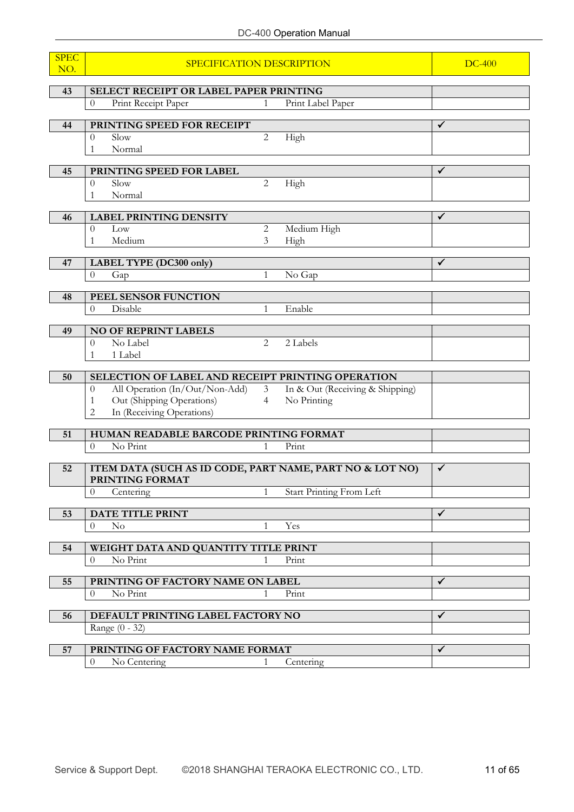| <b>SPEC</b><br>NO. | SPECIFICATION DESCRIPTION                                                   |                | <b>DC-400</b>                   |              |
|--------------------|-----------------------------------------------------------------------------|----------------|---------------------------------|--------------|
|                    |                                                                             |                |                                 |              |
| 43                 | SELECT RECEIPT OR LABEL PAPER PRINTING<br>Print Receipt Paper<br>$\Omega$   | $\mathbf{1}$   | Print Label Paper               |              |
|                    |                                                                             |                |                                 |              |
| 44                 | PRINTING SPEED FOR RECEIPT                                                  |                |                                 | $\checkmark$ |
|                    | Slow<br>0<br>Normal<br>1                                                    | 2              | High                            |              |
|                    |                                                                             |                |                                 |              |
| 45                 | PRINTING SPEED FOR LABEL                                                    |                |                                 | $\checkmark$ |
|                    | Slow<br>$\theta$                                                            | $\overline{2}$ | High                            |              |
|                    | Normal<br>1                                                                 |                |                                 |              |
| 46                 | <b>LABEL PRINTING DENSITY</b>                                               |                |                                 | $\checkmark$ |
|                    | Low<br>$\theta$                                                             | $\overline{2}$ | Medium High                     |              |
|                    | Medium<br>1                                                                 | 3              | High                            |              |
| 47                 | LABEL TYPE (DC300 only)                                                     |                |                                 | $\checkmark$ |
|                    | $\theta$<br>Gap                                                             | 1              | No Gap                          |              |
|                    |                                                                             |                |                                 |              |
| 48                 | PEEL SENSOR FUNCTION                                                        |                |                                 |              |
|                    | Disable<br>$\theta$                                                         | 1              | Enable                          |              |
| 49                 | <b>NO OF REPRINT LABELS</b>                                                 |                |                                 |              |
|                    | No Label<br>$\theta$                                                        | $\overline{2}$ | 2 Labels                        |              |
|                    | 1 Label<br>1                                                                |                |                                 |              |
| 50                 | SELECTION OF LABEL AND RECEIPT PRINTING OPERATION                           |                |                                 |              |
|                    | All Operation (In/Out/Non-Add)<br>$\theta$                                  | $\mathfrak{Z}$ | In & Out (Receiving & Shipping) |              |
|                    | Out (Shipping Operations)<br>1                                              | $\overline{4}$ | No Printing                     |              |
|                    | In (Receiving Operations)<br>2                                              |                |                                 |              |
| 51                 | HUMAN READABLE BARCODE PRINTING FORMAT                                      |                |                                 |              |
|                    | No Print<br>$\theta$                                                        | 1              | Print                           |              |
|                    |                                                                             |                |                                 |              |
| 52                 | ITEM DATA (SUCH AS ID CODE, PART NAME, PART NO & LOT NO)<br>PRINTING FORMAT |                |                                 | $\checkmark$ |
|                    | 0<br>Centering                                                              | $\mathbf{1}$   | <b>Start Printing From Left</b> |              |
|                    |                                                                             |                |                                 |              |
| 53                 | DATE TITLE PRINT                                                            |                |                                 | ✓            |
|                    | $\theta$<br>$\rm No$                                                        | $\mathbf{1}$   | Yes                             |              |
| 54                 | WEIGHT DATA AND QUANTITY TITLE PRINT                                        |                |                                 |              |
|                    | No Print<br>$\theta$                                                        | $\mathbf{1}$   | Print                           |              |
| 55                 | PRINTING OF FACTORY NAME ON LABEL                                           |                |                                 | ✓            |
|                    | No Print<br>0                                                               | 1              | Print                           |              |
|                    |                                                                             |                |                                 |              |
| 56                 | DEFAULT PRINTING LABEL FACTORY NO                                           |                |                                 | $\checkmark$ |
|                    | Range (0 - 32)                                                              |                |                                 |              |
| 57                 | PRINTING OF FACTORY NAME FORMAT                                             |                |                                 | $\checkmark$ |
|                    | No Centering<br>0                                                           | 1              | Centering                       |              |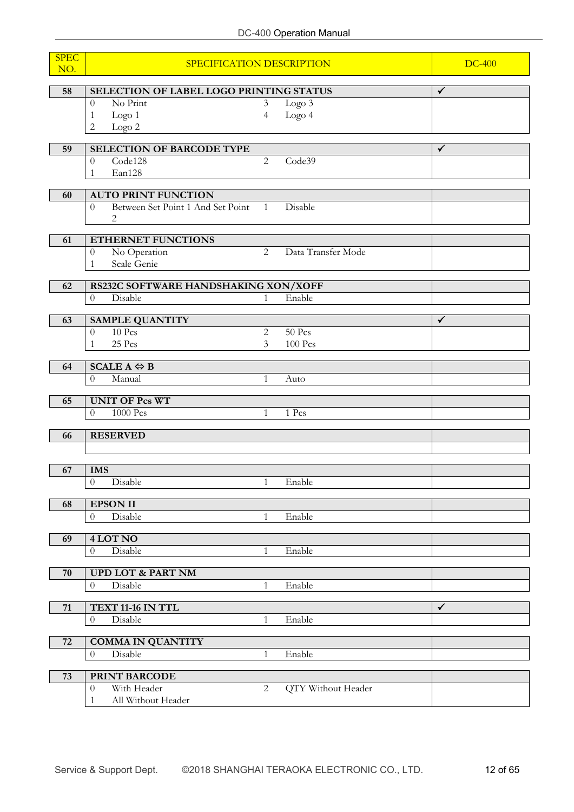| <b>SPEC</b><br>NO. | SPECIFICATION DESCRIPTION                               | <b>DC-400</b>            |                    |              |
|--------------------|---------------------------------------------------------|--------------------------|--------------------|--------------|
| 58                 | SELECTION OF LABEL LOGO PRINTING STATUS                 |                          |                    | $\checkmark$ |
|                    | No Print<br>$\theta$                                    | 3                        | Logo 3             |              |
|                    | Logo <sub>1</sub><br>1                                  | $\overline{\mathcal{A}}$ | Logo 4             |              |
|                    | 2<br>Logo 2                                             |                          |                    |              |
| 59                 | <b>SELECTION OF BARCODE TYPE</b>                        |                          |                    | $\checkmark$ |
|                    | Code128<br>$\boldsymbol{0}$                             | 2                        | Code39             |              |
|                    | Ean128<br>1                                             |                          |                    |              |
| 60                 | <b>AUTO PRINT FUNCTION</b>                              |                          |                    |              |
|                    | Between Set Point 1 And Set Point<br>$\overline{0}$     | 1                        | Disable            |              |
|                    | $\overline{c}$                                          |                          |                    |              |
| 61                 | ETHERNET FUNCTIONS                                      |                          |                    |              |
|                    | No Operation<br>$\boldsymbol{0}$                        | 2                        | Data Transfer Mode |              |
|                    | Scale Genie<br>1                                        |                          |                    |              |
| 62                 | RS232C SOFTWARE HANDSHAKING XON/XOFF                    |                          |                    |              |
|                    | Disable<br>$\overline{0}$                               | 1                        | Enable             |              |
|                    |                                                         |                          |                    |              |
| 63                 | <b>SAMPLE QUANTITY</b>                                  |                          |                    | $\checkmark$ |
|                    | 10 Pcs<br>$\theta$<br>25 Pcs<br>1                       | $\overline{2}$<br>3      | 50 Pcs<br>100 Pcs  |              |
|                    |                                                         |                          |                    |              |
| 64                 | $SCALE A \Leftrightarrow B$                             |                          |                    |              |
|                    | Manual<br>$\theta$                                      | 1                        | Auto               |              |
| 65                 | <b>UNIT OF Pcs WT</b>                                   |                          |                    |              |
|                    | 1000 Pcs<br>$\theta$                                    | 1                        | 1 Pcs              |              |
|                    | <b>RESERVED</b>                                         |                          |                    |              |
| 66                 |                                                         |                          |                    |              |
|                    |                                                         |                          |                    |              |
| 67                 | <b>IMS</b>                                              |                          |                    |              |
|                    | Disable<br>$\overline{0}$                               | 1                        | Enable             |              |
| 68                 | <b>EPSON II</b>                                         |                          |                    |              |
|                    | Disable<br>$\theta$                                     | 1                        | Enable             |              |
| 69                 | $4$ LOT NO                                              |                          |                    |              |
|                    | Disable<br>$\boldsymbol{0}$                             | $\mathbf{1}$             | Enable             |              |
|                    |                                                         |                          |                    |              |
| 70                 | <b>UPD LOT &amp; PART NM</b>                            |                          |                    |              |
|                    | Disable<br>$\boldsymbol{0}$                             | $\mathbf{1}$             | Enable             |              |
| 71                 | TEXT 11-16 IN TTL                                       |                          |                    | $\checkmark$ |
|                    | $\boldsymbol{0}$<br>Disable                             | 1                        | Enable             |              |
|                    |                                                         |                          |                    |              |
| 72                 | <b>COMMA IN QUANTITY</b><br>Disable<br>$\boldsymbol{0}$ | $\mathbf{1}$             | Enable             |              |
|                    |                                                         |                          |                    |              |
| 73                 | PRINT BARCODE                                           |                          |                    |              |
|                    | With Header<br>$\overline{0}$                           | 2                        | QTY Without Header |              |
|                    | All Without Header<br>1                                 |                          |                    |              |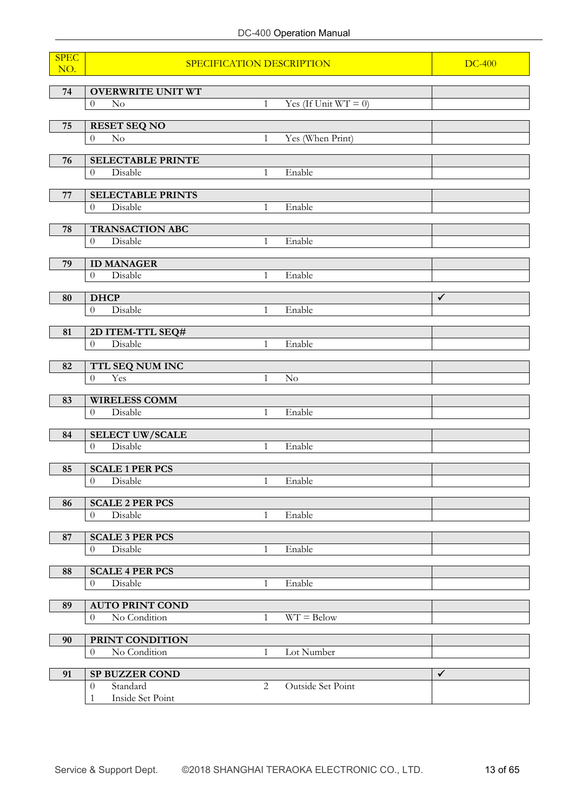# DC-400 Operation Manual

| <b>SPEC</b><br>NO. | SPECIFICATION DESCRIPTION                     | <b>DC-400</b> |                         |              |
|--------------------|-----------------------------------------------|---------------|-------------------------|--------------|
| 74                 | <b>OVERWRITE UNIT WT</b>                      |               |                         |              |
|                    | $\rm No$<br>$\theta$                          | $\mathbf{1}$  | Yes (If Unit $WT = 0$ ) |              |
|                    |                                               |               |                         |              |
| 75                 | <b>RESET SEQ NO</b><br>No<br>$\overline{0}$   | $\mathbf{1}$  |                         |              |
|                    |                                               |               | Yes (When Print)        |              |
| 76                 | <b>SELECTABLE PRINTE</b>                      |               |                         |              |
|                    | Disable<br>$\overline{0}$                     | $\mathbf{1}$  | Enable                  |              |
| ${\bf 77}$         | <b>SELECTABLE PRINTS</b>                      |               |                         |              |
|                    | Disable<br>$\theta$                           | $\mathbf{1}$  | Enable                  |              |
|                    |                                               |               |                         |              |
| 78                 | <b>TRANSACTION ABC</b><br>Disable<br>$\theta$ | $\mathbf{1}$  | Enable                  |              |
|                    |                                               |               |                         |              |
| 79                 | <b>ID MANAGER</b>                             |               |                         |              |
|                    | Disable<br>$\theta$                           | 1             | Enable                  |              |
| 80                 | <b>DHCP</b>                                   |               |                         | $\checkmark$ |
|                    | Disable<br>$\overline{0}$                     | 1             | Enable                  |              |
|                    |                                               |               |                         |              |
| 81                 | 2D ITEM-TTL SEQ#<br>Disable<br>$\overline{0}$ | $\mathbf{1}$  | Enable                  |              |
|                    |                                               |               |                         |              |
| 82                 | TTL SEQ NUM INC                               |               |                         |              |
|                    | Yes<br>$\Omega$                               | $\mathbf{1}$  | No                      |              |
| 83                 | <b>WIRELESS COMM</b>                          |               |                         |              |
|                    | Disable<br>$\Omega$                           | $\mathbf{1}$  | Enable                  |              |
|                    |                                               |               |                         |              |
| 84                 | <b>SELECT UW/SCALE</b><br>Disable<br>$\theta$ |               | Enable                  |              |
|                    |                                               | $\mathbf{1}$  |                         |              |
| 85                 | <b>SCALE 1 PER PCS</b>                        |               |                         |              |
|                    | $\begin{matrix} 0 \end{matrix}$<br>Disable    | 1             | Enable                  |              |
| 86                 | <b>SCALE 2 PER PCS</b>                        |               |                         |              |
|                    | Disable<br>$\overline{0}$                     | $\mathbf{1}$  | Enable                  |              |
|                    |                                               |               |                         |              |
| 87                 | <b>SCALE 3 PER PCS</b>                        |               |                         |              |
|                    | Disable<br>$\boldsymbol{0}$                   | $\mathbf{1}$  | Enable                  |              |
| 88                 | <b>SCALE 4 PER PCS</b>                        |               |                         |              |
|                    | Disable<br>$\theta$                           | $\mathbf{1}$  | Enable                  |              |
| 89                 | <b>AUTO PRINT COND</b>                        |               |                         |              |
|                    | No Condition<br>$\overline{0}$                | $\mathbf{1}$  | $WT = Below$            |              |
|                    |                                               |               |                         |              |
| 90                 | PRINT CONDITION                               |               |                         |              |
|                    | No Condition<br>$\theta$                      | 1             | Lot Number              |              |
| 91                 | <b>SP BUZZER COND</b>                         |               |                         | $\checkmark$ |
|                    | Standard<br>$\theta$                          | 2             | Outside Set Point       |              |
|                    | Inside Set Point<br>1                         |               |                         |              |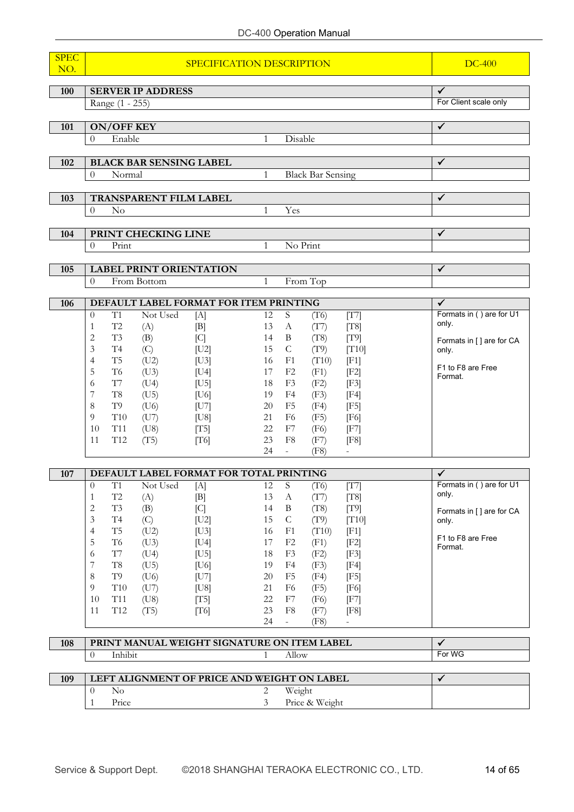| <b>SPEC</b> |                                                                               |                                                                                  |                                          |
|-------------|-------------------------------------------------------------------------------|----------------------------------------------------------------------------------|------------------------------------------|
| NO.         |                                                                               | SPECIFICATION DESCRIPTION                                                        | <b>DC-400</b>                            |
|             | <b>SERVER IP ADDRESS</b>                                                      |                                                                                  | ✓                                        |
| 100         | Range (1 - 255)                                                               | For Client scale only                                                            |                                          |
|             |                                                                               |                                                                                  |                                          |
| 101         | <b>ON/OFF KEY</b>                                                             |                                                                                  | $\checkmark$                             |
|             | Enable<br>$\theta$                                                            | Disable<br>1                                                                     |                                          |
|             |                                                                               |                                                                                  |                                          |
| 102         | <b>BLACK BAR SENSING LABEL</b><br>Normal<br>$\theta$                          | <b>Black Bar Sensing</b><br>$\mathbf{1}$                                         | ✓                                        |
|             |                                                                               |                                                                                  |                                          |
| 103         | <b>TRANSPARENT FILM LABEL</b>                                                 |                                                                                  | ✓                                        |
|             | N <sub>o</sub><br>$\Omega$                                                    | Yes<br>$\mathbf{1}$                                                              |                                          |
|             |                                                                               |                                                                                  |                                          |
| 104         | PRINT CHECKING LINE                                                           |                                                                                  | $\checkmark$                             |
|             | Print<br>$\Omega$                                                             | No Print<br>$\mathbf{1}$                                                         |                                          |
| 105         | <b>LABEL PRINT ORIENTATION</b>                                                |                                                                                  | $\checkmark$                             |
|             | From Bottom<br>$\theta$                                                       | From Top<br>$\mathbf{1}$                                                         |                                          |
|             |                                                                               |                                                                                  |                                          |
| 106         | DEFAULT LABEL FORMAT FOR ITEM PRINTING<br>T1<br>Not Used                      | S                                                                                | $\checkmark$<br>Formats in () are for U1 |
|             | $\theta$<br>$[{\rm A}]$<br>$\operatorname{T2}$<br>1<br>(A)<br>[B]             | 12<br>(T6)<br>[T7]<br>13<br>[T8]<br>$\mathbf{A}$<br>(T7)                         | only.                                    |
|             | $\overline{2}$<br>T3<br>(B)<br>[C]                                            | $\, {\bf B}$<br>(T8)<br>[T9]<br>14                                               | Formats in [] are for CA                 |
|             | 3<br>T <sub>4</sub><br>(C)<br> U2                                             | 15<br>$\mathsf{C}$<br>(T9)<br>[T10]                                              | only.                                    |
|             | (U2)<br>4<br>T <sub>5</sub><br>[U3]                                           | 16<br>F1<br>(T10)<br>[F1]                                                        | F1 to F8 are Free                        |
|             | 5<br>T <sub>6</sub><br>(U3)<br>[U4]                                           | F <sub>2</sub><br>(F1)<br>[F2]<br>17                                             | Format.                                  |
|             | T7<br>(U4)<br>[U5]<br>6<br>7<br>T <sub>8</sub><br>(U5)<br>[U6]                | F <sub>3</sub><br>18<br>(F2)<br>[F3]<br>19<br>F4<br>(F3)<br>[F4]                 |                                          |
|             | 8<br>T9<br>(U6)<br> U7                                                        | F <sub>5</sub><br>20<br>(F4)<br>[F5]                                             |                                          |
|             | 9<br>T <sub>10</sub><br>(U7)<br>[U8]                                          | 21<br>F <sub>6</sub><br>(F5)<br>[F6]                                             |                                          |
|             | T <sub>11</sub><br>10<br>(U8)<br>[T5]                                         | 22<br>F7<br>(F6)<br>[F7]                                                         |                                          |
|             | 11<br>T <sub>12</sub><br>(T5)<br>[T6]                                         | 23<br>F8<br>(F7)<br>[F8]                                                         |                                          |
|             |                                                                               | 24<br>(F8)<br>$\sim$<br>$\blacksquare$                                           |                                          |
| 107         | DEFAULT LABEL FORMAT FOR TOTAL PRINTING                                       |                                                                                  | ✓                                        |
|             | T1<br>Not Used<br>$\theta$<br>[A]                                             | ${\mathcal S}$<br>12<br>(T6)<br>[T7]                                             | Formats in () are for U1                 |
|             | $\operatorname{T2}$<br>[B]<br>(A)<br>1                                        | 13<br>(T7)<br>[T8]<br>A                                                          | only.                                    |
|             | T3<br>$\overline{c}$<br>(B)<br>[C]<br>$\operatorname{T4}$<br>3<br>[U2]<br>(C) | $\, {\bf B}$<br>14<br>(T8)<br>[T9]<br>$\mathsf C$<br>15<br>(T9)<br>[T10]         | Formats in [] are for CA<br>only.        |
|             | $\rm{T}5$<br>$\overline{4}$<br>(U2)<br>[U3]                                   | 16<br>F1<br>(T10)<br>[F1]                                                        |                                          |
|             | 5<br>$\rm T6$<br>(U3)<br>[U4]                                                 | 17<br>F2<br>(F1)<br>[F2]                                                         | F1 to F8 are Free<br>Format.             |
|             | $\rm T7$<br>(U4)<br>[U5]<br>6                                                 | F3<br>18<br>(F2)<br>[F3]                                                         |                                          |
|             | 7<br>$\rm{T}8$<br>(U5)<br>[U6]                                                | 19<br>F4<br>(F3)<br>[F4]                                                         |                                          |
|             | T9<br>8<br>(U6)<br> U7 <br>$\rm T10$<br>9<br>(U7)<br>[U8]                     | $20\,$<br>F <sub>5</sub><br>[F5]<br>(F4)<br>F <sub>6</sub><br>21<br>(F5)<br>[F6] |                                          |
|             | 10<br>T11<br>(U8)<br>[T5]                                                     | 22<br>F7<br>(F6)<br>$[$ F7 $]$                                                   |                                          |
|             | T12<br>11<br>(T5)<br>[T6]                                                     | 23<br>F8<br>(F7)<br>[F8]                                                         |                                          |
|             |                                                                               | 24<br>(F8)<br>$\overline{\phantom{a}}$                                           |                                          |
| 108         | PRINT MANUAL WEIGHT SIGNATURE ON ITEM LABEL                                   |                                                                                  | ✓                                        |
|             | Inhibit<br>$\theta$                                                           | Allow<br>$\mathbf{1}$                                                            | For WG                                   |
|             |                                                                               |                                                                                  |                                          |
| 109         | LEFT ALIGNMENT OF PRICE AND WEIGHT ON LABEL                                   |                                                                                  | $\checkmark$                             |
|             | No<br>$\theta$                                                                | $\overline{2}$<br>Weight                                                         |                                          |
|             | Price<br>1                                                                    | Price & Weight<br>3                                                              |                                          |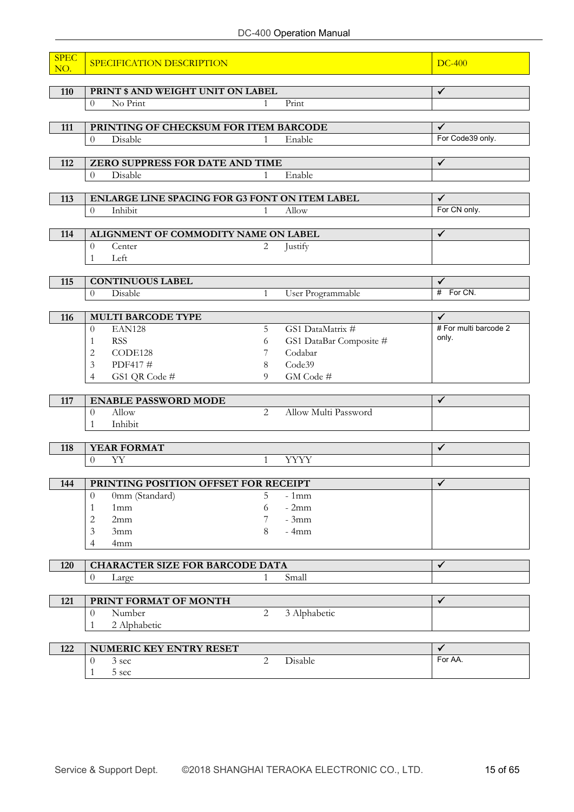| <b>SPEC</b><br>NO. | SPECIFICATION DESCRIPTION                      |                |                         | $DC-400$              |
|--------------------|------------------------------------------------|----------------|-------------------------|-----------------------|
| 110                | PRINT \$ AND WEIGHT UNIT ON LABEL              |                |                         | $\checkmark$          |
|                    | No Print<br>$\overline{0}$                     | $\mathbf{1}$   | Print                   |                       |
|                    |                                                |                |                         |                       |
| 111                | PRINTING OF CHECKSUM FOR ITEM BARCODE          |                |                         | $\checkmark$          |
|                    | $\overline{0}$<br>Disable                      | $\mathbf{1}$   | Enable                  | For Code39 only.      |
|                    |                                                |                |                         |                       |
| 112                | ZERO SUPPRESS FOR DATE AND TIME                |                |                         | $\checkmark$          |
|                    | Disable<br>$\overline{0}$                      | 1              | Enable                  |                       |
| 113                | ENLARGE LINE SPACING FOR G3 FONT ON ITEM LABEL |                |                         | $\checkmark$          |
|                    | Inhibit<br>$\overline{0}$                      | $\mathbf{1}$   | Allow                   | For CN only.          |
|                    |                                                |                |                         |                       |
| 114                | ALIGNMENT OF COMMODITY NAME ON LABEL           |                |                         | $\checkmark$          |
|                    | $\overline{0}$<br>Center                       | 2              | Justify                 |                       |
|                    | Left<br>1                                      |                |                         |                       |
|                    |                                                |                |                         |                       |
| 115                | <b>CONTINUOUS LABEL</b>                        |                |                         | $\checkmark$          |
|                    | Disable<br>$\theta$                            | $\mathbf{1}$   | User Programmable       | # For CN.             |
| 116                | <b>MULTI BARCODE TYPE</b>                      |                |                         | $\checkmark$          |
|                    | EAN128<br>$\overline{0}$                       | 5              | GS1 DataMatrix #        | # For multi barcode 2 |
|                    | <b>RSS</b><br>1                                | 6              | GS1 DataBar Composite # | only.                 |
|                    | CODE128<br>2                                   | 7              | Codabar                 |                       |
|                    | PDF417#<br>3                                   | 8              | Code39                  |                       |
|                    | GS1 QR Code #<br>$\overline{4}$                | $\Omega$       | GM Code #               |                       |
|                    |                                                |                |                         |                       |
| 117                | <b>ENABLE PASSWORD MODE</b>                    |                |                         | $\checkmark$          |
|                    | Allow<br>$\theta$                              | $\overline{2}$ | Allow Multi Password    |                       |
|                    | Inhibit<br>1                                   |                |                         |                       |
| 118                | YEAR FORMAT                                    |                |                         | $\checkmark$          |
|                    | YY<br>$\Omega$                                 | $\mathbf{1}$   | <b>YYYY</b>             |                       |
|                    |                                                |                |                         |                       |
| 144                | PRINTING POSITION OFFSET FOR RECEIPT           |                |                         | $\checkmark$          |
|                    | 0mm (Standard)<br>$\Omega$                     | 5              | $-1mm$                  |                       |
|                    | 1mm<br>1                                       | 6              | $-2mm$                  |                       |
|                    | $\overline{c}$<br>2mm                          | 7              | $-3mm$                  |                       |
|                    | 3<br>3mm                                       | 8              | $-4mm$                  |                       |
|                    | 4mm<br>4                                       |                |                         |                       |
| 120                | <b>CHARACTER SIZE FOR BARCODE DATA</b>         |                |                         | ✔                     |
|                    | $\boldsymbol{0}$<br>Large                      | 1              | Small                   |                       |
|                    |                                                |                |                         |                       |
| 121                | PRINT FORMAT OF MONTH                          |                |                         | $\checkmark$          |
|                    | Number<br>$\overline{0}$                       | $\overline{2}$ | 3 Alphabetic            |                       |
|                    | 2 Alphabetic<br>1                              |                |                         |                       |
|                    |                                                |                |                         |                       |
| 122                | NUMERIC KEY ENTRY RESET                        |                |                         | ✓                     |
|                    | $\theta$<br>3 sec                              | $\overline{2}$ | Disable                 | For AA.               |
|                    | $5~\mathrm{sec}$<br>1                          |                |                         |                       |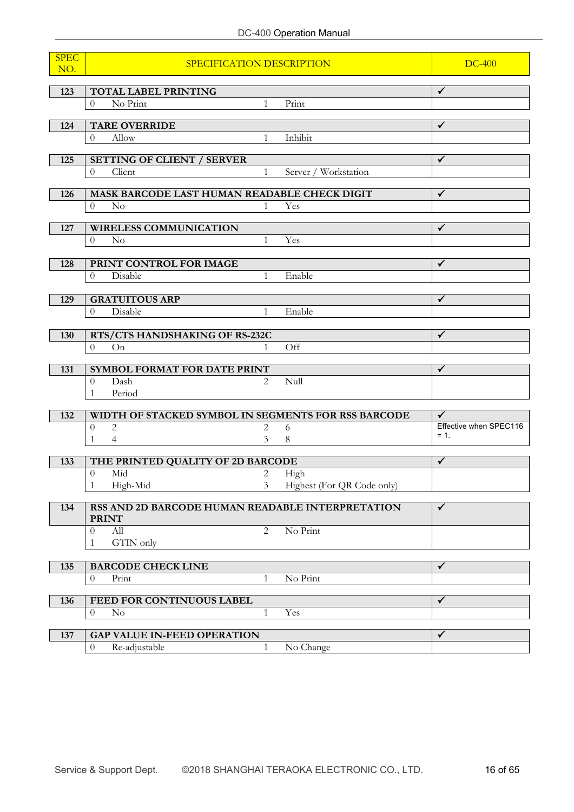# DC-400 Operation Manual

| <b>SPEC</b><br>NO. | SPECIFICATION DESCRIPTION                                             | <b>DC-400</b>  |                            |                                  |
|--------------------|-----------------------------------------------------------------------|----------------|----------------------------|----------------------------------|
|                    |                                                                       |                |                            |                                  |
| 123                | TOTAL LABEL PRINTING                                                  |                |                            | $\checkmark$                     |
|                    | No Print<br>$\Omega$                                                  | $\mathbf{1}$   | Print                      |                                  |
| 124                | <b>TARE OVERRIDE</b>                                                  |                |                            | ✓                                |
|                    | Allow<br>$\overline{0}$                                               | $\mathbf{1}$   | Inhibit                    |                                  |
|                    |                                                                       |                |                            |                                  |
| 125                | <b>SETTING OF CLIENT / SERVER</b><br>Client<br>$\overline{0}$         | 1              | Server / Workstation       | ✓                                |
|                    |                                                                       |                |                            |                                  |
| 126                | MASK BARCODE LAST HUMAN READABLE CHECK DIGIT                          |                |                            | $\checkmark$                     |
|                    | $\overline{0}$<br>$\rm No$                                            | $\mathbf{1}$   | Yes                        |                                  |
| 127                | <b>WIRELESS COMMUNICATION</b>                                         |                |                            | $\checkmark$                     |
|                    | $\overline{0}$<br>N <sub>o</sub>                                      | $\mathbf{1}$   | Yes                        |                                  |
|                    |                                                                       |                |                            |                                  |
| 128                | PRINT CONTROL FOR IMAGE                                               |                |                            | $\checkmark$                     |
|                    | Disable<br>$\overline{0}$                                             | $\mathbf{1}$   | Enable                     |                                  |
|                    |                                                                       |                |                            |                                  |
| 129                | <b>GRATUITOUS ARP</b><br>Disable<br>$\theta$                          | $\mathbf{1}$   | Enable                     | ✓                                |
|                    |                                                                       |                |                            |                                  |
| 130                | RTS/CTS HANDSHAKING OF RS-232C                                        |                |                            | $\checkmark$                     |
|                    | $\Omega$<br>On                                                        | $\mathbf{1}$   | $\overline{\text{Off}}$    |                                  |
|                    | SYMBOL FORMAT FOR DATE PRINT                                          |                |                            | $\checkmark$                     |
| 131                | Dash<br>$\overline{0}$                                                | $\mathcal{L}$  | Null                       |                                  |
|                    | Period<br>$\mathbf{1}$                                                |                |                            |                                  |
|                    |                                                                       |                |                            |                                  |
| 132                | WIDTH OF STACKED SYMBOL IN SEGMENTS FOR RSS BARCODE                   |                |                            | $\checkmark$                     |
|                    | $\overline{0}$<br>$\mathbf{2}$                                        | 2              | 6                          | Effective when SPEC116<br>$= 1.$ |
|                    | $\mathbf{1}$<br>$\overline{4}$                                        | 3 <sup>1</sup> | $\,8\,$                    |                                  |
| 133                | THE PRINTED QUALITY OF 2D BARCODE                                     |                |                            | ✓                                |
|                    | Mid<br>$\theta$                                                       | 2              | High                       |                                  |
|                    | High-Mid<br>$\mathbf{1}$                                              | 3              | Highest (For QR Code only) |                                  |
| 134                | RSS AND 2D BARCODE HUMAN READABLE INTERPRETATION                      |                |                            | ✓                                |
|                    | <b>PRINT</b>                                                          |                |                            |                                  |
|                    | All<br>$\theta$                                                       | $\overline{2}$ | No Print                   |                                  |
|                    | GTIN only<br>1                                                        |                |                            |                                  |
|                    |                                                                       |                |                            |                                  |
| 135                | <b>BARCODE CHECK LINE</b><br>$\theta$<br>Print                        | $\mathbf{1}$   | No Print                   | $\checkmark$                     |
|                    |                                                                       |                |                            |                                  |
| 136                | FEED FOR CONTINUOUS LABEL                                             |                |                            | $\checkmark$                     |
|                    | $\theta$<br>$\rm No$                                                  | $\mathbf{1}$   | Yes                        |                                  |
|                    |                                                                       |                |                            | ✓                                |
| 137                | <b>GAP VALUE IN-FEED OPERATION</b><br>Re-adjustable<br>$\overline{0}$ | $\mathbf{1}$   | No Change                  |                                  |
|                    |                                                                       |                |                            |                                  |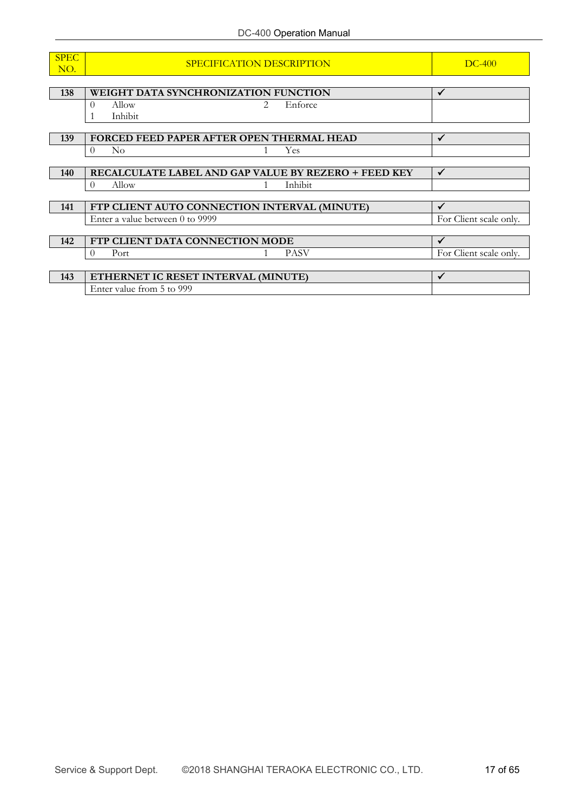| <b>SPEC</b> | SPECIFICATION DESCRIPTION                            | $DC-400$               |
|-------------|------------------------------------------------------|------------------------|
| NO.         |                                                      |                        |
|             |                                                      |                        |
| 138         | WEIGHT DATA SYNCHRONIZATION FUNCTION                 | $\checkmark$           |
|             | $\Omega$<br>Allow<br>Enforce<br>$\mathcal{L}$        |                        |
|             | Inhibit                                              |                        |
|             |                                                      |                        |
| 139         | FORCED FEED PAPER AFTER OPEN THERMAL HEAD            | $\checkmark$           |
|             | $\rm No$<br>Yes.<br>$\Omega$                         |                        |
|             |                                                      |                        |
| <b>140</b>  | RECALCULATE LABEL AND GAP VALUE BY REZERO + FEED KEY | $\checkmark$           |
|             | Allow<br>Inhibit<br>$\theta$                         |                        |
|             |                                                      |                        |
| 141         | FTP CLIENT AUTO CONNECTION INTERVAL (MINUTE)         | $\checkmark$           |
|             | Enter a value between 0 to 9999                      | For Client scale only. |
|             |                                                      |                        |
| 142         | FTP CLIENT DATA CONNECTION MODE                      | $\checkmark$           |
|             | <b>PASV</b><br>Port<br>$\theta$                      | For Client scale only. |
|             |                                                      |                        |
| 143         | ETHERNET IC RESET INTERVAL (MINUTE)                  | $\checkmark$           |
|             | Enter value from 5 to 999                            |                        |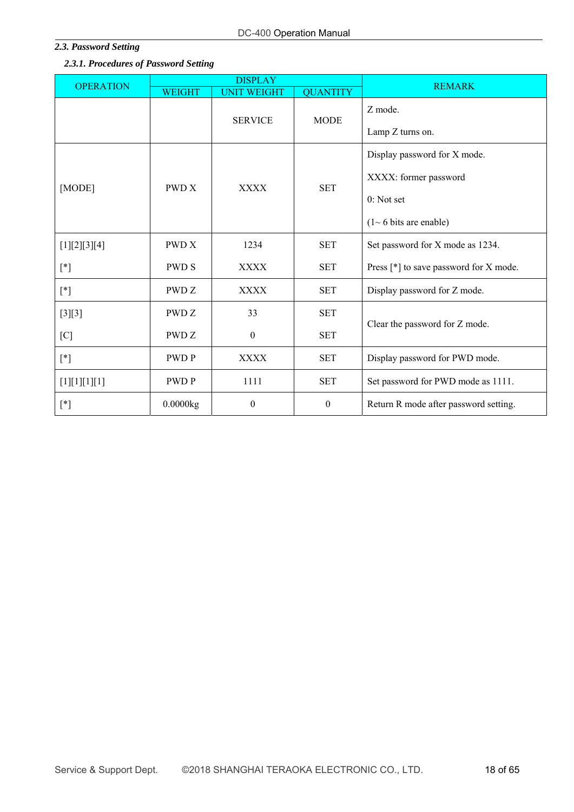# *2.3. Password Setting*

# *2.3.1. Procedures of Password Setting*

| <b>OPERATION</b>                                                                                                                                                                                                                                                                                                                                                                                                                                                                                                                                                                 |               | <b>DISPLAY</b>     | <b>REMARK</b>    |                                                                                                |
|----------------------------------------------------------------------------------------------------------------------------------------------------------------------------------------------------------------------------------------------------------------------------------------------------------------------------------------------------------------------------------------------------------------------------------------------------------------------------------------------------------------------------------------------------------------------------------|---------------|--------------------|------------------|------------------------------------------------------------------------------------------------|
|                                                                                                                                                                                                                                                                                                                                                                                                                                                                                                                                                                                  | <b>WEIGHT</b> | <b>UNIT WEIGHT</b> | <b>QUANTITY</b>  |                                                                                                |
|                                                                                                                                                                                                                                                                                                                                                                                                                                                                                                                                                                                  |               | <b>SERVICE</b>     | <b>MODE</b>      | Z mode.<br>Lamp Z turns on.                                                                    |
| [MODE]                                                                                                                                                                                                                                                                                                                                                                                                                                                                                                                                                                           | <b>PWD X</b>  | <b>XXXX</b>        | <b>SET</b>       | Display password for X mode.<br>XXXX: former password<br>0: Not set<br>$(1~6$ bits are enable) |
| [1][2][3][4]                                                                                                                                                                                                                                                                                                                                                                                                                                                                                                                                                                     | <b>PWD X</b>  | 1234               | <b>SET</b>       | Set password for X mode as 1234.                                                               |
| $[^*]$                                                                                                                                                                                                                                                                                                                                                                                                                                                                                                                                                                           | <b>PWD S</b>  | <b>XXXX</b>        | <b>SET</b>       | Press [*] to save password for X mode.                                                         |
| $[ * ]$                                                                                                                                                                                                                                                                                                                                                                                                                                                                                                                                                                          | PWD Z         | <b>XXXX</b>        | <b>SET</b>       | Display password for Z mode.                                                                   |
| $[3][3]$                                                                                                                                                                                                                                                                                                                                                                                                                                                                                                                                                                         | PWD Z         | 33                 | <b>SET</b>       |                                                                                                |
| [C]                                                                                                                                                                                                                                                                                                                                                                                                                                                                                                                                                                              | PWD Z         | $\boldsymbol{0}$   | <b>SET</b>       | Clear the password for Z mode.                                                                 |
| $[*] % \begin{center} % \includegraphics[width=\linewidth]{imagesSupplemental_3.png} % \end{center} % \caption { % \textit{DefNet} of \textit{DefNet} and \textit{DefNet} of \textit{DefNet} and \textit{DefNet} of \textit{DefNet} and \textit{DefNet} of \textit{DefNet} and \textit{DefNet} of \textit{DefNet} and \textit{DefNet} of \textit{DefNet} and \textit{DefNet} of \textit{DefNet} and \textit{DefNet} of \textit{DefNet} and \textit{DefNet} of \textit{DefNet} and \textit{DefNet} of \textit{DefNet} and \textit{DefNet} of \textit{DefNet} and \textit{DefNet}$ | <b>PWDP</b>   | <b>XXXX</b>        | <b>SET</b>       | Display password for PWD mode.                                                                 |
| [1][1][1][1][1]                                                                                                                                                                                                                                                                                                                                                                                                                                                                                                                                                                  | <b>PWDP</b>   | 1111               | <b>SET</b>       | Set password for PWD mode as 1111.                                                             |
| $[^*]$                                                                                                                                                                                                                                                                                                                                                                                                                                                                                                                                                                           | 0.0000kg      | $\boldsymbol{0}$   | $\boldsymbol{0}$ | Return R mode after password setting.                                                          |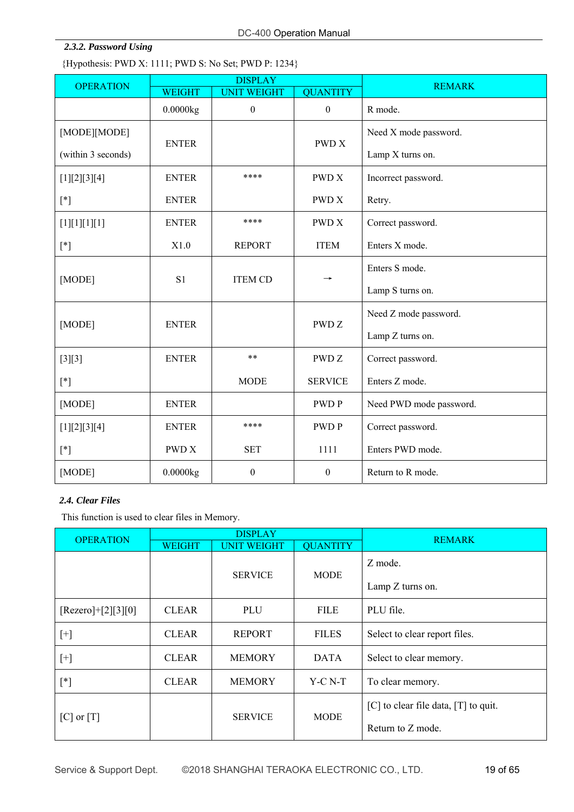# *2.3.2. Password Using*

{Hypothesis: PWD X: 1111; PWD S: No Set; PWD P: 1234}

| <b>OPERATION</b>                                                                                                                                                                                                                                                                                                                                                                                                                                                                                                                                                                 |                                  | <b>DISPLAY</b>     |                  | <b>REMARK</b>           |
|----------------------------------------------------------------------------------------------------------------------------------------------------------------------------------------------------------------------------------------------------------------------------------------------------------------------------------------------------------------------------------------------------------------------------------------------------------------------------------------------------------------------------------------------------------------------------------|----------------------------------|--------------------|------------------|-------------------------|
|                                                                                                                                                                                                                                                                                                                                                                                                                                                                                                                                                                                  | <b>WEIGHT</b>                    | <b>UNIT WEIGHT</b> | <b>QUANTITY</b>  |                         |
|                                                                                                                                                                                                                                                                                                                                                                                                                                                                                                                                                                                  | 0.0000kg                         | $\boldsymbol{0}$   | $\boldsymbol{0}$ | R mode.                 |
| [MODE][MODE]                                                                                                                                                                                                                                                                                                                                                                                                                                                                                                                                                                     | <b>ENTER</b>                     |                    | <b>PWD X</b>     | Need X mode password.   |
| (within 3 seconds)                                                                                                                                                                                                                                                                                                                                                                                                                                                                                                                                                               |                                  |                    |                  | Lamp X turns on.        |
| [1][2][3][4]                                                                                                                                                                                                                                                                                                                                                                                                                                                                                                                                                                     | <b>ENTER</b>                     | ****               | <b>PWDX</b>      | Incorrect password.     |
| $[*] % \begin{center} % \includegraphics[width=\linewidth]{imagesSupplemental_3.png} % \end{center} % \caption { % \textit{DefNet} of \textit{DefNet} and \textit{DefNet} of \textit{DefNet} and \textit{DefNet} of \textit{DefNet} and \textit{DefNet} of \textit{DefNet} and \textit{DefNet} of \textit{DefNet} and \textit{DefNet} of \textit{DefNet} and \textit{DefNet} of \textit{DefNet} and \textit{DefNet} of \textit{DefNet} and \textit{DefNet} of \textit{DefNet} and \textit{DefNet} of \textit{DefNet} and \textit{DefNet} of \textit{DefNet} and \textit{DefNet}$ | <b>ENTER</b>                     |                    | <b>PWD X</b>     | Retry.                  |
| [1][1][1][1]                                                                                                                                                                                                                                                                                                                                                                                                                                                                                                                                                                     | <b>ENTER</b>                     | ****               | <b>PWDX</b>      | Correct password.       |
| $[{}^*]$                                                                                                                                                                                                                                                                                                                                                                                                                                                                                                                                                                         | X1.0                             | <b>REPORT</b>      | <b>ITEM</b>      | Enters X mode.          |
| [MODE]                                                                                                                                                                                                                                                                                                                                                                                                                                                                                                                                                                           | S <sub>1</sub><br><b>ITEM CD</b> |                    |                  | Enters S mode.          |
|                                                                                                                                                                                                                                                                                                                                                                                                                                                                                                                                                                                  |                                  |                    |                  | Lamp S turns on.        |
| [MODE]                                                                                                                                                                                                                                                                                                                                                                                                                                                                                                                                                                           | <b>ENTER</b>                     |                    | <b>PWDZ</b>      | Need Z mode password.   |
|                                                                                                                                                                                                                                                                                                                                                                                                                                                                                                                                                                                  |                                  |                    |                  | Lamp Z turns on.        |
| $[3][3]$                                                                                                                                                                                                                                                                                                                                                                                                                                                                                                                                                                         | <b>ENTER</b>                     | **                 | PWD <sub>Z</sub> | Correct password.       |
| $[*] % \begin{center} % \includegraphics[width=\linewidth]{imagesSupplemental_3.png} % \end{center} % \caption { % \textit{DefNet} of \textit{DefNet} and \textit{DefNet} of \textit{DefNet} and \textit{DefNet} of \textit{DefNet} and \textit{DefNet} of \textit{DefNet} and \textit{DefNet} of \textit{DefNet} and \textit{DefNet} of \textit{DefNet} and \textit{DefNet} of \textit{DefNet} and \textit{DefNet} of \textit{DefNet} and \textit{DefNet} of \textit{DefNet} and \textit{DefNet} of \textit{DefNet} and \textit{DefNet} of \textit{DefNet} and \textit{DefNet}$ |                                  | <b>MODE</b>        | <b>SERVICE</b>   | Enters Z mode.          |
| [MODE]                                                                                                                                                                                                                                                                                                                                                                                                                                                                                                                                                                           | <b>ENTER</b>                     |                    | <b>PWDP</b>      | Need PWD mode password. |
| [1][2][3][4]                                                                                                                                                                                                                                                                                                                                                                                                                                                                                                                                                                     | <b>ENTER</b>                     | ****               | <b>PWDP</b>      | Correct password.       |
| $[^*]$                                                                                                                                                                                                                                                                                                                                                                                                                                                                                                                                                                           | <b>PWD X</b>                     | <b>SET</b>         | 1111             | Enters PWD mode.        |
| [MODE]                                                                                                                                                                                                                                                                                                                                                                                                                                                                                                                                                                           | 0.0000kg                         | $\boldsymbol{0}$   | $\boldsymbol{0}$ | Return to R mode.       |

# *2.4. Clear Files*

This function is used to clear files in Memory.

| <b>OPERATION</b>     |                               | <b>DISPLAY</b>     | <b>REMARK</b>    |                                          |  |
|----------------------|-------------------------------|--------------------|------------------|------------------------------------------|--|
|                      | <b>WEIGHT</b>                 | <b>UNIT WEIGHT</b> | <b>QUANTITY</b>  |                                          |  |
|                      | <b>SERVICE</b><br><b>MODE</b> |                    |                  | Z mode.                                  |  |
|                      |                               |                    | Lamp Z turns on. |                                          |  |
| $[Rezero]+[2][3][0]$ | <b>CLEAR</b>                  | PLU                | <b>FILE</b>      | PLU file.                                |  |
| $[+]$                | <b>CLEAR</b>                  | <b>REPORT</b>      | <b>FILES</b>     | Select to clear report files.            |  |
| $[+]$                | <b>CLEAR</b>                  | <b>MEMORY</b>      | <b>DATA</b>      | Select to clear memory.                  |  |
| $[^*]$               | <b>CLEAR</b>                  | <b>MEMORY</b>      | $Y-C N-T$        | To clear memory.                         |  |
|                      |                               |                    |                  | $[C]$ to clear file data, $[T]$ to quit. |  |
| $[C]$ or $[T]$       | <b>SERVICE</b>                |                    | <b>MODE</b>      | Return to Z mode.                        |  |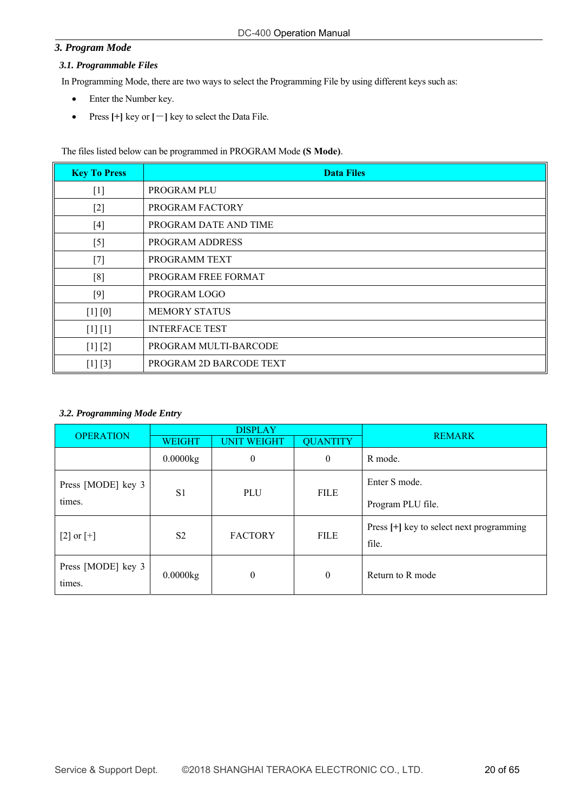# *3. Program Mode*

# *3.1. Programmable Files*

In Programming Mode, there are two ways to select the Programming File by using different keys such as:

- Enter the Number key.
- Press **[+]** key or **[**-**]** key to select the Data File.

The files listed below can be programmed in PROGRAM Mode **(S Mode)**.

| <b>Key To Press</b> | <b>Data Files</b>       |
|---------------------|-------------------------|
| $[1]$               | PROGRAM PLU             |
| $[2]$               | PROGRAM FACTORY         |
| $[4]$               | PROGRAM DATE AND TIME   |
| $[5]$               | <b>PROGRAM ADDRESS</b>  |
| $[7]$               | PROGRAMM TEXT           |
| [8]                 | PROGRAM FREE FORMAT     |
| $[9]$               | PROGRAM LOGO            |
| [1] [0]             | <b>MEMORY STATUS</b>    |
| $[1] [1]$           | <b>INTERFACE TEST</b>   |
| [1] [2]             | PROGRAM MULTI-BARCODE   |
| $[1] [3]$           | PROGRAM 2D BARCODE TEXT |

#### *3.2. Programming Mode Entry*

| <b>OPERATION</b>             |                                                        | <b>DISPLAY</b> |                | <b>REMARK</b>                                     |  |
|------------------------------|--------------------------------------------------------|----------------|----------------|---------------------------------------------------|--|
|                              | <b>QUANTITY</b><br><b>UNIT WEIGHT</b><br><b>WEIGHT</b> |                |                |                                                   |  |
|                              | 0.0000kg                                               | $\mathbf{0}$   | $\overline{0}$ | R mode.                                           |  |
| Press [MODE] key 3           | S <sub>1</sub>                                         | PLU            | <b>FILE</b>    | Enter S mode.                                     |  |
| times.                       |                                                        |                |                | Program PLU file.                                 |  |
| $[2]$ or $[+]$               | S <sub>2</sub>                                         | <b>FACTORY</b> | <b>FILE</b>    | Press [+] key to select next programming<br>file. |  |
| Press [MODE] key 3<br>times. | 0.0000kg                                               | $\mathbf{0}$   | $\theta$       | Return to R mode                                  |  |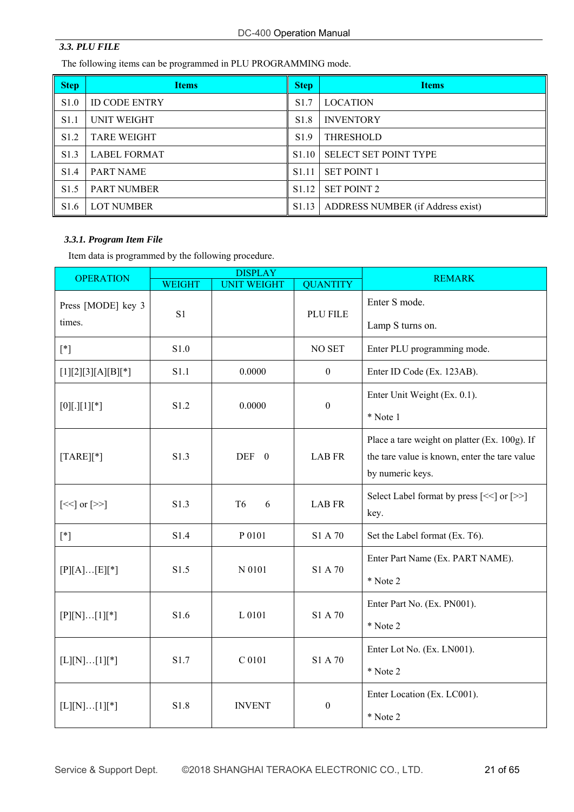# *3.3. PLU FILE*

The following items can be programmed in PLU PROGRAMMING mode.

| <b>Step</b>      | <b>Items</b>         | <b>Step</b>       | <b>Items</b>                      |
|------------------|----------------------|-------------------|-----------------------------------|
| S <sub>1.0</sub> | <b>ID CODE ENTRY</b> | S <sub>1.7</sub>  | <b>LOCATION</b>                   |
| S <sub>1.1</sub> | UNIT WEIGHT          | S <sub>1.8</sub>  | <b>INVENTORY</b>                  |
| S <sub>1.2</sub> | <b>TARE WEIGHT</b>   | S <sub>1.9</sub>  | <b>THRESHOLD</b>                  |
| S <sub>1.3</sub> | <b>LABEL FORMAT</b>  | S <sub>1.10</sub> | <b>SELECT SET POINT TYPE</b>      |
| S <sub>1.4</sub> | <b>PART NAME</b>     | S <sub>1.11</sub> | <b>SET POINT 1</b>                |
| S <sub>1.5</sub> | <b>PART NUMBER</b>   | S <sub>1.12</sub> | <b>SET POINT 2</b>                |
| S <sub>1.6</sub> | <b>LOT NUMBER</b>    | S1.13             | ADDRESS NUMBER (if Address exist) |

# *3.3.1. Program Item File*

Item data is programmed by the following procedure.

| <b>OPERATION</b>                         |                           | <b>DISPLAY</b>      |                  | <b>REMARK</b>                                 |
|------------------------------------------|---------------------------|---------------------|------------------|-----------------------------------------------|
|                                          | <b>WEIGHT</b>             | <b>UNIT WEIGHT</b>  | <b>QUANTITY</b>  |                                               |
| Press [MODE] key 3                       | S1                        |                     | PLU FILE         | Enter S mode.                                 |
| times.                                   |                           |                     |                  | Lamp S turns on.                              |
| $[ * ]$                                  | S1.0                      |                     | NO SET           | Enter PLU programming mode.                   |
| $[1][2][3][A][B][*]$                     | S1.1                      | 0.0000              | $\theta$         | Enter ID Code (Ex. 123AB).                    |
|                                          | S1.2                      | 0.0000              | $\boldsymbol{0}$ | Enter Unit Weight (Ex. 0.1).                  |
| $[0][.] [1][*]$                          |                           |                     |                  | * Note 1                                      |
|                                          |                           |                     |                  | Place a tare weight on platter (Ex. 100g). If |
| $[TARE][*]$                              | S1.3                      | DEF 0               | <b>LAB FR</b>    | the tare value is known, enter the tare value |
|                                          |                           |                     |                  | by numeric keys.                              |
| $\left[\ll\right]$ or $\left[\gg\right]$ | S1.3                      | T <sub>6</sub><br>6 | LAB FR           | Select Label format by press [<<] or [>>]     |
|                                          |                           |                     |                  | key.                                          |
| $[{}^*]$                                 | S1.4                      | P 0101              | S1 A 70          | Set the Label format (Ex. T6).                |
| $[P][A][E][*]$                           | S1.5                      | N 0101              | S1 A 70          | Enter Part Name (Ex. PART NAME).              |
|                                          |                           |                     |                  | * Note 2                                      |
|                                          | S1.6                      | L 0101              | S1 A 70          | Enter Part No. (Ex. PN001).                   |
| $[P][N][1][*]$                           |                           |                     |                  | * Note 2                                      |
|                                          |                           |                     |                  | Enter Lot No. (Ex. LN001).                    |
| $[L][N][1][*]$                           | C 0101<br>S1 A 70<br>S1.7 | * Note 2            |                  |                                               |
|                                          |                           |                     |                  | Enter Location (Ex. LC001).                   |
| $[L][N][1][*]$                           | S1.8                      | <b>INVENT</b>       | $\boldsymbol{0}$ | * Note 2                                      |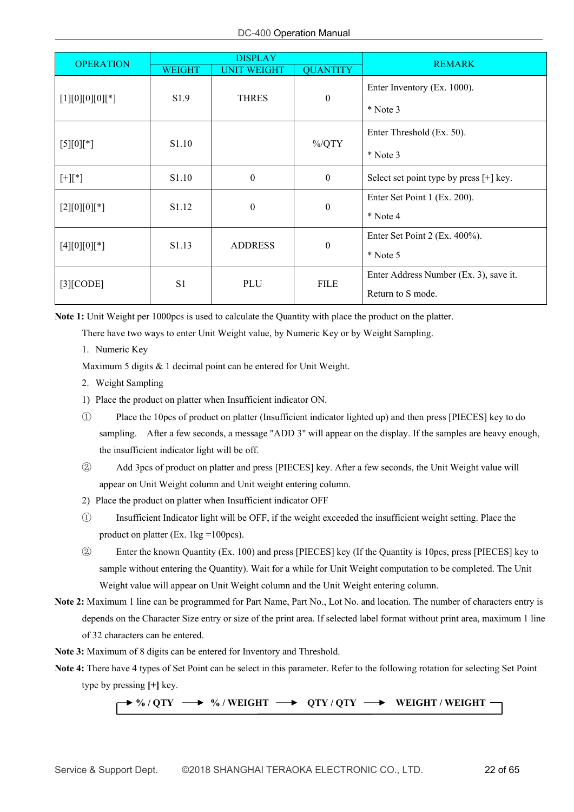| <b>OPERATION</b>          |                   | <b>DISPLAY</b>     |                  | <b>REMARK</b>                             |                               |
|---------------------------|-------------------|--------------------|------------------|-------------------------------------------|-------------------------------|
|                           | <b>WEIGHT</b>     | <b>UNIT WEIGHT</b> | <b>QUANTITY</b>  |                                           |                               |
| $[1][0][0][0][*]$         | S1.9              | <b>THRES</b>       | $\boldsymbol{0}$ | Enter Inventory (Ex. 1000).               |                               |
|                           |                   |                    |                  | $*$ Note 3                                |                               |
| $[5][0][^*]$              | S <sub>1.10</sub> |                    | $\%$ /QTY        | Enter Threshold (Ex. 50).                 |                               |
|                           |                   |                    | $*$ Note 3       |                                           |                               |
| $[+][^*]$                 | S <sub>1.10</sub> | $\boldsymbol{0}$   | $\theta$         | Select set point type by press $[+]$ key. |                               |
| $[2][0][0][*]$            | S <sub>1.12</sub> | $\boldsymbol{0}$   | $\boldsymbol{0}$ | Enter Set Point 1 (Ex. 200).              |                               |
|                           |                   |                    |                  | $*$ Note 4                                |                               |
| $[4][0][0][*]$            | S <sub>1.13</sub> | <b>ADDRESS</b>     |                  | $\boldsymbol{0}$                          | Enter Set Point 2 (Ex. 400%). |
|                           |                   |                    |                  | $*$ Note 5                                |                               |
| S1<br>PLU<br>$[3]$ [CODE] |                   |                    | <b>FILE</b>      | Enter Address Number (Ex. 3), save it.    |                               |
|                           |                   | Return to S mode.  |                  |                                           |                               |

**Note 1:** Unit Weight per 1000pcs is used to calculate the Quantity with place the product on the platter.

There have two ways to enter Unit Weight value, by Numeric Key or by Weight Sampling.

1. Numeric Key

Maximum 5 digits & 1 decimal point can be entered for Unit Weight.

- 2. Weight Sampling
- 1) Place the product on platter when Insufficient indicator ON.
- ① Place the 10pcs of product on platter (Insufficient indicator lighted up) and then press [PIECES] key to do sampling. After a few seconds, a message "ADD 3" will appear on the display. If the samples are heavy enough, the insufficient indicator light will be off.
- ② Add 3pcs of product on platter and press [PIECES] key. After a few seconds, the Unit Weight value will appear on Unit Weight column and Unit weight entering column.
- 2) Place the product on platter when Insufficient indicator OFF
- ① Insufficient Indicator light will be OFF, if the weight exceeded the insufficient weight setting. Place the product on platter (Ex.  $1 \text{kg} = 100 \text{pcs}$ ).
- ② Enter the known Quantity (Ex. 100) and press [PIECES] key (If the Quantity is 10pcs, press [PIECES] key to sample without entering the Quantity). Wait for a while for Unit Weight computation to be completed. The Unit Weight value will appear on Unit Weight column and the Unit Weight entering column.
- **Note 2:** Maximum 1 line can be programmed for Part Name, Part No., Lot No. and location. The number of characters entry is depends on the Character Size entry or size of the print area. If selected label format without print area, maximum 1 line of 32 characters can be entered.

**Note 3:** Maximum of 8 digits can be entered for Inventory and Threshold.

**Note 4:** There have 4 types of Set Point can be select in this parameter. Refer to the following rotation for selecting Set Point type by pressing **[+]** key.

#### $\rightarrow$  %/QTY  $\rightarrow$  %/WEIGHT  $\rightarrow$  QTY/QTY  $\rightarrow$  WEIGHT/WEIGHT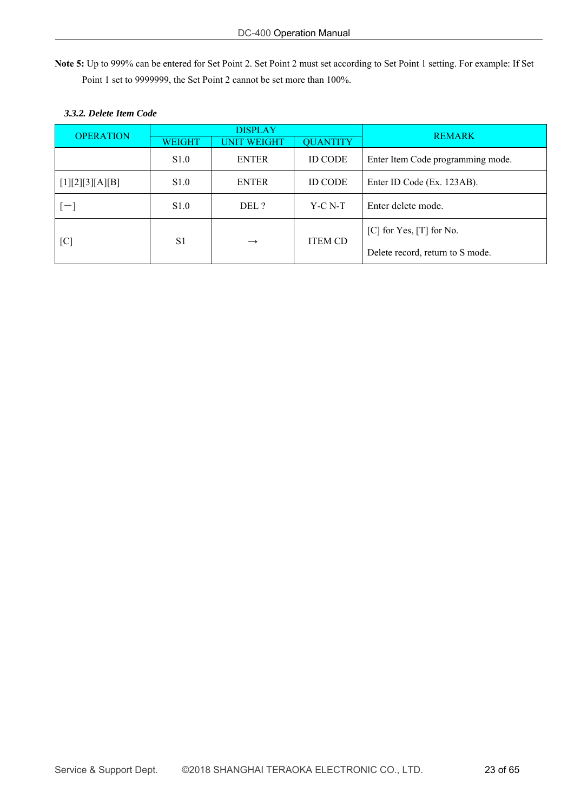**Note 5:** Up to 999% can be entered for Set Point 2. Set Point 2 must set according to Set Point 1 setting. For example: If Set Point 1 set to 9999999, the Set Point 2 cannot be set more than 100%.

|                  | <b>DISPLAY</b>                  |                    |                                  |                                   |
|------------------|---------------------------------|--------------------|----------------------------------|-----------------------------------|
| <b>OPERATION</b> | WEIGHT                          | <b>UNIT WEIGHT</b> | <b>QUANTITY</b>                  | <b>REMARK</b>                     |
|                  | S1.0                            | <b>ENTER</b>       | <b>ID CODE</b>                   | Enter Item Code programming mode. |
| [1][2][3][A][B]  | S <sub>1.0</sub>                | <b>ENTER</b>       | <b>ID CODE</b>                   | Enter ID Code (Ex. 123AB).        |
| $=$              | S1.0                            | DEL ?              | $Y-C N-T$                        | Enter delete mode.                |
| [C]              | S <sub>1</sub><br>$\rightarrow$ |                    |                                  | $[C]$ for Yes, $[T]$ for No.      |
|                  |                                 | <b>ITEM CD</b>     | Delete record, return to S mode. |                                   |

# *3.3.2. Delete Item Code*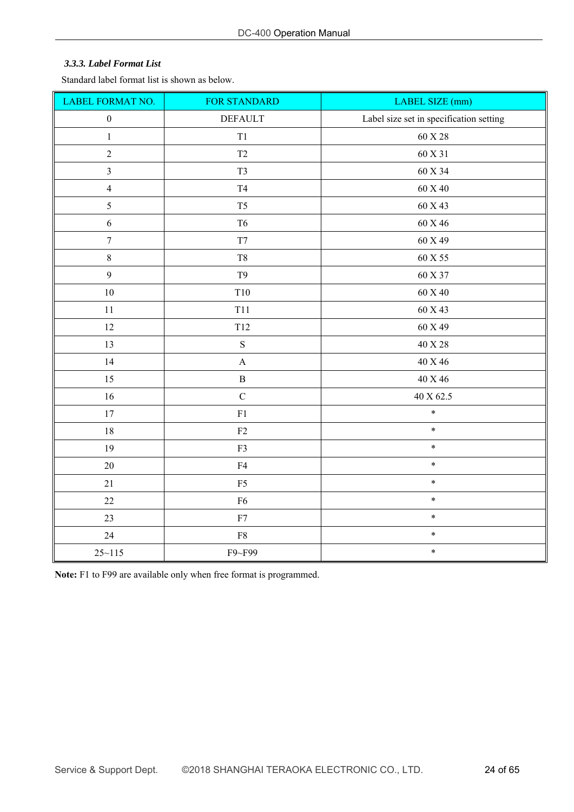#### *3.3.3. Label Format List*

Standard label format list is shown as below.

| LABEL FORMAT NO.         | FOR STANDARD          | LABEL SIZE (mm)                         |
|--------------------------|-----------------------|-----------------------------------------|
| $\boldsymbol{0}$         | <b>DEFAULT</b>        | Label size set in specification setting |
| $\,1$                    | T1                    | 60 X 28                                 |
| $\overline{c}$           | $\operatorname{T2}$   | 60 X 31                                 |
| $\overline{\mathbf{3}}$  | T <sub>3</sub>        | 60 X 34                                 |
| $\overline{\mathcal{A}}$ | $\operatorname{T4}$   | 60 X 40                                 |
| 5                        | T <sub>5</sub>        | 60 X 43                                 |
| $\sqrt{6}$               | T <sub>6</sub>        | $60$ X $46\,$                           |
| $\boldsymbol{7}$         | T7                    | 60 X 49                                 |
| $\,$ $\,$                | $\rm{T}8$             | $60$ X $55\,$                           |
| 9                        | T <sub>9</sub>        | 60 X 37                                 |
| $10\,$                   | T10                   | $60$ X $40$                             |
| 11                       | T11                   | 60 X 43                                 |
| 12                       | T12                   | 60 X 49                                 |
| 13                       | $\mathbf S$           | 40 X 28                                 |
| 14                       | $\boldsymbol{\rm{A}}$ | 40 X 46                                 |
| 15                       | $\, {\bf B}$          | $40$ X $46\,$                           |
| $16\,$                   | $\mathbf C$           | $40$ X $62.5\,$                         |
| 17                       | ${\rm F}1$            | $\ast$                                  |
| 18                       | ${\rm F2}$            | $\ast$                                  |
| 19                       | F3                    | $\ast$                                  |
| 20                       | ${\rm F4}$            | $\ast$                                  |
| 21                       | ${\rm F}5$            | $\ast$                                  |
| $22\,$                   | ${\rm F6}$            | $\ast$                                  |
| 23                       | ${\rm F}7$            | $\ast$                                  |
| 24                       | ${\rm F}8$            | $\ast$                                  |
| $25 - 115$               | F9~F99                | $\ast$                                  |

**Note:** F1 to F99 are available only when free format is programmed.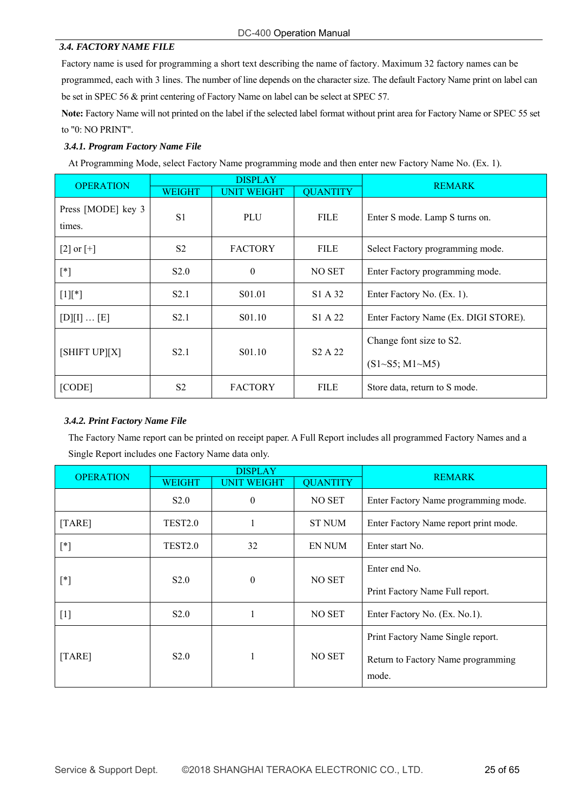#### *3.4. FACTORY NAME FILE*

Factory name is used for programming a short text describing the name of factory. Maximum 32 factory names can be programmed, each with 3 lines. The number of line depends on the character size. The default Factory Name print on label can be set in SPEC 56 & print centering of Factory Name on label can be select at SPEC 57.

**Note:** Factory Name will not printed on the label if the selected label format without print area for Factory Name or SPEC 55 set to "0: NO PRINT".

#### *3.4.1. Program Factory Name File*

At Programming Mode, select Factory Name programming mode and then enter new Factory Name No. (Ex. 1).

| <b>OPERATION</b>             |                                                                                            | <b>DISPLAY</b>          |                            | <b>REMARK</b>                        |
|------------------------------|--------------------------------------------------------------------------------------------|-------------------------|----------------------------|--------------------------------------|
|                              | <b>WEIGHT</b>                                                                              | <b>UNIT WEIGHT</b>      | <b>OUANTITY</b>            |                                      |
| Press [MODE] key 3<br>times. | S <sub>1</sub>                                                                             | <b>PLU</b>              | <b>FILE</b>                | Enter S mode. Lamp S turns on.       |
| [2] or $[+]$                 | S <sub>2</sub>                                                                             | <b>FACTORY</b>          | <b>FILE</b>                | Select Factory programming mode.     |
| $[^*]$                       | S2.0                                                                                       | $\boldsymbol{0}$        | NO SET                     | Enter Factory programming mode.      |
| $[1]$ [*]                    | S <sub>2.1</sub>                                                                           | S <sub>0</sub> 1.01     | S1 A 32                    | Enter Factory No. (Ex. 1).           |
| $[D][I] \dots [E]$           | S <sub>2.1</sub>                                                                           | S <sub>01.10</sub>      | S1 A 22                    | Enter Factory Name (Ex. DIGI STORE). |
|                              | [SHIFT UP][X]<br>S <sub>2.1</sub><br>S <sub>01.10</sub><br>S <sub>2</sub> A 2 <sub>2</sub> | Change font size to S2. |                            |                                      |
|                              |                                                                                            |                         | $(S1 \sim S5; M1 \sim M5)$ |                                      |
| [CODE]                       | S <sub>2</sub>                                                                             | <b>FACTORY</b>          | <b>FILE</b>                | Store data, return to S mode.        |

#### *3.4.2. Print Factory Name File*

The Factory Name report can be printed on receipt paper. A Full Report includes all programmed Factory Names and a Single Report includes one Factory Name data only.

| <b>OPERATION</b>     | <b>DISPLAY</b>      |                    |                 | <b>REMARK</b>                         |
|----------------------|---------------------|--------------------|-----------------|---------------------------------------|
|                      | <b>WEIGHT</b>       | <b>UNIT WEIGHT</b> | <b>QUANTITY</b> |                                       |
|                      | S2.0                | $\theta$           | NO SET          | Enter Factory Name programming mode.  |
| $\left[TABLE\right]$ | TEST <sub>2.0</sub> |                    | <b>ST NUM</b>   | Enter Factory Name report print mode. |
| $[^*]$               | <b>TEST2.0</b>      | 32                 | EN NUM          | Enter start No.                       |
| $[^*]$               | S2.0                | $\theta$           | NO SET          | Enter end No.                         |
|                      |                     |                    |                 | Print Factory Name Full report.       |
| $[1]$                | S2.0                |                    | NO SET          | Enter Factory No. (Ex. No.1).         |
|                      |                     |                    |                 | Print Factory Name Single report.     |
| [TARE]               | S2.0                |                    | NO SET          | Return to Factory Name programming    |
|                      |                     |                    | mode.           |                                       |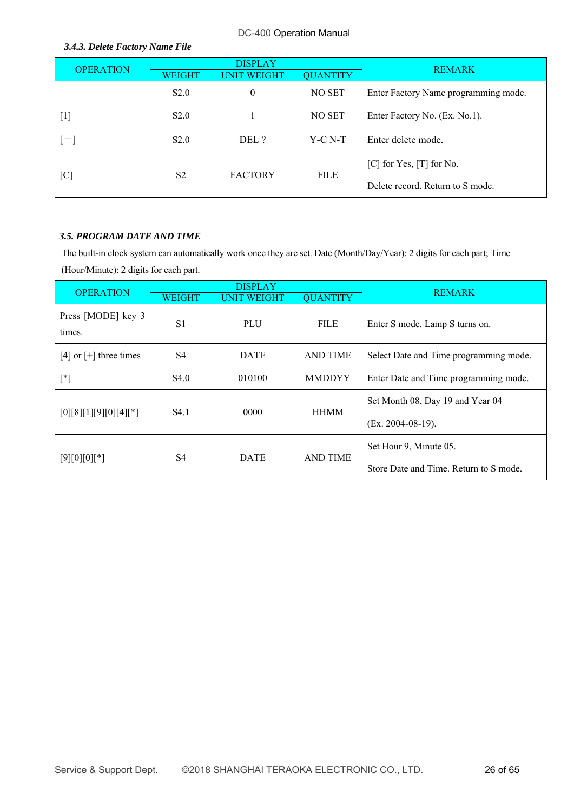| 3.4.3. Delete Factory Name File |                |                        |                 |                                      |  |
|---------------------------------|----------------|------------------------|-----------------|--------------------------------------|--|
| <b>OPERATION</b>                |                | <b>DISPLAY</b>         |                 | <b>REMARK</b>                        |  |
|                                 | <b>WEIGHT</b>  | <b>T WEIGHT</b><br>UNI | <b>QUANTITY</b> |                                      |  |
|                                 | S2.0           | $\theta$               | NO SET          | Enter Factory Name programming mode. |  |
| $[1]$                           | S2.0           |                        | NO SET          | Enter Factory No. (Ex. No.1).        |  |
| $[-]$                           | S2.0           | DEL ?                  | $Y-C N-T$       | Enter delete mode.                   |  |
| [C]                             | S <sub>2</sub> | <b>FACTORY</b>         | <b>FILE</b>     | $[C]$ for Yes, $[T]$ for No.         |  |
|                                 |                |                        |                 | Delete record. Return to S mode.     |  |

#### *3.5. PROGRAM DATE AND TIME*

The built-in clock system can automatically work once they are set. Date (Month/Day/Year): 2 digits for each part; Time (Hour/Minute): 2 digits for each part.

| <b>OPERATION</b>             | <b>DISPLAY</b>   |                    |                 | <b>REMARK</b>                          |
|------------------------------|------------------|--------------------|-----------------|----------------------------------------|
|                              | <b>WEIGHT</b>    | <b>UNIT WEIGHT</b> | <b>QUANTITY</b> |                                        |
| Press [MODE] key 3<br>times. | S <sub>1</sub>   | PLU                | <b>FILE</b>     | Enter S mode. Lamp S turns on.         |
| [4] or $[+]$ three times     | S4               | <b>DATE</b>        | <b>AND TIME</b> | Select Date and Time programming mode. |
| $[^*]$                       | S4.0             | 010100             | <b>MMDDYY</b>   | Enter Date and Time programming mode.  |
|                              | S <sub>4.1</sub> | 0000               | <b>HHMM</b>     | Set Month 08, Day 19 and Year 04       |
| $[0][8][1][9][0][4][*]$      |                  |                    |                 | $(Ex. 2004-08-19).$                    |
|                              |                  |                    |                 | Set Hour 9, Minute 05.                 |
| $[9][0][0][*]$               | S4               | <b>DATE</b>        | <b>AND TIME</b> | Store Date and Time. Return to S mode. |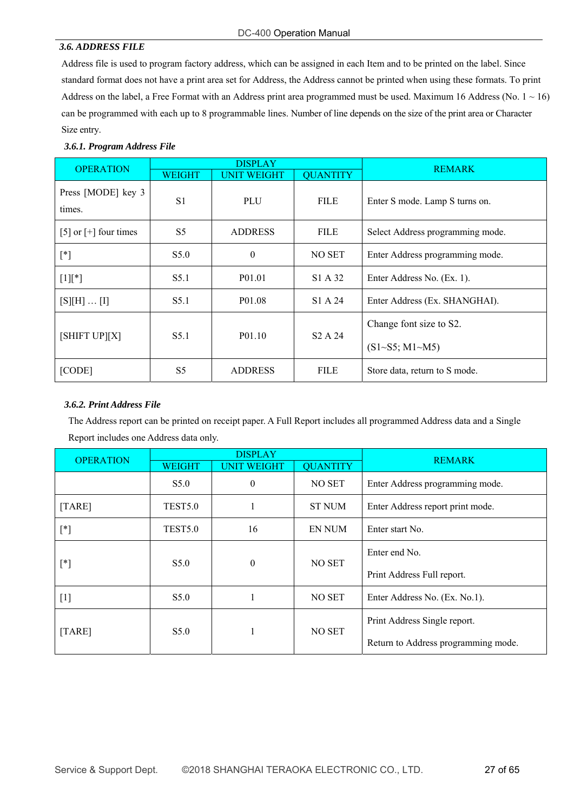#### DC-400 Operation Manual

#### *3.6. ADDRESS FILE*

Address file is used to program factory address, which can be assigned in each Item and to be printed on the label. Since standard format does not have a print area set for Address, the Address cannot be printed when using these formats. To print Address on the label, a Free Format with an Address print area programmed must be used. Maximum 16 Address (No.  $1 \sim 16$ ) can be programmed with each up to 8 programmable lines. Number of line depends on the size of the print area or Character Size entry.

#### *3.6.1. Program Address File*

| <b>OPERATION</b>             |                                                        | <b>DISPLAY</b>     | <b>REMARK</b>              |                                  |
|------------------------------|--------------------------------------------------------|--------------------|----------------------------|----------------------------------|
|                              | <b>WEIGHT</b>                                          | <b>UNIT WEIGHT</b> | <b>QUANTITY</b>            |                                  |
| Press [MODE] key 3<br>times. | S <sub>1</sub>                                         | PLU                | <b>FILE</b>                | Enter S mode. Lamp S turns on.   |
| [5] or $[+]$ four times      | S <sub>5</sub>                                         | <b>ADDRESS</b>     | <b>FILE</b>                | Select Address programming mode. |
| $\lceil$ *]                  | S5.0                                                   | $\theta$           | NO SET                     | Enter Address programming mode.  |
| $[1]$ <sup>*</sup> ]         | S5.1                                                   | P <sub>01.01</sub> | S1 A 32                    | Enter Address No. (Ex. 1).       |
| $[S][H] \dots [I]$           | S5.1                                                   | P01.08             | S1 A 24                    | Enter Address (Ex. SHANGHAI).    |
|                              | [SHIFT UP][X]<br>S5.1<br>P01.10<br>S <sub>2</sub> A 24 |                    | Change font size to S2.    |                                  |
|                              |                                                        |                    | $(S1 \sim S5; M1 \sim M5)$ |                                  |
| [CODE]                       | S <sub>5</sub>                                         | <b>ADDRESS</b>     | <b>FILE</b>                | Store data, return to S mode.    |

#### *3.6.2. Print Address File*

The Address report can be printed on receipt paper. A Full Report includes all programmed Address data and a Single Report includes one Address data only.

| <b>OPERATION</b> | <b>DISPLAY</b>      |                    |                 | <b>REMARK</b>                       |
|------------------|---------------------|--------------------|-----------------|-------------------------------------|
|                  | <b>WEIGHT</b>       | <b>UNIT WEIGHT</b> | <b>QUANTITY</b> |                                     |
|                  | S5.0                | $\overline{0}$     | <b>NO SET</b>   | Enter Address programming mode.     |
| [TARE]           | <b>TEST5.0</b>      |                    | <b>ST NUM</b>   | Enter Address report print mode.    |
| $[^*]$           | TEST <sub>5.0</sub> | 16                 | <b>EN NUM</b>   | Enter start No.                     |
|                  |                     |                    |                 | Enter end No.                       |
| $[^*]$           | S5.0                | $\mathbf{0}$       | NO SET          | Print Address Full report.          |
| $[1]$            | S5.0                |                    | NO SET          | Enter Address No. (Ex. No.1).       |
|                  |                     |                    |                 | Print Address Single report.        |
| [TARE]           | S5.0                |                    | NO SET          | Return to Address programming mode. |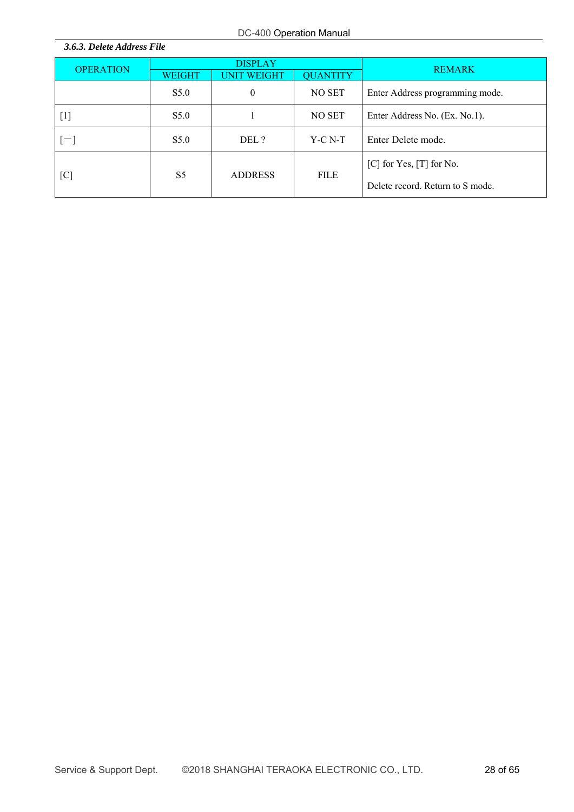| 3.6.3. Delete Address File |                                  |                    |                 |                                  |  |
|----------------------------|----------------------------------|--------------------|-----------------|----------------------------------|--|
| <b>OPERATION</b>           |                                  | <b>DISPLAY</b>     |                 | <b>REMARK</b>                    |  |
|                            | <b>WEIGHT</b>                    | <b>UNIT WEIGHT</b> | <b>QUANTITY</b> |                                  |  |
|                            | S5.0                             | $\theta$           | NO SET          | Enter Address programming mode.  |  |
| $[1]$                      | S5.0                             |                    | NO SET          | Enter Address No. (Ex. No.1).    |  |
| $[-]$                      | S5.0                             | DEL ?              | $Y-C N-T$       | Enter Delete mode.               |  |
|                            |                                  |                    | <b>FILE</b>     | $[C]$ for Yes, $[T]$ for No.     |  |
| [C]                        | S <sub>5</sub><br><b>ADDRESS</b> |                    |                 | Delete record. Return to S mode. |  |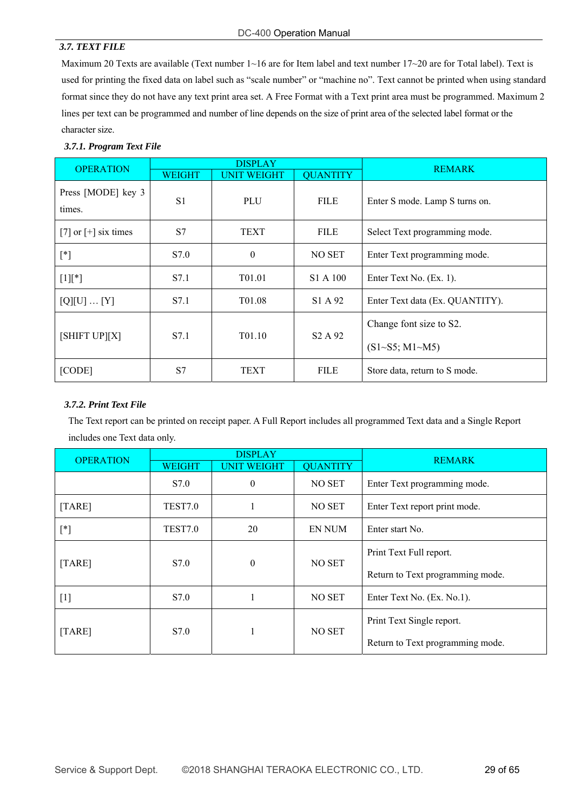#### *3.7. TEXT FILE*

Maximum 20 Texts are available (Text number 1~16 are for Item label and text number 17~20 are for Total label). Text is used for printing the fixed data on label such as "scale number" or "machine no". Text cannot be printed when using standard format since they do not have any text print area set. A Free Format with a Text print area must be programmed. Maximum 2 lines per text can be programmed and number of line depends on the size of print area of the selected label format or the character size.

#### *3.7.1. Program Text File*

| <b>OPERATION</b>             |                                                                    | <b>DISPLAY</b>          |                            | <b>REMARK</b>                   |
|------------------------------|--------------------------------------------------------------------|-------------------------|----------------------------|---------------------------------|
|                              | <b>WEIGHT</b>                                                      | <b>UNIT WEIGHT</b>      | <b>QUANTITY</b>            |                                 |
| Press [MODE] key 3<br>times. | S <sub>1</sub>                                                     | PLU                     | <b>FILE</b>                | Enter S mode. Lamp S turns on.  |
| [7] or $[+]$ six times       | S7                                                                 | <b>TEXT</b>             | <b>FILE</b>                | Select Text programming mode.   |
| $[^*]$                       | S7.0                                                               | $\theta$                | NO SET                     | Enter Text programming mode.    |
| $[1]$ <sup>*</sup> ]         | S7.1                                                               | T <sub>01.01</sub>      | S1 A 100                   | Enter Text No. (Ex. 1).         |
| [Q][U]  [Y]                  | S7.1                                                               | T01.08                  | S1 A 92                    | Enter Text data (Ex. QUANTITY). |
|                              | [SHIFT UP][X]<br>S7.1<br>T01.10<br>S <sub>2</sub> A 9 <sub>2</sub> | Change font size to S2. |                            |                                 |
|                              |                                                                    |                         | $(S1 \sim S5; M1 \sim M5)$ |                                 |
| [CODE]                       | S7                                                                 | <b>TEXT</b>             | <b>FILE</b>                | Store data, return to S mode.   |

#### *3.7.2. Print Text File*

The Text report can be printed on receipt paper. A Full Report includes all programmed Text data and a Single Report includes one Text data only.

| <b>OPERATION</b> | <b>DISPLAY</b> |                    |                 | <b>REMARK</b>                    |
|------------------|----------------|--------------------|-----------------|----------------------------------|
|                  | <b>WEIGHT</b>  | <b>UNIT WEIGHT</b> | <b>QUANTITY</b> |                                  |
|                  | S7.0           | $\theta$           | NO SET          | Enter Text programming mode.     |
| [TARE]           | TEST7.0        |                    | NO SET          | Enter Text report print mode.    |
| $[^*]$           | TEST7.0        | 20                 | <b>EN NUM</b>   | Enter start No.                  |
|                  |                | $\theta$<br>NO SET |                 | Print Text Full report.          |
| [TARE]           | S7.0           |                    |                 | Return to Text programming mode. |
| $[1]$            | S7.0           |                    | NO SET          | Enter Text No. (Ex. No.1).       |
| [TARE]           | S7.0           |                    | NO SET          | Print Text Single report.        |
|                  |                |                    |                 | Return to Text programming mode. |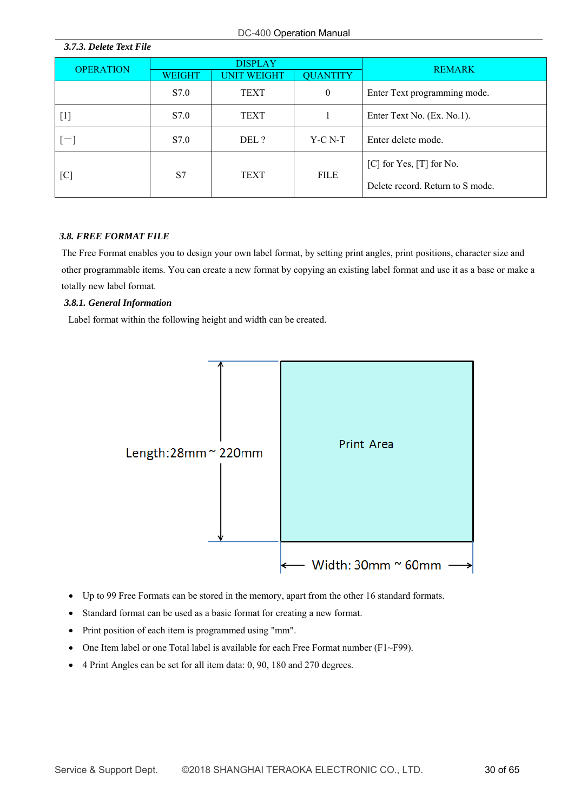|                  | <b>DISPLAY</b>    |                    |                 | <b>REMARK</b>                    |  |
|------------------|-------------------|--------------------|-----------------|----------------------------------|--|
| <b>OPERATION</b> | <b>WEIGHT</b>     | <b>UNIT WEIGHT</b> | <b>QUANTITY</b> |                                  |  |
|                  | S7.0              | TEXT               | $\mathbf{0}$    | Enter Text programming mode.     |  |
| $[1]$            | S7.0              | TEXT               |                 | Enter Text No. (Ex. No.1).       |  |
| $[-]$            | S7.0              | DEL ?              | Y-C N-T         | Enter delete mode.               |  |
|                  |                   |                    | <b>FILE</b>     | $[C]$ for Yes, $[T]$ for No.     |  |
| [C]              | S7<br><b>TEXT</b> |                    |                 | Delete record. Return to S mode. |  |

# *3.8. FREE FORMAT FILE*

*3.7.3. Delete Text File* 

The Free Format enables you to design your own label format, by setting print angles, print positions, character size and other programmable items. You can create a new format by copying an existing label format and use it as a base or make a totally new label format.

#### *3.8.1. General Information*

Label format within the following height and width can be created.



- Up to 99 Free Formats can be stored in the memory, apart from the other 16 standard formats.
- Standard format can be used as a basic format for creating a new format.
- Print position of each item is programmed using "mm".
- One Item label or one Total label is available for each Free Format number (F1~F99).
- 4 Print Angles can be set for all item data: 0, 90, 180 and 270 degrees.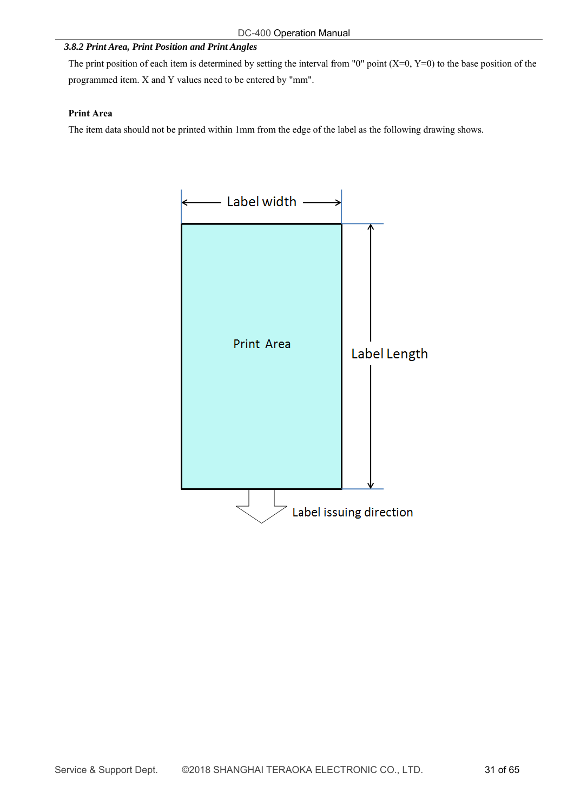#### *3.8.2 Print Area, Print Position and Print Angles*

The print position of each item is determined by setting the interval from "0" point  $(X=0, Y=0)$  to the base position of the programmed item. X and Y values need to be entered by "mm".

#### **Print Area**

The item data should not be printed within 1mm from the edge of the label as the following drawing shows.

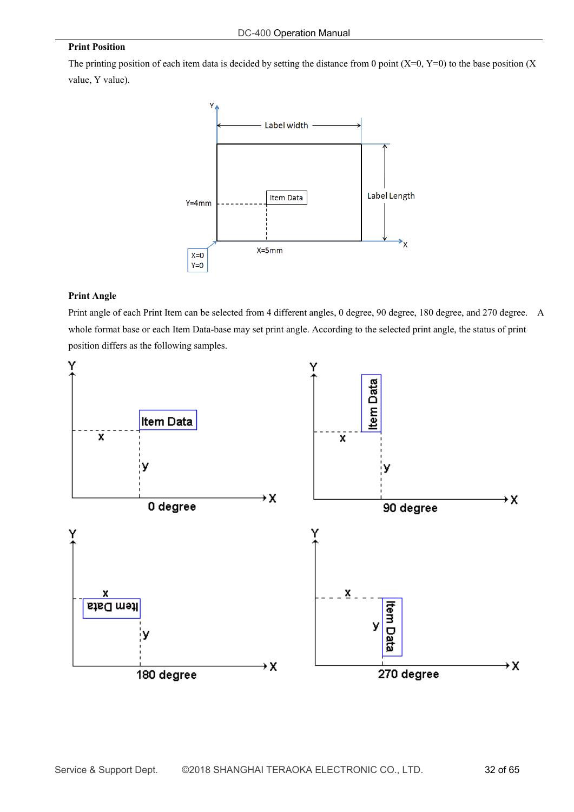#### **Print Position**

The printing position of each item data is decided by setting the distance from 0 point  $(X=0, Y=0)$  to the base position  $(X = 0, Y = 0)$ value, Y value).



#### **Print Angle**

Print angle of each Print Item can be selected from 4 different angles, 0 degree, 90 degree, 180 degree, and 270 degree. A whole format base or each Item Data-base may set print angle. According to the selected print angle, the status of print position differs as the following samples.

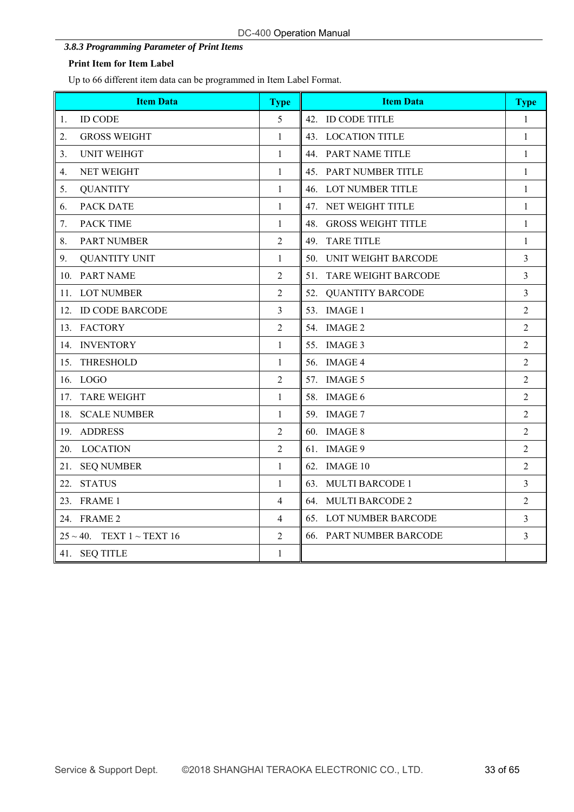# *3.8.3 Programming Parameter of Print Items*

# **Print Item for Item Label**

Up to 66 different item data can be programmed in Item Label Format.

| <b>Item Data</b>                     | <b>Type</b>    | <b>Item Data</b>                  | <b>Type</b>    |
|--------------------------------------|----------------|-----------------------------------|----------------|
| <b>ID CODE</b><br>1.                 | 5              | 42. ID CODE TITLE                 | $\mathbf{1}$   |
| 2.<br><b>GROSS WEIGHT</b>            | $\mathbf{1}$   | 43. LOCATION TITLE                | $\mathbf{1}$   |
| <b>UNIT WEIHGT</b><br>3.             | $\mathbf{1}$   | 44. PART NAME TITLE               | $\mathbf{1}$   |
| <b>NET WEIGHT</b><br>4.              | $\mathbf{1}$   | 45. PART NUMBER TITLE             | $\mathbf{1}$   |
| <b>QUANTITY</b><br>5.                | $\mathbf{1}$   | 46. LOT NUMBER TITLE              | $\mathbf{1}$   |
| PACK DATE<br>6.                      | $\mathbf{1}$   | 47. NET WEIGHT TITLE              | $\mathbf{1}$   |
| <b>PACK TIME</b><br>7.               | $\mathbf{1}$   | 48.<br><b>GROSS WEIGHT TITLE</b>  | $\mathbf{1}$   |
| PART NUMBER<br>8.                    | 2              | 49. TARE TITLE                    | $\mathbf{1}$   |
| 9.<br><b>QUANTITY UNIT</b>           | $\mathbf{1}$   | <b>UNIT WEIGHT BARCODE</b><br>50. | 3              |
| 10. PART NAME                        | $\overline{c}$ | 51. TARE WEIGHT BARCODE           | 3              |
| 11. LOT NUMBER                       | $\overline{c}$ | 52.<br><b>QUANTITY BARCODE</b>    | 3              |
| 12. ID CODE BARCODE                  | 3              | 53. IMAGE 1                       | $\overline{c}$ |
| 13. FACTORY                          | $\overline{c}$ | 54. IMAGE 2                       | $\overline{2}$ |
| 14. INVENTORY                        | $\mathbf{1}$   | 55. IMAGE 3                       | $\overline{2}$ |
| <b>THRESHOLD</b><br>15.              | $\mathbf{1}$   | 56. IMAGE 4                       | $\overline{c}$ |
| 16. LOGO                             | 2              | 57. IMAGE 5                       | $\overline{c}$ |
| <b>TARE WEIGHT</b><br>17.            | 1              | 58. IMAGE 6                       | $\overline{2}$ |
| 18. SCALE NUMBER                     | 1              | 59. IMAGE 7                       | $\overline{2}$ |
| 19.<br><b>ADDRESS</b>                | $\overline{2}$ | 60. IMAGE 8                       | $\overline{2}$ |
| 20.<br><b>LOCATION</b>               | $\overline{2}$ | 61. IMAGE 9                       | $\overline{c}$ |
| 21. SEQ NUMBER                       | $\mathbf{1}$   | 62. IMAGE 10                      | $\overline{2}$ |
| <b>STATUS</b><br>22.                 | $\mathbf{1}$   | 63. MULTI BARCODE 1               | $\overline{3}$ |
| 23. FRAME 1                          | 4              | 64. MULTI BARCODE 2               | $\overline{c}$ |
| 24. FRAME 2                          | 4              | 65. LOT NUMBER BARCODE            | 3              |
| $25 \sim 40$ . TEXT $1 \sim$ TEXT 16 | $\overline{2}$ | 66. PART NUMBER BARCODE           | 3              |
| 41. SEQ TITLE                        | $\mathbf{1}$   |                                   |                |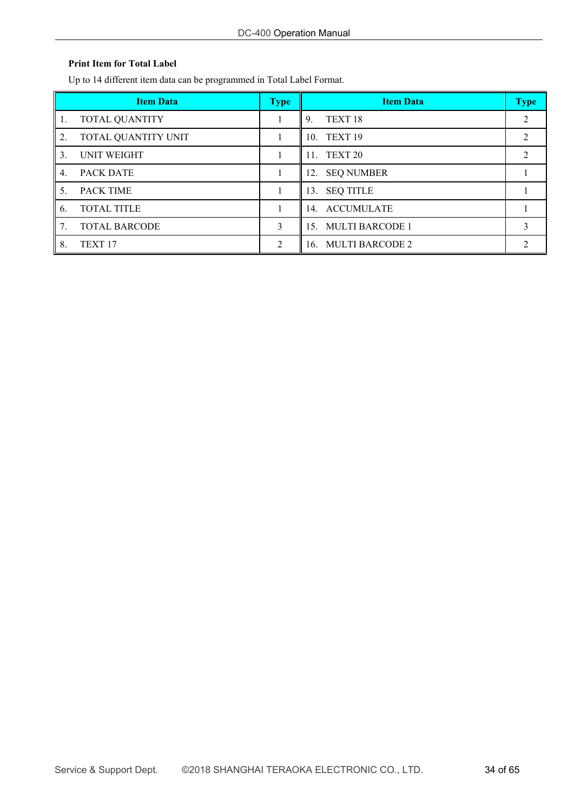# **Print Item for Total Label**

Up to 14 different item data can be programmed in Total Label Format.

|     | <b>Item Data</b>      | <b>Type</b> | <b>Item Data</b>         | <b>Type</b>    |
|-----|-----------------------|-------------|--------------------------|----------------|
| -1. | <b>TOTAL QUANTITY</b> |             | TEXT <sub>18</sub><br>9. | $\mathfrak{D}$ |
| 2.  | TOTAL QUANTITY UNIT   |             | 10. TEXT 19              |                |
| 3.  | <b>UNIT WEIGHT</b>    |             | 11. TEXT 20              |                |
| 4.  | <b>PACK DATE</b>      |             | 12. SEQ NUMBER           |                |
| 5.  | <b>PACK TIME</b>      |             | 13. SEQ TITLE            |                |
| 6.  | <b>TOTAL TITLE</b>    |             | 14. ACCUMULATE           |                |
| 7.  | <b>TOTAL BARCODE</b>  | 3           | 15. MULTI BARCODE 1      |                |
| 8.  | TEXT <sub>17</sub>    | 2           | 16. MULTI BARCODE 2      |                |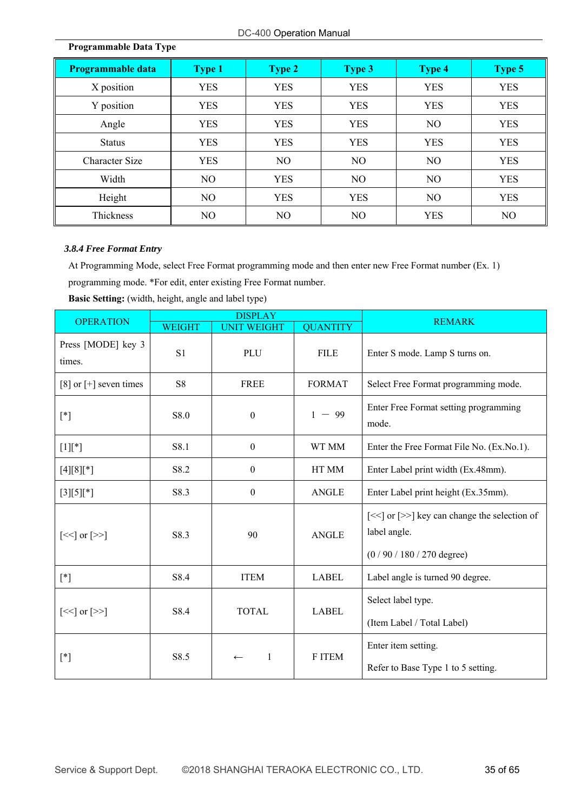| Programmable data | <b>Type 1</b> | <b>Type 2</b>  | Type 3     | <b>Type 4</b>  | <b>Type 5</b> |
|-------------------|---------------|----------------|------------|----------------|---------------|
| X position        | <b>YES</b>    | <b>YES</b>     | <b>YES</b> | <b>YES</b>     | <b>YES</b>    |
| Y position        | <b>YES</b>    | <b>YES</b>     | <b>YES</b> | <b>YES</b>     | <b>YES</b>    |
| Angle             | <b>YES</b>    | <b>YES</b>     | <b>YES</b> | NO             | <b>YES</b>    |
| <b>Status</b>     | <b>YES</b>    | <b>YES</b>     | <b>YES</b> | <b>YES</b>     | <b>YES</b>    |
| Character Size    | <b>YES</b>    | N <sub>O</sub> | NO.        | NO             | <b>YES</b>    |
| Width             | NO            | <b>YES</b>     | NO         | NO             | <b>YES</b>    |
| Height            | NO            | <b>YES</b>     | <b>YES</b> | N <sub>O</sub> | <b>YES</b>    |
| Thickness         | NO.           | N <sub>O</sub> | NO         | <b>YES</b>     | NO            |

# **Programmable Data Type**

# *3.8.4 Free Format Entry*

At Programming Mode, select Free Format programming mode and then enter new Free Format number (Ex. 1) programming mode. \*For edit, enter existing Free Format number.

|                                          |                | <b>DISPLAY</b>     |                 |                                                                                         |
|------------------------------------------|----------------|--------------------|-----------------|-----------------------------------------------------------------------------------------|
| <b>OPERATION</b>                         | <b>WEIGHT</b>  | <b>UNIT WEIGHT</b> | <b>QUANTITY</b> | <b>REMARK</b>                                                                           |
| Press [MODE] key 3<br>times.             | S <sub>1</sub> | PLU                | <b>FILE</b>     | Enter S mode. Lamp S turns on.                                                          |
| [8] or $[+]$ seven times                 | S8             | <b>FREE</b>        | <b>FORMAT</b>   | Select Free Format programming mode.                                                    |
| $[^*]$                                   | S8.0           | $\boldsymbol{0}$   | $1 - 99$        | Enter Free Format setting programming<br>mode.                                          |
| $[1]$ [*]                                | S8.1           | $\theta$           | WT MM           | Enter the Free Format File No. (Ex.No.1).                                               |
| $[4][8][*]$                              | S8.2           | $\boldsymbol{0}$   | HT MM           | Enter Label print width (Ex.48mm).                                                      |
| $[3][5][*]$                              | S8.3           | $\boldsymbol{0}$   | <b>ANGLE</b>    | Enter Label print height (Ex.35mm).                                                     |
| $[<<]$ or $[>>]$                         | S8.3           | 90                 | <b>ANGLE</b>    | [<<] or [>>] key can change the selection of<br>label angle.<br>$(0/90/180/270$ degree) |
| $[^*]$                                   | S8.4           | <b>ITEM</b>        | <b>LABEL</b>    | Label angle is turned 90 degree.                                                        |
| $\left[\ll\right]$ or $\left[\gg\right]$ | S8.4           | <b>TOTAL</b>       | <b>LABEL</b>    | Select label type.<br>(Item Label / Total Label)                                        |
| $[^*]$                                   | S8.5           | $\mathbf{1}$       | F ITEM          | Enter item setting.<br>Refer to Base Type 1 to 5 setting.                               |

**Basic Setting:** (width, height, angle and label type)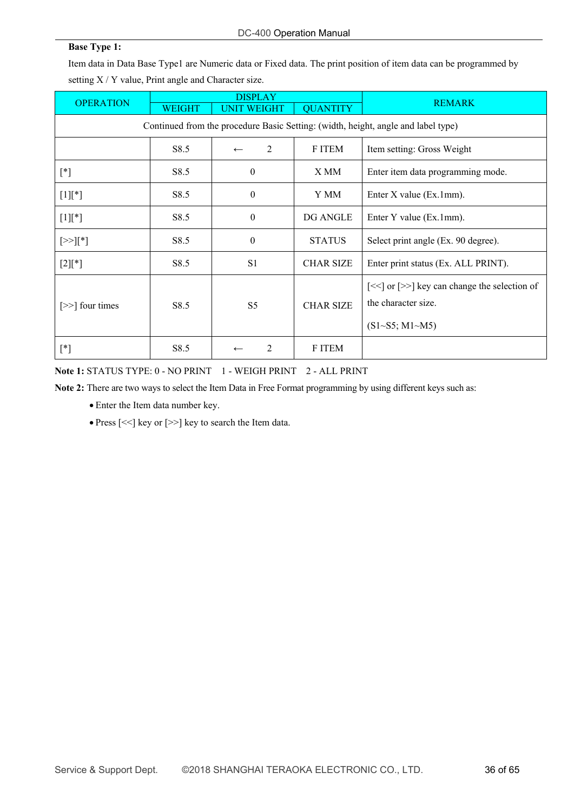#### **Base Type 1:**

Item data in Data Base Type1 are Numeric data or Fixed data. The print position of item data can be programmed by setting X / Y value, Print angle and Character size.

| <b>OPERATION</b>                                                                  | <b>DISPLAY</b>   |                                |                  | <b>REMARK</b>                                                                                                                 |  |  |  |
|-----------------------------------------------------------------------------------|------------------|--------------------------------|------------------|-------------------------------------------------------------------------------------------------------------------------------|--|--|--|
|                                                                                   | <b>WEIGHT</b>    | <b>UNIT WEIGHT</b>             | <b>QUANTITY</b>  |                                                                                                                               |  |  |  |
| Continued from the procedure Basic Setting: (width, height, angle and label type) |                  |                                |                  |                                                                                                                               |  |  |  |
|                                                                                   | S <sub>8.5</sub> | $\mathfrak{D}$<br>$\leftarrow$ | F ITEM           | Item setting: Gross Weight                                                                                                    |  |  |  |
| $[^*]$                                                                            | S8.5             | $\mathbf{0}$                   | X MM             | Enter item data programming mode.                                                                                             |  |  |  |
| $[1]$ [*]                                                                         | S8.5             | $\mathbf{0}$                   | Y MM             | Enter X value (Ex.1mm).                                                                                                       |  |  |  |
| $[1]$ [*]                                                                         | S8.5             | $\mathbf{0}$                   | DG ANGLE         | Enter Y value (Ex.1mm).                                                                                                       |  |  |  |
| $[>][*]$                                                                          | S8.5             | $\mathbf{0}$                   | <b>STATUS</b>    | Select print angle (Ex. 90 degree).                                                                                           |  |  |  |
| $[2]$ [*]                                                                         | S8.5             | S1                             | <b>CHAR SIZE</b> | Enter print status (Ex. ALL PRINT).                                                                                           |  |  |  |
| $[\gg]$ four times                                                                | S <sub>8.5</sub> | S <sub>5</sub>                 | <b>CHAR SIZE</b> | $\left[\ll\right]$ or $\left[\gg\right]$ key can change the selection of<br>the character size.<br>$(S1 \sim S5; M1 \sim M5)$ |  |  |  |
| $[^*]$                                                                            | S8.5             | 2                              | F ITEM           |                                                                                                                               |  |  |  |

**Note 1:** STATUS TYPE: 0 - NO PRINT 1 - WEIGH PRINT 2 - ALL PRINT

**Note 2:** There are two ways to select the Item Data in Free Format programming by using different keys such as:

- Enter the Item data number key.
- Press [<<] key or [>>] key to search the Item data.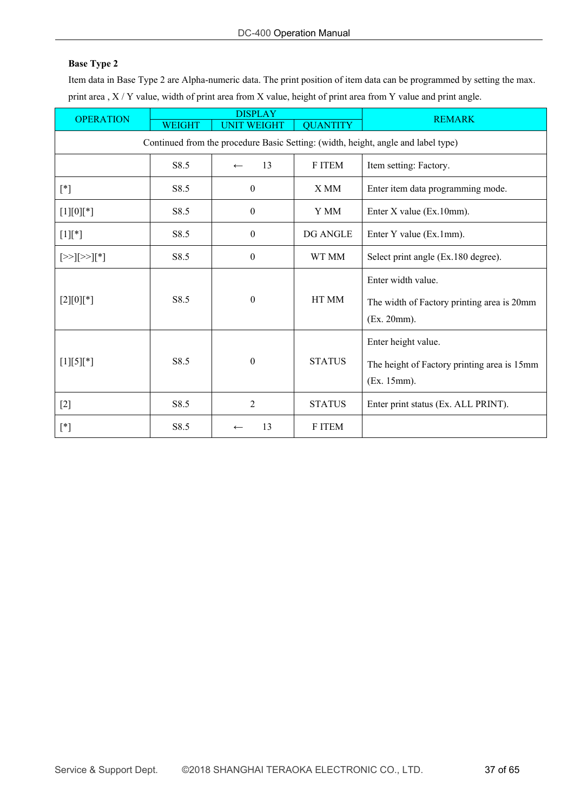Item data in Base Type 2 are Alpha-numeric data. The print position of item data can be programmed by setting the max. print area , X / Y value, width of print area from X value, height of print area from Y value and print angle.

| <b>OPERATION</b> | <b>DISPLAY</b> |                    | <b>REMARK</b>   |                                                                                   |
|------------------|----------------|--------------------|-----------------|-----------------------------------------------------------------------------------|
|                  | <b>WEIGHT</b>  | <b>UNIT WEIGHT</b> | <b>QUANTITY</b> |                                                                                   |
|                  |                |                    |                 | Continued from the procedure Basic Setting: (width, height, angle and label type) |
|                  | S8.5           | 13<br>$\leftarrow$ | F ITEM          | Item setting: Factory.                                                            |
| $[^*]$           | S8.5           | $\mathbf{0}$       | X MM            | Enter item data programming mode.                                                 |
| $[1][0][*]$      | S8.5           | $\boldsymbol{0}$   | Y MM            | Enter X value (Ex.10mm).                                                          |
| $[1]$ [*]        | S8.5           | $\boldsymbol{0}$   | <b>DG ANGLE</b> | Enter Y value (Ex.1mm).                                                           |
| $[>][>][>][*]$   | S8.5           | $\boldsymbol{0}$   | WT MM           | Select print angle (Ex.180 degree).                                               |
| $[2][0][*]$      | S8.5           | $\boldsymbol{0}$   | HT MM           | Enter width value.<br>The width of Factory printing area is 20mm<br>(Ex. 20mm).   |
| $[1][5][*]$      | S8.5           | $\boldsymbol{0}$   | <b>STATUS</b>   | Enter height value.<br>The height of Factory printing area is 15mm<br>(Ex. 15mm). |
| $[2]$            | S8.5           | $\overline{2}$     | <b>STATUS</b>   | Enter print status (Ex. ALL PRINT).                                               |
| $[^*]$           | S8.5           | 13                 | <b>FITEM</b>    |                                                                                   |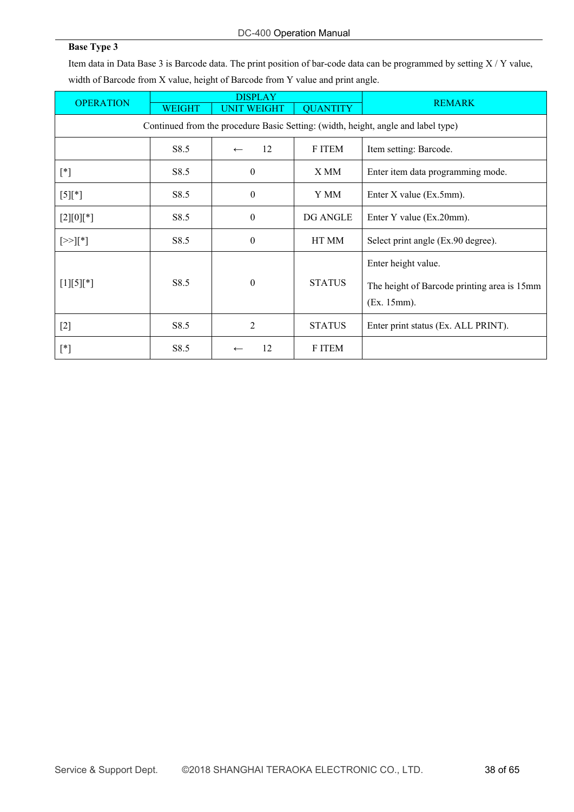Item data in Data Base 3 is Barcode data. The print position of bar-code data can be programmed by setting  $X/Y$  value, width of Barcode from X value, height of Barcode from Y value and print angle.

| <b>OPERATION</b> | <b>DISPLAY</b>                                                                    |                    |                 | <b>REMARK</b>                               |  |  |  |  |
|------------------|-----------------------------------------------------------------------------------|--------------------|-----------------|---------------------------------------------|--|--|--|--|
|                  | <b>WEIGHT</b>                                                                     | <b>UNIT WEIGHT</b> | <b>QUANTITY</b> |                                             |  |  |  |  |
|                  | Continued from the procedure Basic Setting: (width, height, angle and label type) |                    |                 |                                             |  |  |  |  |
|                  | S8.5                                                                              | 12<br>$\leftarrow$ | F ITEM          | Item setting: Barcode.                      |  |  |  |  |
| $[^*]$           | S8.5                                                                              | $\theta$           | X MM            | Enter item data programming mode.           |  |  |  |  |
| $[5]$ [*]        | S8.5                                                                              | $\boldsymbol{0}$   | Y MM            | Enter X value (Ex.5mm).                     |  |  |  |  |
| $[2][0][*]$      | S8.5                                                                              | $\theta$           | DG ANGLE        | Enter Y value (Ex.20mm).                    |  |  |  |  |
| $[>\times]$ [*]  | S8.5                                                                              | $\theta$           | HT MM           | Select print angle (Ex.90 degree).          |  |  |  |  |
|                  |                                                                                   |                    |                 | Enter height value.                         |  |  |  |  |
| $[1][5][*]$      | S8.5                                                                              | $\boldsymbol{0}$   | <b>STATUS</b>   | The height of Barcode printing area is 15mm |  |  |  |  |
|                  |                                                                                   |                    |                 | (Ex. 15mm).                                 |  |  |  |  |
| $[2]$            | S8.5                                                                              | $\overline{2}$     | <b>STATUS</b>   | Enter print status (Ex. ALL PRINT).         |  |  |  |  |
| $[^*]$           | S8.5                                                                              | 12                 | F ITEM          |                                             |  |  |  |  |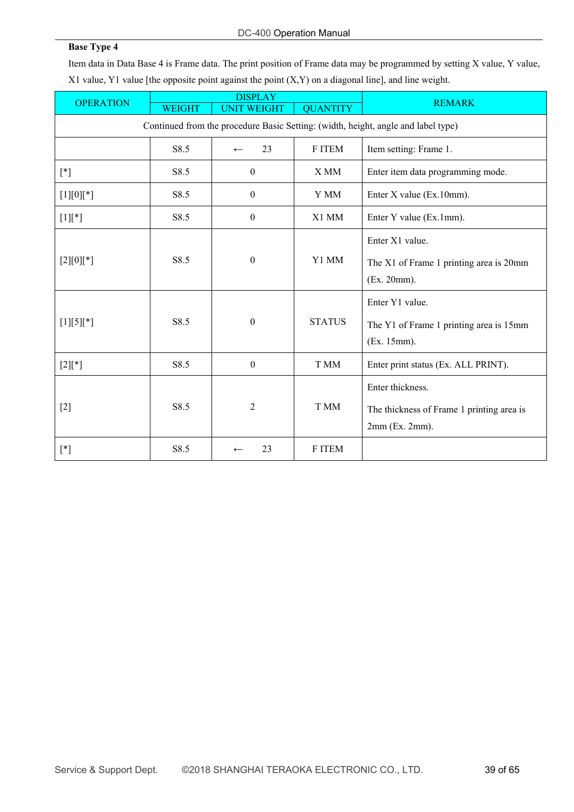Item data in Data Base 4 is Frame data. The print position of Frame data may be programmed by setting X value, Y value, X1 value, Y1 value [the opposite point against the point (X,Y) on a diagonal line], and line weight.

| <b>OPERATION</b> |               | <b>DISPLAY</b>     |                 | <b>REMARK</b>                                                                        |
|------------------|---------------|--------------------|-----------------|--------------------------------------------------------------------------------------|
|                  | <b>WEIGHT</b> | <b>UNIT WEIGHT</b> | <b>QUANTITY</b> |                                                                                      |
|                  |               |                    |                 | Continued from the procedure Basic Setting: (width, height, angle and label type)    |
|                  | S8.5          | 23<br>$\leftarrow$ | F ITEM          | Item setting: Frame 1.                                                               |
| $[ * ]$          | S8.5          | $\mathbf{0}$       | X MM            | Enter item data programming mode.                                                    |
| $[1][0][*]$      | S8.5          | $\boldsymbol{0}$   | Y MM            | Enter X value (Ex.10mm).                                                             |
| $[1]$ [*]        | S8.5          | $\boldsymbol{0}$   | X1 MM           | Enter Y value (Ex.1mm).                                                              |
| $[2][0][*]$      | S8.5          | $\boldsymbol{0}$   | Y1 MM           | Enter X1 value.<br>The X1 of Frame 1 printing area is 20mm<br>(Ex. 20mm).            |
| $[1][5][*]$      | S8.5          | $\boldsymbol{0}$   | <b>STATUS</b>   | Enter Y1 value.<br>The Y1 of Frame 1 printing area is 15mm<br>(Ex. 15mm).            |
| $[2]$ [*]        | S8.5          | $\boldsymbol{0}$   | T MM            | Enter print status (Ex. ALL PRINT).                                                  |
| $[2]$            | S8.5          | $\overline{2}$     | T MM            | Enter thickness.<br>The thickness of Frame 1 printing area is<br>$2mm$ (Ex. $2mm$ ). |
| $[ * ]$          | S8.5          | 23<br>$\leftarrow$ | F ITEM          |                                                                                      |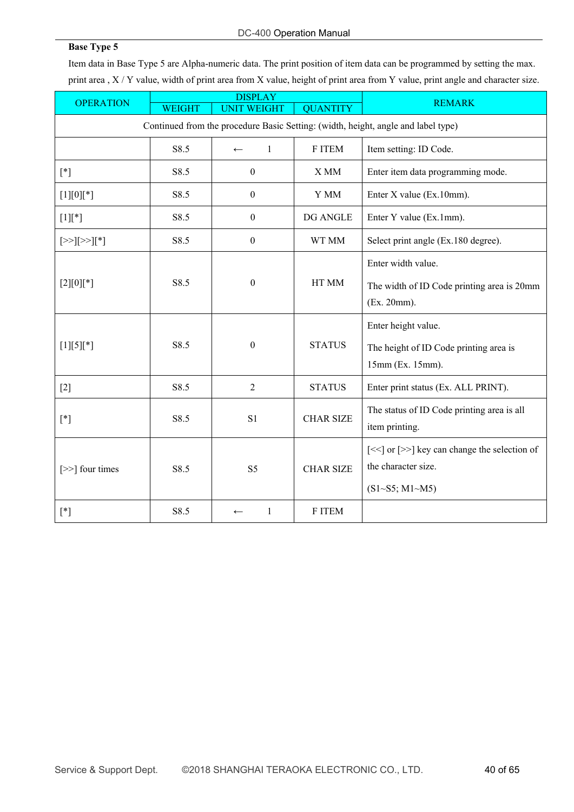Item data in Base Type 5 are Alpha-numeric data. The print position of item data can be programmed by setting the max. print area , X / Y value, width of print area from X value, height of print area from Y value, print angle and character size.

| <b>OPERATION</b>                                                                                                                                                                                                                                                                                                                                                                                                                                                                                                                                                                                                        |                                                                                   | <b>DISPLAY</b>               |                  | <b>REMARK</b>                                                                                                                 |  |  |  |
|-------------------------------------------------------------------------------------------------------------------------------------------------------------------------------------------------------------------------------------------------------------------------------------------------------------------------------------------------------------------------------------------------------------------------------------------------------------------------------------------------------------------------------------------------------------------------------------------------------------------------|-----------------------------------------------------------------------------------|------------------------------|------------------|-------------------------------------------------------------------------------------------------------------------------------|--|--|--|
|                                                                                                                                                                                                                                                                                                                                                                                                                                                                                                                                                                                                                         | <b>WEIGHT</b>                                                                     | <b>UNIT WEIGHT</b>           | <b>QUANTITY</b>  |                                                                                                                               |  |  |  |
|                                                                                                                                                                                                                                                                                                                                                                                                                                                                                                                                                                                                                         | Continued from the procedure Basic Setting: (width, height, angle and label type) |                              |                  |                                                                                                                               |  |  |  |
|                                                                                                                                                                                                                                                                                                                                                                                                                                                                                                                                                                                                                         | S8.5                                                                              | $\mathbf{1}$<br>$\leftarrow$ | F ITEM           | Item setting: ID Code.                                                                                                        |  |  |  |
| $[*] % \begin{center} % \includegraphics[width=\linewidth]{imagesSupplemental_3.png} % \end{center} % \caption { % \textit{DefNet} of \textit{DefNet} and \textit{DefNet} and \textit{DefNet} and \textit{DefNet} and \textit{DefNet} are used to be used. % \textit{DefNet} and \textit{DefNet} are used to be used. % \textit{DefNet} and \textit{DefNet} are used to be used. % \textit{DefNet} and \textit{DefNet} are used to be used. % \textit{DefNet} and \textit{DefNet} are used to be used. % \textit{DefNet} and \textit{DefNet} are used to be used. % \textit{DefNet} and \textit{DefNet} are used to be$ | S8.5                                                                              | $\boldsymbol{0}$             | X MM             | Enter item data programming mode.                                                                                             |  |  |  |
| $[1][0][^*]$                                                                                                                                                                                                                                                                                                                                                                                                                                                                                                                                                                                                            | S8.5                                                                              | $\boldsymbol{0}$             | Y MM             | Enter X value (Ex.10mm).                                                                                                      |  |  |  |
| $[1]$ [*]                                                                                                                                                                                                                                                                                                                                                                                                                                                                                                                                                                                                               | S8.5                                                                              | $\boldsymbol{0}$             | DG ANGLE         | Enter Y value (Ex.1mm).                                                                                                       |  |  |  |
| $[33]$ [ $33$ ][*]                                                                                                                                                                                                                                                                                                                                                                                                                                                                                                                                                                                                      | S8.5                                                                              | $\boldsymbol{0}$             | WT MM            | Select print angle (Ex.180 degree).                                                                                           |  |  |  |
| $[2][0][*]$                                                                                                                                                                                                                                                                                                                                                                                                                                                                                                                                                                                                             | S8.5                                                                              | $\boldsymbol{0}$             | HT MM            | Enter width value.<br>The width of ID Code printing area is 20mm<br>(Ex. 20mm).                                               |  |  |  |
| $[1][5][*]$                                                                                                                                                                                                                                                                                                                                                                                                                                                                                                                                                                                                             | S8.5                                                                              | $\boldsymbol{0}$             | <b>STATUS</b>    | Enter height value.<br>The height of ID Code printing area is<br>15mm (Ex. 15mm).                                             |  |  |  |
| $[2]$                                                                                                                                                                                                                                                                                                                                                                                                                                                                                                                                                                                                                   | S8.5                                                                              | $\overline{c}$               | <b>STATUS</b>    | Enter print status (Ex. ALL PRINT).                                                                                           |  |  |  |
| $[*]$                                                                                                                                                                                                                                                                                                                                                                                                                                                                                                                                                                                                                   | S8.5                                                                              | S1                           | <b>CHAR SIZE</b> | The status of ID Code printing area is all<br>item printing.                                                                  |  |  |  |
| [>>] four times                                                                                                                                                                                                                                                                                                                                                                                                                                                                                                                                                                                                         | S8.5                                                                              | S <sub>5</sub>               | <b>CHAR SIZE</b> | $\left[\ll\right]$ or $\left[\gg\right]$ key can change the selection of<br>the character size.<br>$(S1 \sim S5; M1 \sim M5)$ |  |  |  |
| $[*] % \begin{center} % \includegraphics[width=\linewidth]{imagesSupplemental_3.png} % \end{center} % \caption { % \textit{DefNet} of \textit{DefNet} and \textit{DefNet} of \textit{DefNet} and \textit{DefNet} of \textit{DefNet} and \textit{DefNet} of \textit{DefNet} and \textit{DefNet} of \textit{DefNet} and \textit{DefNet} of \textit{DefNet} and \textit{DefNet} of \textit{DefNet} and \textit{DefNet} of \textit{DefNet} and \textit{DefNet} of \textit{DefNet} and \textit{DefNet} of \textit{DefNet} and \textit{DefNet} of \textit{DefNet} and \textit{DefNet}$                                        | S8.5                                                                              | $\mathbf{1}$<br>$\leftarrow$ | F ITEM           |                                                                                                                               |  |  |  |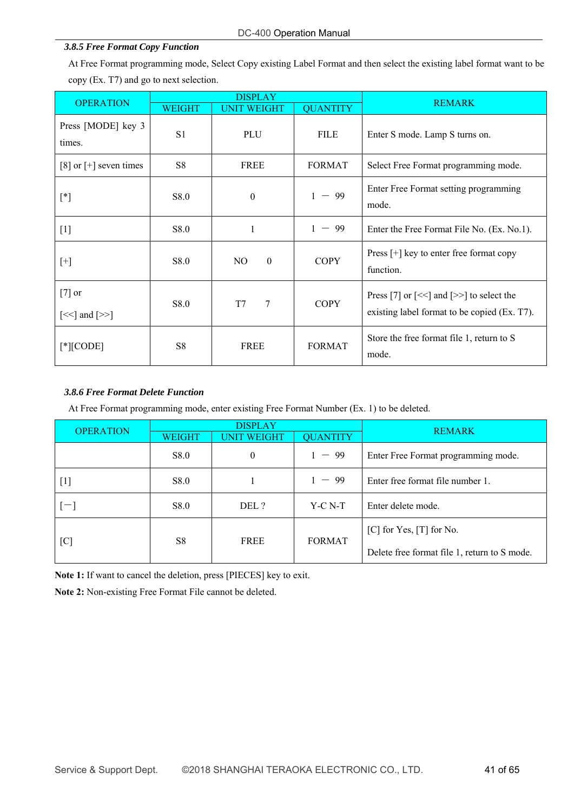#### *3.8.5 Free Format Copy Function*

At Free Format programming mode, Select Copy existing Label Format and then select the existing label format want to be copy (Ex. T7) and go to next selection.

| <b>OPERATION</b>                                      | <b>DISPLAY</b> |                    |                 | <b>REMARK</b>                                                                                                        |
|-------------------------------------------------------|----------------|--------------------|-----------------|----------------------------------------------------------------------------------------------------------------------|
|                                                       | <b>WEIGHT</b>  | <b>UNIT WEIGHT</b> | <b>QUANTITY</b> |                                                                                                                      |
| Press [MODE] key 3<br>times.                          | S <sub>1</sub> | PLU                | <b>FILE</b>     | Enter S mode. Lamp S turns on.                                                                                       |
| $[8]$ or $[+]$ seven times                            | S <sub>8</sub> | <b>FREE</b>        | <b>FORMAT</b>   | Select Free Format programming mode.                                                                                 |
| $[^*]$                                                | S8.0           | $\mathbf{0}$       | $-99$<br>1      | Enter Free Format setting programming<br>mode.                                                                       |
| $[1]$                                                 | S8.0           | 1                  | $-99$           | Enter the Free Format File No. (Ex. No.1).                                                                           |
| $[+]$                                                 | S8.0           | NO<br>$\theta$     | <b>COPY</b>     | Press $[+]$ key to enter free format copy<br>function.                                                               |
| $[7]$ or<br>$\left[\ll\right]$ and $\left[\gg\right]$ | S8.0           | T7<br>7            | <b>COPY</b>     | Press [7] or $\left[\ll\right]$ and $\left[\gg\right]$ to select the<br>existing label format to be copied (Ex. T7). |
| $[$ * $ $ [CODE]                                      | S <sub>8</sub> | FREE               | <b>FORMAT</b>   | Store the free format file 1, return to S<br>mode.                                                                   |

#### *3.8.6 Free Format Delete Function*

At Free Format programming mode, enter existing Free Format Number (Ex. 1) to be deleted.

| <b>OPERATION</b> | <b>DISPLAY</b>         |                                       |               | <b>REMARK</b>                                |  |  |  |
|------------------|------------------------|---------------------------------------|---------------|----------------------------------------------|--|--|--|
|                  | <b>WEIGHT</b>          | <b>QUANTITY</b><br><b>UNIT WEIGHT</b> |               |                                              |  |  |  |
|                  | S8.0                   | $\theta$                              | $1 - 99$      | Enter Free Format programming mode.          |  |  |  |
| $[1]$            | S8.0                   |                                       | $1 - 99$      | Enter free format file number 1.             |  |  |  |
| i—1              | S <sub>8.0</sub>       | DEL ?                                 | $Y-C N-T$     | Enter delete mode.                           |  |  |  |
| [C]              | S <sub>8</sub><br>FREE |                                       | <b>FORMAT</b> | $[C]$ for Yes, $[T]$ for No.                 |  |  |  |
|                  |                        |                                       |               | Delete free format file 1, return to S mode. |  |  |  |

**Note 1:** If want to cancel the deletion, press [PIECES] key to exit.

**Note 2:** Non-existing Free Format File cannot be deleted.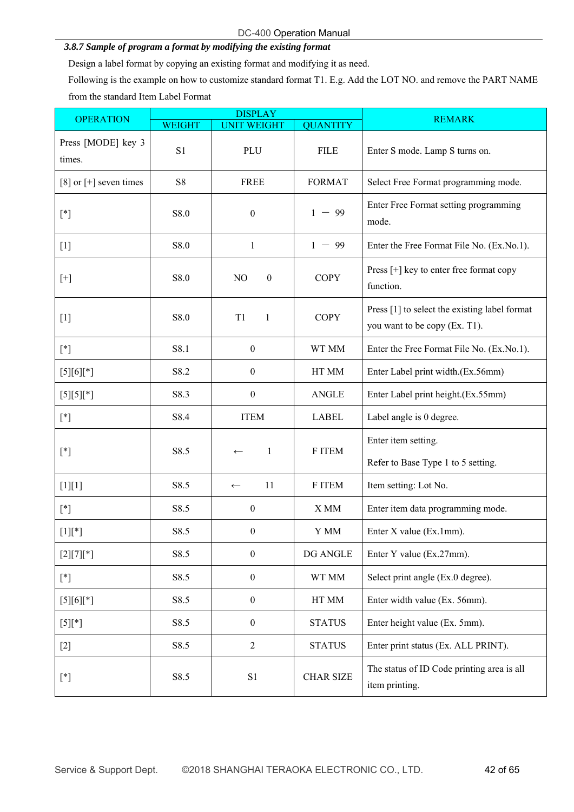#### *3.8.7 Sample of program a format by modifying the existing format*

Design a label format by copying an existing format and modifying it as need.

Following is the example on how to customize standard format T1. E.g. Add the LOT NO. and remove the PART NAME from the standard Item Label Format

| <b>OPERATION</b>                                                                                                                                                                                                                                                                                                                                                                                                                                                                                                                                                                                                                                                                               |                | <b>DISPLAY</b>                     |                  | <b>REMARK</b>                                                                  |
|------------------------------------------------------------------------------------------------------------------------------------------------------------------------------------------------------------------------------------------------------------------------------------------------------------------------------------------------------------------------------------------------------------------------------------------------------------------------------------------------------------------------------------------------------------------------------------------------------------------------------------------------------------------------------------------------|----------------|------------------------------------|------------------|--------------------------------------------------------------------------------|
|                                                                                                                                                                                                                                                                                                                                                                                                                                                                                                                                                                                                                                                                                                | <b>WEIGHT</b>  | <b>UNIT WEIGHT</b>                 | <b>QUANTITY</b>  |                                                                                |
| Press [MODE] key 3<br>times.                                                                                                                                                                                                                                                                                                                                                                                                                                                                                                                                                                                                                                                                   | S <sub>1</sub> | PLU                                | <b>FILE</b>      | Enter S mode. Lamp S turns on.                                                 |
| [8] or $[+]$ seven times                                                                                                                                                                                                                                                                                                                                                                                                                                                                                                                                                                                                                                                                       | <b>S8</b>      | <b>FREE</b>                        | <b>FORMAT</b>    | Select Free Format programming mode.                                           |
| $[ * ]$                                                                                                                                                                                                                                                                                                                                                                                                                                                                                                                                                                                                                                                                                        | S8.0           | $\boldsymbol{0}$                   | $1 - 99$         | Enter Free Format setting programming<br>mode.                                 |
| $[1]$                                                                                                                                                                                                                                                                                                                                                                                                                                                                                                                                                                                                                                                                                          | S8.0           | $\mathbf{1}$                       | $1 - 99$         | Enter the Free Format File No. (Ex.No.1).                                      |
| $[+] % \begin{center} % \includegraphics[width=\linewidth]{imagesSupplemental_3.png} % \end{center} % \caption { % of the proposed method. % Our method is used to calculate the \emph{Left panel} (top) and the \emph{Left panel} (bottom) and the \emph{Left panel} (bottom) and the \emph{Left panel} (bottom) and the \emph{Left panel} (bottom) and the \emph{Left panel} (bottom) and the \emph{Left panel} (bottom) and the \emph{Left panel} (bottom) and the \emph{Left panel} (bottom) and the \emph{Left panel} (bottom) and the \emph{Left panel} (bottom) and the \emph{Left panel} (bottom) and the \emph{Left panel} (bottom) and the \emph{Left panel} (bottom) and the \emph$ | S8.0           | N <sub>O</sub><br>$\boldsymbol{0}$ | <b>COPY</b>      | Press [+] key to enter free format copy<br>function.                           |
| $[1]$                                                                                                                                                                                                                                                                                                                                                                                                                                                                                                                                                                                                                                                                                          | S8.0           | T1<br>1                            | <b>COPY</b>      | Press [1] to select the existing label format<br>you want to be copy (Ex. T1). |
| $[ * ]$                                                                                                                                                                                                                                                                                                                                                                                                                                                                                                                                                                                                                                                                                        | S8.1           | $\boldsymbol{0}$                   | WT MM            | Enter the Free Format File No. (Ex.No.1).                                      |
| $[5][6][$ *]                                                                                                                                                                                                                                                                                                                                                                                                                                                                                                                                                                                                                                                                                   | S8.2           | $\boldsymbol{0}$                   | HT MM            | Enter Label print width.(Ex.56mm)                                              |
| $[5][5][*]$                                                                                                                                                                                                                                                                                                                                                                                                                                                                                                                                                                                                                                                                                    | S8.3           | $\boldsymbol{0}$                   | <b>ANGLE</b>     | Enter Label print height.(Ex.55mm)                                             |
| $[ * ]$                                                                                                                                                                                                                                                                                                                                                                                                                                                                                                                                                                                                                                                                                        | S8.4           | <b>ITEM</b>                        | <b>LABEL</b>     | Label angle is 0 degree.                                                       |
| $[ * ]$                                                                                                                                                                                                                                                                                                                                                                                                                                                                                                                                                                                                                                                                                        | S8.5           | -1<br>$\leftarrow$                 | F ITEM           | Enter item setting.<br>Refer to Base Type 1 to 5 setting.                      |
| $[1][1]$                                                                                                                                                                                                                                                                                                                                                                                                                                                                                                                                                                                                                                                                                       | S8.5           | 11<br>$\leftarrow$                 | F ITEM           | Item setting: Lot No.                                                          |
| $[^*]$                                                                                                                                                                                                                                                                                                                                                                                                                                                                                                                                                                                                                                                                                         | S8.5           | $\boldsymbol{0}$                   | X MM             | Enter item data programming mode.                                              |
| $[1]$ [*]                                                                                                                                                                                                                                                                                                                                                                                                                                                                                                                                                                                                                                                                                      | S8.5           | $\boldsymbol{0}$                   | Y MM             | Enter X value (Ex.1mm).                                                        |
| $[2][7][*]$                                                                                                                                                                                                                                                                                                                                                                                                                                                                                                                                                                                                                                                                                    | S8.5           | $\boldsymbol{0}$                   | DG ANGLE         | Enter Y value (Ex.27mm).                                                       |
| $[^*]$                                                                                                                                                                                                                                                                                                                                                                                                                                                                                                                                                                                                                                                                                         | S8.5           | $\boldsymbol{0}$                   | WT MM            | Select print angle (Ex.0 degree).                                              |
| $[5][6][*]$                                                                                                                                                                                                                                                                                                                                                                                                                                                                                                                                                                                                                                                                                    | S8.5           | $\boldsymbol{0}$                   | HT MM            | Enter width value (Ex. 56mm).                                                  |
| $[5]$ [*]                                                                                                                                                                                                                                                                                                                                                                                                                                                                                                                                                                                                                                                                                      | S8.5           | $\boldsymbol{0}$                   | <b>STATUS</b>    | Enter height value (Ex. 5mm).                                                  |
| $[2]$                                                                                                                                                                                                                                                                                                                                                                                                                                                                                                                                                                                                                                                                                          | S8.5           | $\overline{2}$                     | <b>STATUS</b>    | Enter print status (Ex. ALL PRINT).                                            |
| $[^*]$                                                                                                                                                                                                                                                                                                                                                                                                                                                                                                                                                                                                                                                                                         | S8.5           | S1                                 | <b>CHAR SIZE</b> | The status of ID Code printing area is all<br>item printing.                   |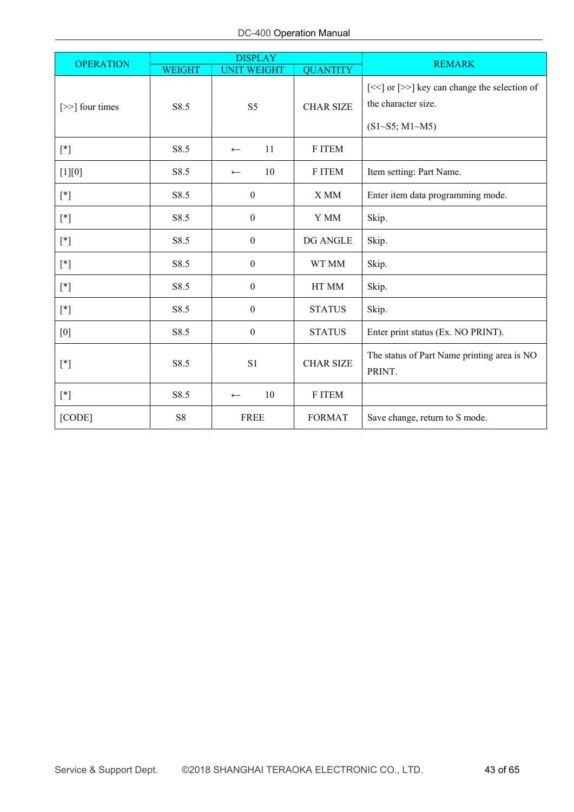| <b>OPERATION</b> |               | <b>DISPLAY</b>                     |                  | <b>REMARK</b>                                                                                     |  |  |  |  |
|------------------|---------------|------------------------------------|------------------|---------------------------------------------------------------------------------------------------|--|--|--|--|
|                  | <b>WEIGHT</b> | <b>UNIT WEIGHT</b>                 | <b>QUANTITY</b>  |                                                                                                   |  |  |  |  |
| [>>] four times  | S8.5          | <b>CHAR SIZE</b><br>S <sub>5</sub> |                  | [<<] or [>>] key can change the selection of<br>the character size.<br>$(S1 \sim S5; M1 \sim M5)$ |  |  |  |  |
| $[^*]$           | S8.5          | 11<br>$\leftarrow$                 | F ITEM           |                                                                                                   |  |  |  |  |
| $[1][0]$         | S8.5          | 10<br>$\leftarrow$                 | F ITEM           | Item setting: Part Name.                                                                          |  |  |  |  |
| $[{}^*]$         | S8.5          | $\boldsymbol{0}$                   | X MM             | Enter item data programming mode.                                                                 |  |  |  |  |
| $[ * ]$          | S8.5          | $\boldsymbol{0}$                   | Y MM             | Skip.                                                                                             |  |  |  |  |
| $[{}^*]$         | S8.5          | $\boldsymbol{0}$                   | DG ANGLE         | Skip.                                                                                             |  |  |  |  |
| $[ * ]$          | S8.5          | $\boldsymbol{0}$                   | WT MM            | Skip.                                                                                             |  |  |  |  |
| $[{}^*]$         | S8.5          | $\boldsymbol{0}$                   | HT MM            | Skip.                                                                                             |  |  |  |  |
| $[^*]$           | S8.5          | $\boldsymbol{0}$                   | <b>STATUS</b>    | Skip.                                                                                             |  |  |  |  |
| [0]              | S8.5          | $\boldsymbol{0}$                   | <b>STATUS</b>    | Enter print status (Ex. NO PRINT).                                                                |  |  |  |  |
| $[ * ]$          | S8.5          | S1                                 | <b>CHAR SIZE</b> | The status of Part Name printing area is NO<br>PRINT.                                             |  |  |  |  |
| $[ * ]$          | S8.5          | 10<br>$\leftarrow$                 | F ITEM           |                                                                                                   |  |  |  |  |
| [CODE]           | ${\bf S8}$    | <b>FREE</b>                        | <b>FORMAT</b>    | Save change, return to S mode.                                                                    |  |  |  |  |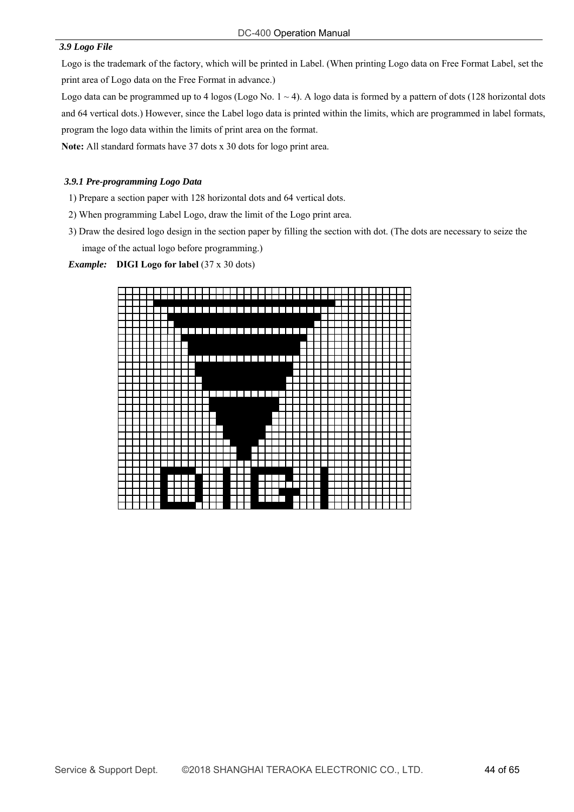#### *3.9 Logo File*

Logo is the trademark of the factory, which will be printed in Label. (When printing Logo data on Free Format Label, set the print area of Logo data on the Free Format in advance.)

Logo data can be programmed up to 4 logos (Logo No.  $1 \sim 4$ ). A logo data is formed by a pattern of dots (128 horizontal dots and 64 vertical dots.) However, since the Label logo data is printed within the limits, which are programmed in label formats, program the logo data within the limits of print area on the format.

**Note:** All standard formats have 37 dots x 30 dots for logo print area.

#### *3.9.1 Pre-programming Logo Data*

- 1) Prepare a section paper with 128 horizontal dots and 64 vertical dots.
- 2) When programming Label Logo, draw the limit of the Logo print area.
- 3) Draw the desired logo design in the section paper by filling the section with dot. (The dots are necessary to seize the image of the actual logo before programming.)

#### *Example:* **DIGI Logo for label** (37 x 30 dots)

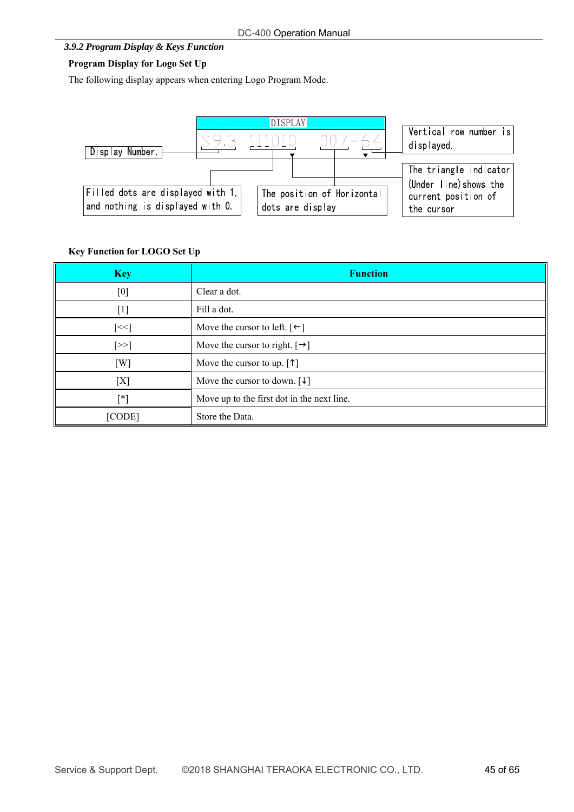#### *3.9.2 Program Display & Keys Function*

# **Program Display for Logo Set Up**

The following display appears when entering Logo Program Mode.



# **Key Function for LOGO Set Up**

| <b>Key</b> | <b>Function</b>                                     |
|------------|-----------------------------------------------------|
| [0]        | Clear a dot.                                        |
| $[1]$      | Fill a dot.                                         |
| $[\leq <]$ | Move the cursor to left. $\lceil \leftarrow \rceil$ |
| $[\geq>]$  | Move the cursor to right. $[\rightarrow]$           |
| [W]        | Move the cursor to up. $[\uparrow]$                 |
| [X]        | Move the cursor to down. $\lceil \downarrow \rceil$ |
| $[^*]$     | Move up to the first dot in the next line.          |
| [CODE]     | Store the Data.                                     |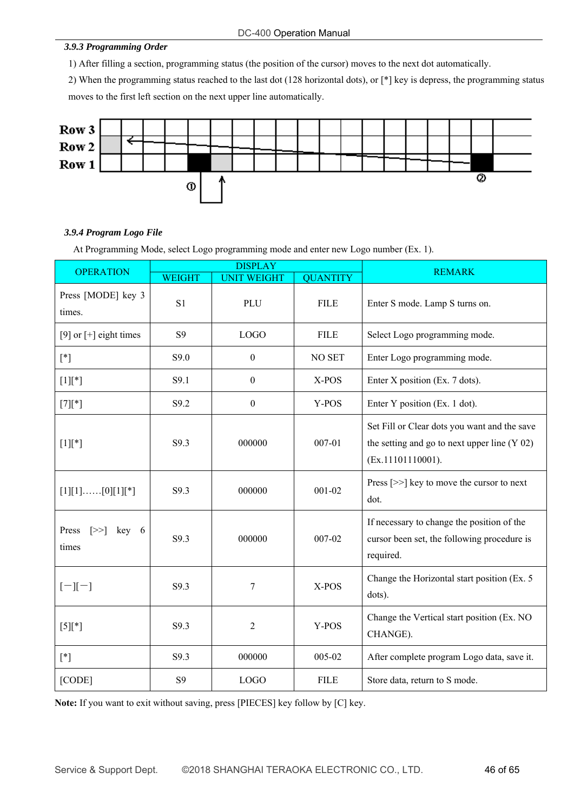#### DC-400 Operation Manual

#### *3.9.3 Programming Order*

1) After filling a section, programming status (the position of the cursor) moves to the next dot automatically.

2) When the programming status reached to the last dot (128 horizontal dots), or [\*] key is depress, the programming status moves to the first left section on the next upper line automatically.



#### *3.9.4 Program Logo File*

At Programming Mode, select Logo programming mode and enter new Logo number (Ex. 1).

| <b>OPERATION</b>                         |                | <b>DISPLAY</b>     |                 | <b>REMARK</b>                                                                                                       |
|------------------------------------------|----------------|--------------------|-----------------|---------------------------------------------------------------------------------------------------------------------|
|                                          | <b>WEIGHT</b>  | <b>UNIT WEIGHT</b> | <b>QUANTITY</b> |                                                                                                                     |
| Press [MODE] key 3<br>times.             | S <sub>1</sub> | PLU                | <b>FILE</b>     | Enter S mode. Lamp S turns on.                                                                                      |
| [9] or $[+]$ eight times                 | S <sub>9</sub> | <b>LOGO</b>        | <b>FILE</b>     | Select Logo programming mode.                                                                                       |
| $[^*]$                                   | S9.0           | $\boldsymbol{0}$   | NO SET          | Enter Logo programming mode.                                                                                        |
| $[1]$ [*]                                | S9.1           | $\boldsymbol{0}$   | X-POS           | Enter X position (Ex. 7 dots).                                                                                      |
| $[7][*]$                                 | S9.2           | $\boldsymbol{0}$   | Y-POS           | Enter Y position (Ex. 1 dot).                                                                                       |
| $[1]$ [*]                                | S9.3           | 000000             | $007 - 01$      | Set Fill or Clear dots you want and the save<br>the setting and go to next upper line $(Y 02)$<br>(Ex.11101110001). |
| $[1][1]$ [0][1][*]                       | S9.3           | 000000             | $001 - 02$      | Press $[>>]$ key to move the cursor to next<br>dot.                                                                 |
| Press<br>$\ge$<br>$key \quad 6$<br>times | S9.3           | 000000             | $007 - 02$      | If necessary to change the position of the<br>cursor been set, the following procedure is<br>required.              |
| $[-][-]$                                 | S9.3           | $\tau$             | X-POS           | Change the Horizontal start position (Ex. 5<br>dots).                                                               |
| $[5]$ [*]                                | S9.3           | $\overline{2}$     | Y-POS           | Change the Vertical start position (Ex. NO<br>CHANGE).                                                              |
| $[ * ]$                                  | S9.3           | 000000             | 005-02          | After complete program Logo data, save it.                                                                          |
| [CODE]                                   | S <sub>9</sub> | <b>LOGO</b>        | <b>FILE</b>     | Store data, return to S mode.                                                                                       |

**Note:** If you want to exit without saving, press [PIECES] key follow by [C] key.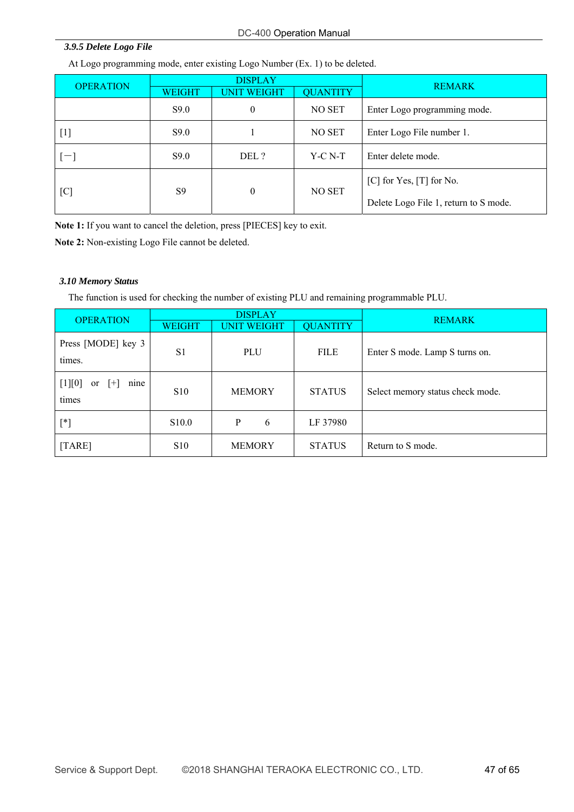### DC-400 Operation Manual

#### *3.9.5 Delete Logo File*

At Logo programming mode, enter existing Logo Number (Ex. 1) to be deleted.

|                  | <b>DISPLAY</b>                      |       |                 | <b>REMARK</b>                         |  |  |  |
|------------------|-------------------------------------|-------|-----------------|---------------------------------------|--|--|--|
| <b>OPERATION</b> | <b>UNIT WEIGHT</b><br><b>WEIGHT</b> |       | <b>QUANTITY</b> |                                       |  |  |  |
|                  | S9.0                                | 0     | NO SET          | Enter Logo programming mode.          |  |  |  |
| $[1]$            | S9.0                                |       | NO SET          | Enter Logo File number 1.             |  |  |  |
| $-1$             | S9.0                                | DEL ? | $Y-C N-T$       | Enter delete mode.                    |  |  |  |
|                  | $\boldsymbol{0}$                    |       | NO SET          | $[C]$ for Yes, $[T]$ for No.          |  |  |  |
| [C]              | S <sub>9</sub>                      |       |                 | Delete Logo File 1, return to S mode. |  |  |  |

**Note 1:** If you want to cancel the deletion, press [PIECES] key to exit.

**Note 2:** Non-existing Logo File cannot be deleted.

#### *3.10 Memory Status*

The function is used for checking the number of existing PLU and remaining programmable PLU.

| <b>OPERATION</b>                         |                                                        | <b>DISPLAY</b>     | <b>REMARK</b> |                                  |  |
|------------------------------------------|--------------------------------------------------------|--------------------|---------------|----------------------------------|--|
|                                          | <b>QUANTITY</b><br><b>UNIT WEIGHT</b><br><b>WEIGHT</b> |                    |               |                                  |  |
| Press [MODE] key 3<br>times.             | S <sub>1</sub>                                         | PLU<br><b>FILE</b> |               | Enter S mode. Lamp S turns on.   |  |
| $[1][0]$<br>nine<br>$ + $<br>or<br>times | <b>S10</b>                                             | <b>MEMORY</b>      | <b>STATUS</b> | Select memory status check mode. |  |
| $[^*]$                                   | S <sub>10.0</sub>                                      | 6<br>P             | LF 37980      |                                  |  |
| [TARE]                                   | <b>S10</b>                                             | <b>MEMORY</b>      | <b>STATUS</b> | Return to S mode.                |  |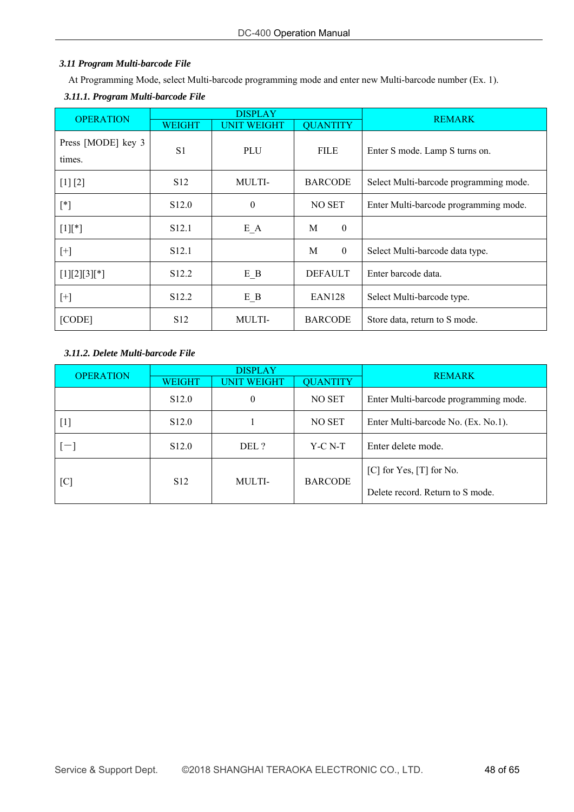# *3.11 Program Multi-barcode File*

At Programming Mode, select Multi-barcode programming mode and enter new Multi-barcode number (Ex. 1).

# *3.11.1. Program Multi-barcode File*

| <b>OPERATION</b>             | <b>DISPLAY</b>    |                    | <b>REMARK</b>         |                                        |
|------------------------------|-------------------|--------------------|-----------------------|----------------------------------------|
|                              | <b>WEIGHT</b>     | <b>UNIT WEIGHT</b> | <b>QUANTITY</b>       |                                        |
| Press [MODE] key 3<br>times. | S <sub>1</sub>    | <b>PLU</b>         | <b>FILE</b>           | Enter S mode. Lamp S turns on.         |
| [1] [2]                      | S <sub>12</sub>   | MULTI-             | <b>BARCODE</b>        | Select Multi-barcode programming mode. |
| $[^*]$                       | S <sub>12.0</sub> | $\theta$           | NO SET                | Enter Multi-barcode programming mode.  |
| $[1]$ <sup>*</sup> ]         | S <sub>12.1</sub> | $E_A$              | $\boldsymbol{0}$<br>M |                                        |
| $[+]$                        | S <sub>12.1</sub> |                    | $\theta$<br>M         | Select Multi-barcode data type.        |
| $[1][2][3][*]$               | S <sub>12.2</sub> | $E$ <sub>B</sub>   | <b>DEFAULT</b>        | Enter barcode data.                    |
| $[+]$                        | S <sub>12.2</sub> | $E$ <sub>B</sub>   | EAN <sub>128</sub>    | Select Multi-barcode type.             |
| [CODE]                       | S <sub>12</sub>   | MULTI-             | <b>BARCODE</b>        | Store data, return to S mode.          |

# *3.11.2. Delete Multi-barcode File*

| <b>OPERATION</b> | <b>DISPLAY</b>                                  |          |                | <b>REMARK</b>                         |  |  |  |
|------------------|-------------------------------------------------|----------|----------------|---------------------------------------|--|--|--|
|                  | <b>QUANTITY</b><br><b>UNIT WEIGHT</b><br>WEIGHT |          |                |                                       |  |  |  |
|                  | S <sub>12.0</sub>                               | $\theta$ | NO SET         | Enter Multi-barcode programming mode. |  |  |  |
| [1]              | S <sub>12.0</sub>                               |          | NO SET         | Enter Multi-barcode No. (Ex. No.1).   |  |  |  |
|                  | S <sub>12.0</sub>                               | DEL ?    | $Y-C N-T$      | Enter delete mode.                    |  |  |  |
|                  | S <sub>12</sub>                                 | MULTI-   | <b>BARCODE</b> | $[C]$ for Yes, $[T]$ for No.          |  |  |  |
| [C]              |                                                 |          |                | Delete record. Return to S mode.      |  |  |  |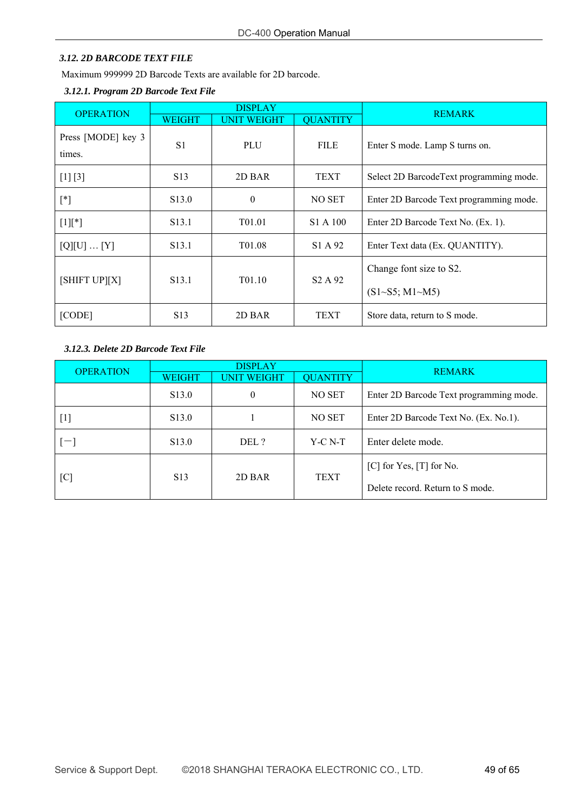# *3.12. 2D BARCODE TEXT FILE*

Maximum 999999 2D Barcode Texts are available for 2D barcode.

# *3.12.1. Program 2D Barcode Text File*

| <b>OPERATION</b>             | <b>DISPLAY</b>    |                    |                                 | <b>REMARK</b>                            |  |  |
|------------------------------|-------------------|--------------------|---------------------------------|------------------------------------------|--|--|
|                              | WEIGHT            | <b>UNIT WEIGHT</b> | <b>QUANTITY</b>                 |                                          |  |  |
| Press [MODE] key 3<br>times. | S <sub>1</sub>    | PLU                | <b>FILE</b>                     | Enter S mode. Lamp S turns on.           |  |  |
| $[1] [3]$                    | S <sub>13</sub>   | 2D BAR             | <b>TEXT</b>                     | Select 2D Barcode Text programming mode. |  |  |
| $[^*]$                       | S <sub>13.0</sub> | $\theta$           | NO SET                          | Enter 2D Barcode Text programming mode.  |  |  |
| $[1]$ [*]                    | S <sub>13.1</sub> | T <sub>01.01</sub> | S1 A 100                        | Enter 2D Barcode Text No. (Ex. 1).       |  |  |
| $[Q][U] \dots [Y]$           | S <sub>13.1</sub> | T <sub>01.08</sub> | S1 A 92                         | Enter Text data (Ex. QUANTITY).          |  |  |
| [SHIFT UP][X]                | S <sub>13.1</sub> | T01.10             | S <sub>2</sub> A 9 <sub>2</sub> | Change font size to S2.                  |  |  |
|                              |                   |                    |                                 | $(S1 \sim S5; M1 \sim M5)$               |  |  |
| [CODE]                       | S <sub>13</sub>   | 2D BAR             | <b>TEXT</b>                     | Store data, return to S mode.            |  |  |

# *3.12.3. Delete 2D Barcode Text File*

| <b>OPERATION</b> |                                                        | <b>DISPLAY</b> |             | <b>REMARK</b>                           |  |  |  |
|------------------|--------------------------------------------------------|----------------|-------------|-----------------------------------------|--|--|--|
|                  | <b>QUANTITY</b><br><b>WEIGHT</b><br><b>UNIT WEIGHT</b> |                |             |                                         |  |  |  |
|                  | S <sub>13.0</sub>                                      | 0              | NO SET      | Enter 2D Barcode Text programming mode. |  |  |  |
| $[1]$            | S <sub>13.0</sub>                                      |                | NO SET      | Enter 2D Barcode Text No. (Ex. No.1).   |  |  |  |
| $[-1]$           | S <sub>13.0</sub>                                      | DEL ?          | $Y-C N-T$   | Enter delete mode.                      |  |  |  |
|                  | S <sub>13</sub><br>2D BAR                              |                | <b>TEXT</b> | $[C]$ for Yes, $[T]$ for No.            |  |  |  |
| [C]              |                                                        |                |             | Delete record. Return to S mode.        |  |  |  |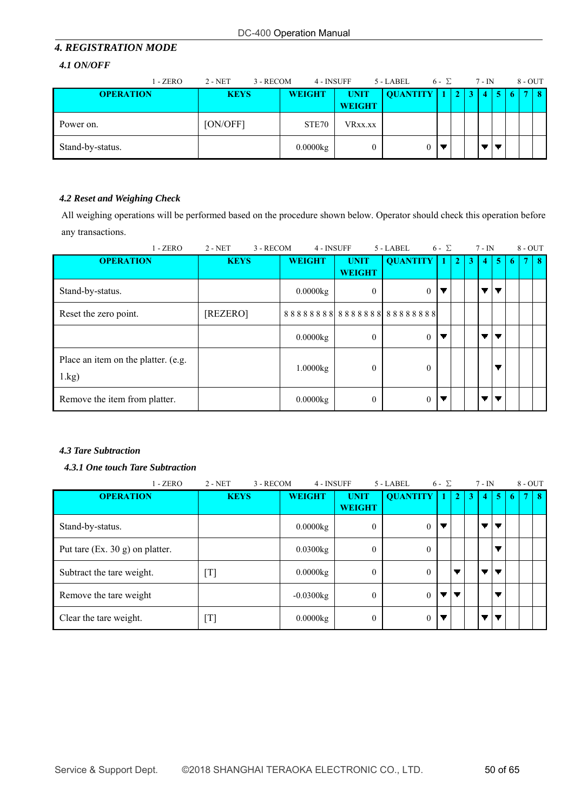# *4. REGISTRATION MODE*

#### *4.1 ON/OFF*

| 1 - ZERO         | 2 - NET<br>3 - RECOM | 4 - INSUFF    |                              | 5 - LABEL       | $6 - \Sigma$ |  | $7 - IN$   |   | 8 - OUT     |    |
|------------------|----------------------|---------------|------------------------------|-----------------|--------------|--|------------|---|-------------|----|
| <b>OPERATION</b> | <b>KEYS</b>          | <b>WEIGHT</b> | <b>UNIT</b><br><b>WEIGHT</b> | <b>QUANTITY</b> |              |  | $\sqrt{4}$ | 5 | <b>VIII</b> | -8 |
| Power on.        | [ON/OFF]             | STE70         | VRxx.xx                      |                 |              |  |            |   |             |    |
| Stand-by-status. |                      | 0.0000kg      |                              |                 |              |  |            |   |             |    |

# *4.2 Reset and Weighing Check*

All weighing operations will be performed based on the procedure shown below. Operator should check this operation before any transactions.

| $1 - ZERO$                                            | $2 - NET$<br>3 - RECOM | 4 - INSUFF    |                              | 5 - LABEL                | $6 - \Sigma$ |                |   | $7 - IN$       |                |    | $8 - OUT$ |    |
|-------------------------------------------------------|------------------------|---------------|------------------------------|--------------------------|--------------|----------------|---|----------------|----------------|----|-----------|----|
| <b>OPERATION</b>                                      | <b>KEYS</b>            | <b>WEIGHT</b> | <b>UNIT</b><br><b>WEIGHT</b> | <b>QUANTITY</b>          |              | $\overline{2}$ | 3 | $\blacksquare$ | 5 <sup>1</sup> | -6 |           | -8 |
| Stand-by-status.                                      |                        | 0.0000kg      | $\theta$                     | $\mathbf{0}$             | ▼            |                |   |                |                |    |           |    |
| Reset the zero point.                                 | [REZERO]               |               |                              | 888888888888888888888888 |              |                |   |                |                |    |           |    |
|                                                       |                        | 0.0000kg      | $\theta$                     | $\mathbf{0}$             |              |                |   |                |                |    |           |    |
| Place an item on the platter. (e.g.<br>$1 \text{ kg}$ |                        | 1.0000kg      | $\theta$                     | $\Omega$                 |              |                |   |                |                |    |           |    |
| Remove the item from platter.                         |                        | 0.0000kg      | $\theta$                     | $\theta$                 |              |                |   |                |                |    |           |    |

# *4.3 Tare Subtraction*

# *4.3.1 One touch Tare Subtraction*

| $1 - ZERO$                        | $2 - NET$<br>3 - RECOM | 4 - INSUFF    |                | 5 - LABEL       | $6 - \sum$ |              |   | $7 - IN$ |   | $8 - OUT$ |    |
|-----------------------------------|------------------------|---------------|----------------|-----------------|------------|--------------|---|----------|---|-----------|----|
| <b>OPERATION</b>                  | <b>KEYS</b>            | <b>WEIGHT</b> | <b>UNIT</b>    | <b>QUANTITY</b> |            | $\mathbf{C}$ | 3 | 4        | 5 |           | -8 |
|                                   |                        |               | <b>WEIGHT</b>  |                 |            |              |   |          |   |           |    |
| Stand-by-status.                  |                        | 0.0000kg      | $\theta$       | $\overline{0}$  | ▼          |              |   |          |   |           |    |
| Put tare $(Ex. 30 g)$ on platter. |                        | $0.0300$ kg   | $\overline{0}$ | $\theta$        |            |              |   |          |   |           |    |
| Subtract the tare weight.         | [T]                    | 0.0000kg      | $\theta$       | $\theta$        |            |              |   |          |   |           |    |
| Remove the tare weight            |                        | $-0.0300kg$   | $\theta$       | $\theta$        | ▼          | ▼            |   |          |   |           |    |
| Clear the tare weight.            | $[T]$                  | 0.0000kg      | $\theta$       | $\overline{0}$  |            |              |   |          |   |           |    |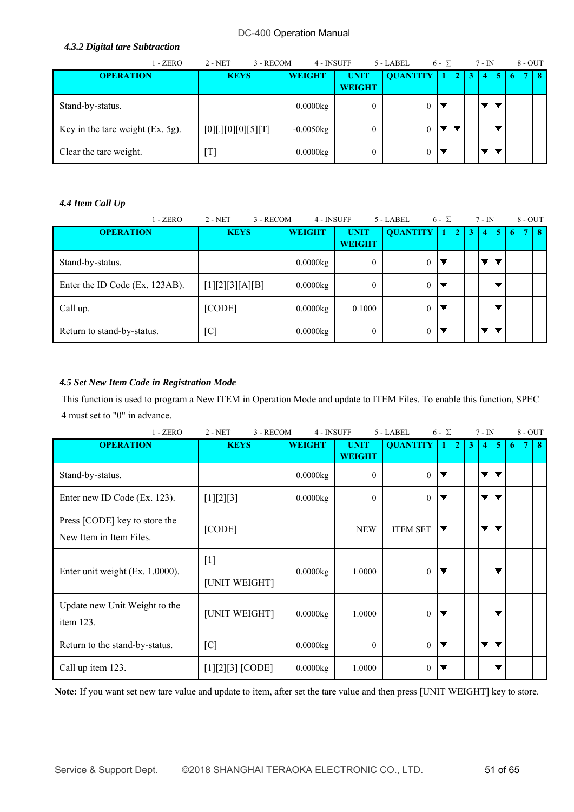| 4.3.2 Digital tare Subtraction   |                        |               |                              |                 |              |              |   |          |    |    |              |   |
|----------------------------------|------------------------|---------------|------------------------------|-----------------|--------------|--------------|---|----------|----|----|--------------|---|
| - ZERO                           | $2 - NET$<br>3 - RECOM | 4 - INSUFF    |                              | $5 - LABEL$     | $6 - \Sigma$ |              |   | $7 - IN$ |    |    | $8 - OUT$    |   |
| <b>OPERATION</b>                 | <b>KEYS</b>            | <b>WEIGHT</b> | <b>UNIT</b><br><b>WEIGHT</b> | <b>OUANTITY</b> | 1            | $\mathbf{2}$ | 3 | 4        | -5 | -6 | $\mathbf{r}$ | 8 |
| Stand-by-status.                 |                        | 0.0000kg      | $\boldsymbol{0}$             | $\theta$        |              |              |   |          |    |    |              |   |
| Key in the tare weight (Ex. 5g). | $[0]$ [.][0][0][5][T]  | $-0.0050kg$   | $\boldsymbol{0}$             | 0               |              |              |   |          |    |    |              |   |
| Clear the tare weight.           | $[\mathrm{T}]$         | 0.0000kg      | $\boldsymbol{0}$             | 0               |              |              |   |          |    |    |              |   |

# *4.4 Item Call Up*

| $1 - ZERO$                     | 3 - RECOM<br>$2 - NET$ | 4 - INSUFF    |                              | 5 - LABEL       | $6 - \Sigma$ |                       |   | 7 - IN         |                |             | $8 - OUT$ |    |
|--------------------------------|------------------------|---------------|------------------------------|-----------------|--------------|-----------------------|---|----------------|----------------|-------------|-----------|----|
| <b>OPERATION</b>               | <b>KEYS</b>            | <b>WEIGHT</b> | <b>UNIT</b><br><b>WEIGHT</b> | <b>QUANTITY</b> |              | $\mathbf{2}^{\prime}$ | 3 | $\overline{4}$ | 5 <sup>5</sup> | $\mathbf b$ |           | -8 |
| Stand-by-status.               |                        | 0.0000kg      | $\overline{0}$               | 0               |              |                       |   |                |                |             |           |    |
| Enter the ID Code (Ex. 123AB). | [1][2][3][A][B]        | 0.0000kg      | $\overline{0}$               | $\theta$        |              |                       |   |                |                |             |           |    |
| Call up.                       | [CODE]                 | 0.0000kg      | 0.1000                       |                 |              |                       |   |                |                |             |           |    |
| Return to stand-by-status.     | [C]                    | 0.0000kg      | $\overline{0}$               | $\theta$        |              |                       |   |                |                |             |           |    |

# *4.5 Set New Item Code in Registration Mode*

This function is used to program a New ITEM in Operation Mode and update to ITEM Files. To enable this function, SPEC 4 must set to "0" in advance.

| $1 - ZERO$                                               | 3 - RECOM<br>$2 - NET$ | 4 - INSUFF    |                              | 5 - LABEL       | $6 - \Sigma$ |                |   | $7 - IN$ |                          |    | $8 - OUT$ |   |
|----------------------------------------------------------|------------------------|---------------|------------------------------|-----------------|--------------|----------------|---|----------|--------------------------|----|-----------|---|
| <b>OPERATION</b>                                         | <b>KEYS</b>            | <b>WEIGHT</b> | <b>UNIT</b><br><b>WEIGHT</b> | <b>QUANTITY</b> |              | $\overline{2}$ | 3 | 4        | 5                        | -6 | 7         | 8 |
| Stand-by-status.                                         |                        | 0.0000kg      | $\mathbf{0}$                 | $\mathbf{0}$    | ▼            |                |   | ▼        | ▼                        |    |           |   |
| Enter new ID Code (Ex. 123).                             | [1][2][3]              | $0.0000$ kg   | $\theta$                     | $\theta$        |              |                |   | ▼        | $\overline{\phantom{a}}$ |    |           |   |
| Press [CODE] key to store the<br>New Item in Item Files. | [CODE]                 |               | <b>NEW</b>                   | <b>ITEM SET</b> | ▼            |                |   |          | ▼                        |    |           |   |
| Enter unit weight (Ex. 1.0000).                          | $[1]$<br>[UNIT WEIGHT] | $0.0000$ kg   | 1.0000                       | $\theta$        |              |                |   |          | ▼                        |    |           |   |
| Update new Unit Weight to the<br>item $123$ .            | [UNIT WEIGHT]          | $0.0000$ kg   | 1.0000                       | $\mathbf{0}$    |              |                |   |          | ▼                        |    |           |   |
| Return to the stand-by-status.                           | [C]                    | 0.0000kg      | $\theta$                     | $\Omega$        |              |                |   | ▼        | $\overline{\phantom{a}}$ |    |           |   |
| Call up item 123.                                        | $[1][2][3]$ [CODE]     | 0.0000kg      | 1.0000                       | $\mathbf{0}$    |              |                |   |          |                          |    |           |   |

**Note:** If you want set new tare value and update to item, after set the tare value and then press [UNIT WEIGHT] key to store.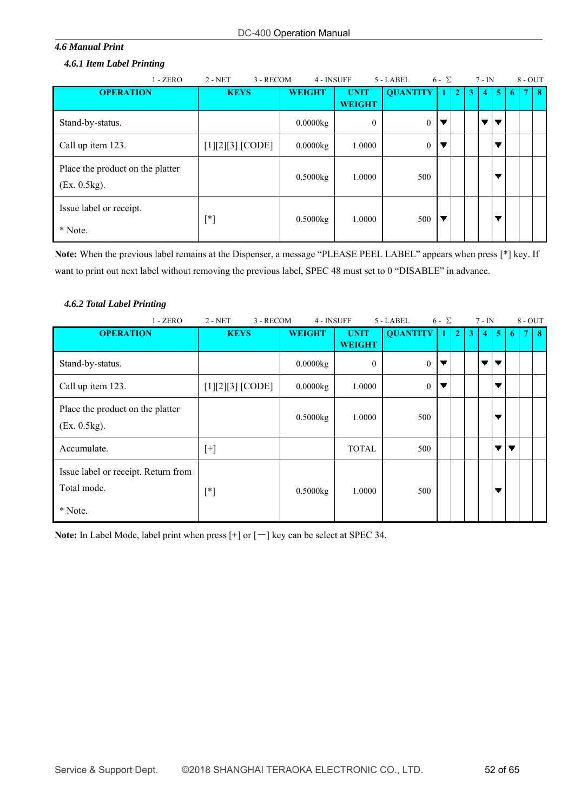#### *4.6 Manual Print*

#### *4.6.1 Item Label Printing*

| $1 - ZERO$                                       | $2 - NET$<br>3 - RECOM | 4 - INSUFF    |               | 5 - LABEL       | $6 - \Sigma$ |              |   | $7 - IN$ |    |   | $8 - OUT$ |    |
|--------------------------------------------------|------------------------|---------------|---------------|-----------------|--------------|--------------|---|----------|----|---|-----------|----|
| <b>OPERATION</b>                                 | <b>KEYS</b>            | <b>WEIGHT</b> | <b>UNIT</b>   | <b>OUANTITY</b> |              | $\mathbf{2}$ | 3 | 4        | -5 | 6 |           | -8 |
|                                                  |                        |               | <b>WEIGHT</b> |                 |              |              |   |          |    |   |           |    |
| Stand-by-status.                                 |                        | 0.0000kg      | $\theta$      | $\mathbf{0}$    | ▼            |              |   | ▼∣       | ▼  |   |           |    |
| Call up item 123.                                | $[1][2][3]$ [CODE]     | 0.0000kg      | 1.0000        | $\mathbf{0}$    | ▼            |              |   |          |    |   |           |    |
| Place the product on the platter<br>(Ex. 0.5kg). |                        | 0.5000kg      | 1.0000        | 500             |              |              |   |          |    |   |           |    |
| Issue label or receipt.<br>* Note.               | $[^*]$                 | 0.5000kg      | 1.0000        | 500             | ▼            |              |   |          |    |   |           |    |

**Note:** When the previous label remains at the Dispenser, a message "PLEASE PEEL LABEL" appears when press [\*] key. If want to print out next label without removing the previous label, SPEC 48 must set to 0 "DISABLE" in advance.

# *4.6.2 Total Label Printing*

| $1 - ZERO$                                                    | $2 - NET$<br>3 - RECOM | 4 - INSUFF    |                              | 5 - LABEL       | $6 - \Sigma$ |                |   | $7 - IN$         |                |   | $8 - OUT$ |    |
|---------------------------------------------------------------|------------------------|---------------|------------------------------|-----------------|--------------|----------------|---|------------------|----------------|---|-----------|----|
| <b>OPERATION</b>                                              | <b>KEYS</b>            | <b>WEIGHT</b> | <b>UNIT</b><br><b>WEIGHT</b> | <b>QUANTITY</b> |              | $\overline{2}$ | 3 | $\boldsymbol{A}$ | $\overline{5}$ | 6 |           | -8 |
| Stand-by-status.                                              |                        | 0.0000kg      | $\mathbf{0}$                 | $\mathbf{0}$    | ▼            |                |   | ▼∣               | ▼              |   |           |    |
| Call up item 123.                                             | $[1][2][3]$ [CODE]     | 0.0000kg      | 1.0000                       | $\mathbf{0}$    | ▼            |                |   |                  | ▼              |   |           |    |
| Place the product on the platter<br>(Ex. 0.5kg).              |                        | 0.5000kg      | 1.0000                       | 500             |              |                |   |                  | ▼              |   |           |    |
| Accumulate.                                                   | $[+]$                  |               | <b>TOTAL</b>                 | 500             |              |                |   |                  | ▼              | ▼ |           |    |
| Issue label or receipt. Return from<br>Total mode.<br>* Note. | $[^*]$                 | 0.5000kg      | 1.0000                       | 500             |              |                |   |                  |                |   |           |    |

Note: In Label Mode, label print when press  $[+]$  or  $[-]$  key can be select at SPEC 34.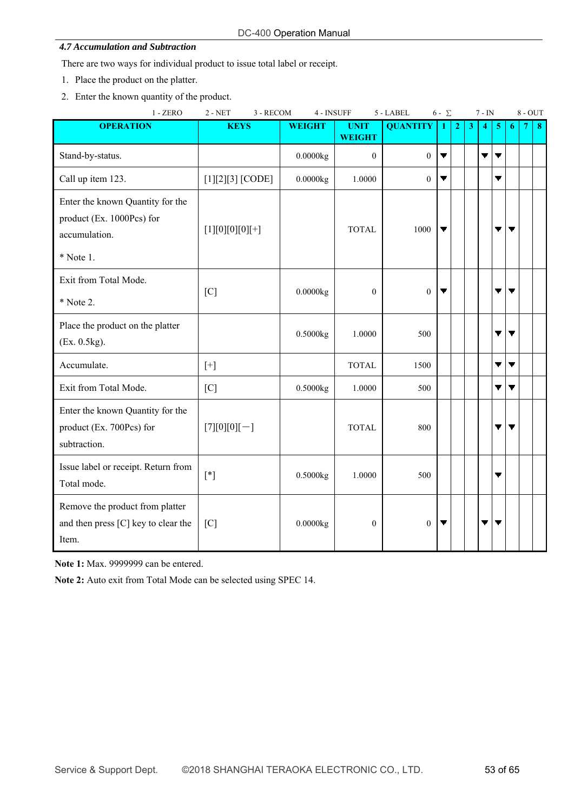#### *4.7 Accumulation and Subtraction*

There are two ways for individual product to issue total label or receipt.

- 1. Place the product on the platter.
- 2. Enter the known quantity of the product.

| $1 - ZERO$                                                                                  | $2 - NET$<br>3 - RECOM | 4 - INSUFF    |                              | 5 - LABEL       | $6 - \Sigma$ |   |   | $7 - IN$ |    |   | $8 - OUT$ |    |
|---------------------------------------------------------------------------------------------|------------------------|---------------|------------------------------|-----------------|--------------|---|---|----------|----|---|-----------|----|
| <b>OPERATION</b>                                                                            | <b>KEYS</b>            | <b>WEIGHT</b> | <b>UNIT</b><br><b>WEIGHT</b> | <b>QUANTITY</b> | 1            | 2 | 3 | 4        | -5 | 6 | -7        | -8 |
| Stand-by-status.                                                                            |                        | 0.0000kg      | $\theta$                     | $\theta$        | ▼            |   |   | ▼        | ▼  |   |           |    |
| Call up item 123.                                                                           | $[1][2][3]$ [CODE]     | 0.0000kg      | 1.0000                       | $\overline{0}$  | ▼            |   |   |          | ▼  |   |           |    |
| Enter the known Quantity for the<br>product (Ex. 1000Pcs) for<br>accumulation.<br>* Note 1. | $[1][0][0][0][+]$      |               | <b>TOTAL</b>                 | 1000            | ▼            |   |   |          | ▼  | ▼ |           |    |
| Exit from Total Mode.<br>* Note 2.                                                          | [C]                    | 0.0000kg      | $\mathbf{0}$                 | $\overline{0}$  |              |   |   |          | ▼  | ▼ |           |    |
| Place the product on the platter<br>(Ex. 0.5kg).                                            |                        | 0.5000kg      | 1.0000                       | 500             |              |   |   |          | ▼  | ▼ |           |    |
| Accumulate.                                                                                 | $[+]$                  |               | <b>TOTAL</b>                 | 1500            |              |   |   |          | ▼  | ▼ |           |    |
| Exit from Total Mode.                                                                       | [C]                    | 0.5000kg      | 1.0000                       | 500             |              |   |   |          | ▼  | ▼ |           |    |
| Enter the known Quantity for the<br>product (Ex. 700Pcs) for<br>subtraction.                | $[7][0][0][-]$         |               | <b>TOTAL</b>                 | 800             |              |   |   |          |    | ▼ |           |    |
| Issue label or receipt. Return from<br>Total mode.                                          | $[*]$                  | 0.5000kg      | 1.0000                       | 500             |              |   |   |          | ▼  |   |           |    |
| Remove the product from platter<br>and then press [C] key to clear the<br>Item.             | $\lceil C \rceil$      | 0.0000kg      | $\boldsymbol{0}$             | $\overline{0}$  |              |   |   |          |    |   |           |    |

**Note 1:** Max. 9999999 can be entered.

**Note 2:** Auto exit from Total Mode can be selected using SPEC 14.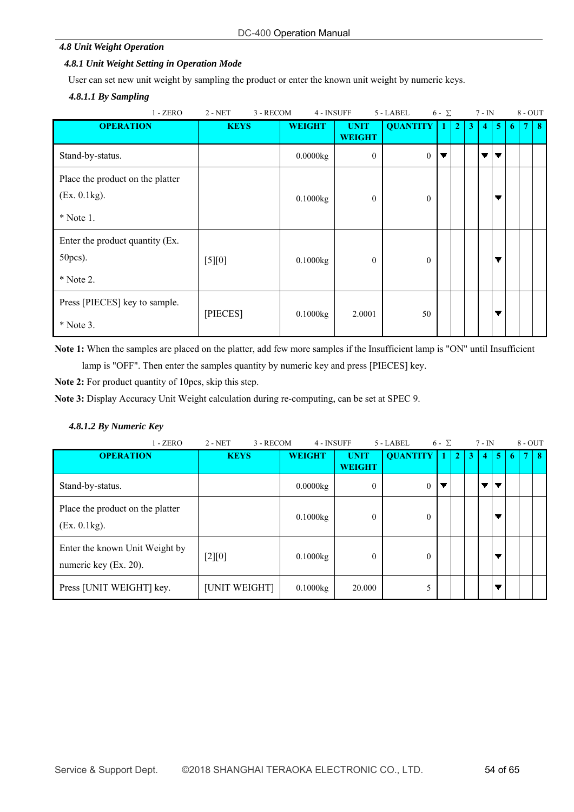#### *4.8 Unit Weight Operation*

### *4.8.1 Unit Weight Setting in Operation Mode*

User can set new unit weight by sampling the product or enter the known unit weight by numeric keys.

#### *4.8.1.1 By Sampling*

| $1 - ZERO$                                                      | $2 - NET$<br>3 - RECOM | 4 - INSUFF    |                              | 5 - LABEL       | $6 - \Sigma$ |                | $7 - IN$          |           |    | $8 - OUT$ |    |
|-----------------------------------------------------------------|------------------------|---------------|------------------------------|-----------------|--------------|----------------|-------------------|-----------|----|-----------|----|
| <b>OPERATION</b>                                                | <b>KEYS</b>            | <b>WEIGHT</b> | <b>UNIT</b><br><b>WEIGHT</b> | <b>QUANTITY</b> |              | $\overline{2}$ | $\mathbf{3}$<br>4 | $\bullet$ | -6 |           | -8 |
| Stand-by-status.                                                |                        | 0.0000kg      | $\mathbf{0}$                 | $\overline{0}$  | ▼            |                | ▼                 | ▼         |    |           |    |
| Place the product on the platter<br>(Ex. 0.1kg).<br>$*$ Note 1. |                        | 0.1000kg      | $\theta$                     | $\mathbf{0}$    |              |                |                   | ▼         |    |           |    |
| Enter the product quantity (Ex.<br>50pcs).<br>* Note 2.         | $[5][0]$               | 0.1000kg      | $\theta$                     | $\mathbf{0}$    |              |                |                   | ▼         |    |           |    |
| Press [PIECES] key to sample.<br>$*$ Note 3.                    | [PIECES]               | 0.1000kg      | 2.0001                       | 50              |              |                |                   | ▼         |    |           |    |

**Note 1:** When the samples are placed on the platter, add few more samples if the Insufficient lamp is "ON" until Insufficient

lamp is "OFF". Then enter the samples quantity by numeric key and press [PIECES] key.

**Note 2:** For product quantity of 10pcs, skip this step.

**Note 3:** Display Accuracy Unit Weight calculation during re-computing, can be set at SPEC 9.

#### *4.8.1.2 By Numeric Key*

| $1 - ZERO$                                              | $2 - NET$<br>3 - RECOM | 4 - INSUFF    |                              | 5 - LABEL       | $6 - \Sigma$ |                |   | $7 - IN$       |                |            | $8 - OUT$ |    |
|---------------------------------------------------------|------------------------|---------------|------------------------------|-----------------|--------------|----------------|---|----------------|----------------|------------|-----------|----|
| <b>OPERATION</b>                                        | <b>KEYS</b>            | <b>WEIGHT</b> | <b>UNIT</b><br><b>WEIGHT</b> | <b>QUANTITY</b> |              | $\overline{2}$ | 3 | $\overline{4}$ | 5 <sup>1</sup> | $\sqrt{6}$ | 7         | -8 |
| Stand-by-status.                                        |                        | $0.0000$ kg   | $\theta$                     | $\mathbf{0}$    |              |                |   | ▼              |                |            |           |    |
| Place the product on the platter<br>(Ex. 0.1kg).        |                        | 0.1000kg      | $\theta$                     | $\theta$        |              |                |   |                |                |            |           |    |
| Enter the known Unit Weight by<br>numeric key (Ex. 20). | [2][0]                 | 0.1000kg      | $\theta$                     | $\theta$        |              |                |   |                |                |            |           |    |
| Press [UNIT WEIGHT] key.                                | [UNIT WEIGHT]          | 0.1000kg      | 20.000                       |                 |              |                |   |                |                |            |           |    |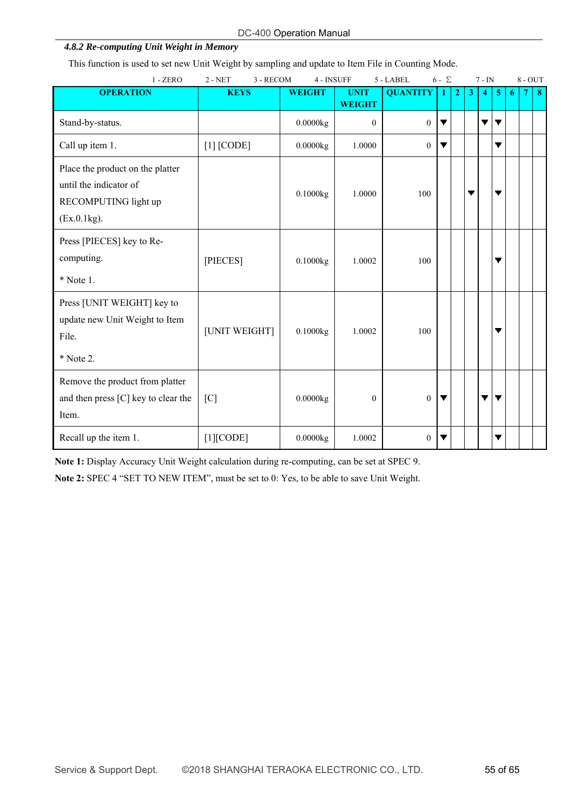| DC-400 Operation Manual |
|-------------------------|
|-------------------------|

# *4.8.2 Re-computing Unit Weight in Memory*

This function is used to set new Unit Weight by sampling and update to Item File in Counting Mode.

| $1 - ZERO$                                                                                        | $2 - NET$<br>3 - RECOM | 4 - INSUFF    |                              | 5 - LABEL       | $6 - \Sigma$ |              |              | $7 - IN$       |                          |   | $8 - OUT$ |                  |
|---------------------------------------------------------------------------------------------------|------------------------|---------------|------------------------------|-----------------|--------------|--------------|--------------|----------------|--------------------------|---|-----------|------------------|
| <b>OPERATION</b>                                                                                  | <b>KEYS</b>            | <b>WEIGHT</b> | <b>UNIT</b><br><b>WEIGHT</b> | <b>QUANTITY</b> | 1            | $\mathbf{2}$ | $\mathbf{3}$ | $\overline{4}$ | -5                       | 6 |           | $\boldsymbol{8}$ |
| Stand-by-status.                                                                                  |                        | 0.0000kg      | $\mathbf{0}$                 | $\overline{0}$  | ▼            |              |              | ▼              | $\overline{\phantom{a}}$ |   |           |                  |
| Call up item 1.                                                                                   | $[1]$ [CODE]           | 0.0000kg      | 1.0000                       | $\theta$        | ▼            |              |              |                | ▼                        |   |           |                  |
| Place the product on the platter<br>until the indicator of<br>RECOMPUTING light up<br>(EX.0.1kg). |                        | 0.1000kg      | 1.0000                       | 100             |              |              |              |                | ▼                        |   |           |                  |
| Press [PIECES] key to Re-<br>computing.<br>$*$ Note 1.                                            | [PIECES]               | 0.1000kg      | 1.0002                       | 100             |              |              |              |                | ▼                        |   |           |                  |
| Press [UNIT WEIGHT] key to<br>update new Unit Weight to Item<br>File.<br>* Note 2.                | [UNIT WEIGHT]          | 0.1000kg      | 1.0002                       | 100             |              |              |              |                | ▼                        |   |           |                  |
| Remove the product from platter<br>and then press [C] key to clear the<br>Item.                   | [C]                    | 0.0000kg      | $\theta$                     | $\overline{0}$  | ▼            |              |              | ▼              | ▼                        |   |           |                  |
| Recall up the item 1.                                                                             | $[1]$ [CODE]           | 0.0000kg      | 1.0002                       | $\theta$        | ▼            |              |              |                | ▼                        |   |           |                  |

**Note 1:** Display Accuracy Unit Weight calculation during re-computing, can be set at SPEC 9.

**Note 2:** SPEC 4 "SET TO NEW ITEM", must be set to 0: Yes, to be able to save Unit Weight.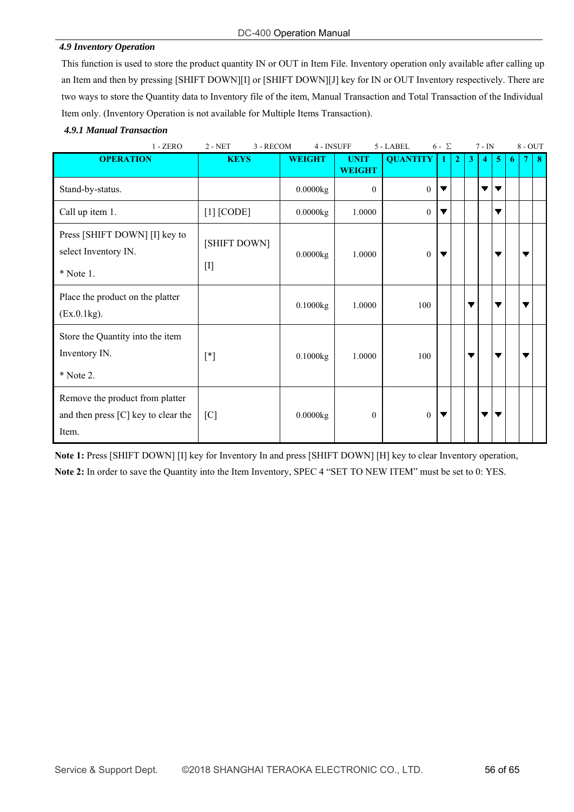#### *4.9 Inventory Operation*

This function is used to store the product quantity IN or OUT in Item File. Inventory operation only available after calling up an Item and then by pressing [SHIFT DOWN][I] or [SHIFT DOWN][J] key for IN or OUT Inventory respectively. There are two ways to store the Quantity data to Inventory file of the item, Manual Transaction and Total Transaction of the Individual Item only. (Inventory Operation is not available for Multiple Items Transaction).

#### *4.9.1 Manual Transaction*

| $1 - ZERO$<br>3 - RECOM<br>4 - INSUFF<br>$2 - NET$                              |                             |               |                              | 5 - LABEL       | $6 - \Sigma$ |                |              | $7 - IN$       |            |    | $8 - OUT$ |          |
|---------------------------------------------------------------------------------|-----------------------------|---------------|------------------------------|-----------------|--------------|----------------|--------------|----------------|------------|----|-----------|----------|
| <b>OPERATION</b>                                                                | <b>KEYS</b>                 | <b>WEIGHT</b> | <b>UNIT</b><br><b>WEIGHT</b> | <b>QUANTITY</b> | $\mathbf{1}$ | $\overline{2}$ | $\mathbf{3}$ | $\overline{4}$ | $\sqrt{5}$ | -6 | 7         | $\bf{8}$ |
| Stand-by-status.                                                                |                             | 0.0000kg      | $\mathbf{0}$                 | $\overline{0}$  |              |                |              | ▼              | ▼          |    |           |          |
| Call up item 1.                                                                 | $[1]$ [CODE]                | 0.0000kg      | 1.0000                       | $\mathbf{0}$    |              |                |              |                | ▼          |    |           |          |
| Press [SHIFT DOWN] [I] key to<br>select Inventory IN.<br>* Note 1.              | [SHIFT DOWN]<br>$[{\rm I}]$ | 0.0000kg      | 1.0000                       | $\overline{0}$  | ▼            |                |              |                | ▼          |    | ▼         |          |
| Place the product on the platter<br>(Ex.0.1kg).                                 |                             | 0.1000kg      | 1.0000                       | 100             |              |                |              |                | ▼          |    |           |          |
| Store the Quantity into the item<br>Inventory IN.<br>* Note 2.                  | $[^*]$                      | 0.1000kg      | 1.0000                       | 100             |              |                |              |                | ▼          |    |           |          |
| Remove the product from platter<br>and then press [C] key to clear the<br>Item. | [C]                         | 0.0000kg      | $\theta$                     | $\overline{0}$  | ▼            |                |              | ▼              | ▼          |    |           |          |

**Note 1:** Press [SHIFT DOWN] [I] key for Inventory In and press [SHIFT DOWN] [H] key to clear Inventory operation, **Note 2:** In order to save the Quantity into the Item Inventory, SPEC 4 "SET TO NEW ITEM" must be set to 0: YES.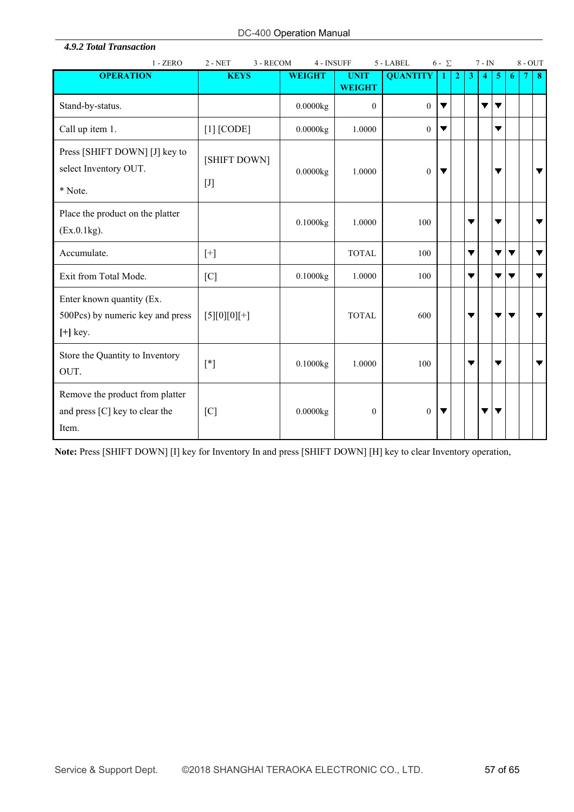*4.9.2 Total Transaction* 

| $1 - ZERO$                                                                  | $2 - NET$                                                                                                                                                                                                                                                                                                                                                                                                                                                                                                                                                                                                                                                                                                                                                                                                                                                                                                                                           | 4 - INSUFF<br>5 - LABEL<br>$6 - \Sigma$<br>3 - RECOM |                              |                 |   | $7 - IN$     |              |   | $8 - OUT$ |    |   |                          |
|-----------------------------------------------------------------------------|-----------------------------------------------------------------------------------------------------------------------------------------------------------------------------------------------------------------------------------------------------------------------------------------------------------------------------------------------------------------------------------------------------------------------------------------------------------------------------------------------------------------------------------------------------------------------------------------------------------------------------------------------------------------------------------------------------------------------------------------------------------------------------------------------------------------------------------------------------------------------------------------------------------------------------------------------------|------------------------------------------------------|------------------------------|-----------------|---|--------------|--------------|---|-----------|----|---|--------------------------|
| <b>OPERATION</b>                                                            | <b>KEYS</b>                                                                                                                                                                                                                                                                                                                                                                                                                                                                                                                                                                                                                                                                                                                                                                                                                                                                                                                                         | <b>WEIGHT</b>                                        | <b>UNIT</b><br><b>WEIGHT</b> | <b>QUANTITY</b> | 1 | $\mathbf{2}$ | $\mathbf{3}$ | 4 | -5        | -6 | 7 | 8                        |
| Stand-by-status.                                                            |                                                                                                                                                                                                                                                                                                                                                                                                                                                                                                                                                                                                                                                                                                                                                                                                                                                                                                                                                     | 0.0000kg                                             | $\theta$                     | $\Omega$        | ▼ |              |              | ▼ | ▼         |    |   |                          |
| Call up item 1.                                                             | $[1]$ [CODE]                                                                                                                                                                                                                                                                                                                                                                                                                                                                                                                                                                                                                                                                                                                                                                                                                                                                                                                                        | 0.0000kg                                             | 1.0000                       | $\theta$        | ▼ |              |              |   | ▼         |    |   |                          |
| Press [SHIFT DOWN] [J] key to<br>select Inventory OUT.<br>* Note.           | [SHIFT DOWN]<br>$[J] % \begin{center} % \includegraphics[width=\linewidth]{imagesSupplemental_3.png} % \end{center} % \caption { % Our method is used for the method. % Our method is used for the method. % Note that the method is used for the method. % Note that the method is used for the method. % Note that the method is used for the method. % Note that the method is used for the method. % Note that the method is used for the method. % Note that the method is used for the method. % Note that the method is used for the method. % Note that the method is used for the method. % Note that the method is used for the method. % Note that the method is used for the method. % Note that the method is used for the method. % Note that the method is used for the method. % Note that the method is used for the method. % Note that the method is used for the method. % Note that the method is used for the method. % Note$ | 0.0000kg                                             | 1.0000                       | $\theta$        | ▼ |              |              |   |           |    |   | ▼                        |
| Place the product on the platter<br>(EX.0.1kg).                             |                                                                                                                                                                                                                                                                                                                                                                                                                                                                                                                                                                                                                                                                                                                                                                                                                                                                                                                                                     | 0.1000kg                                             | 1.0000                       | 100             |   |              | ▼            |   | ▼         |    |   | ▼                        |
| Accumulate.                                                                 | $[+]$                                                                                                                                                                                                                                                                                                                                                                                                                                                                                                                                                                                                                                                                                                                                                                                                                                                                                                                                               |                                                      | <b>TOTAL</b>                 | 100             |   |              | ▼            |   | ▼         |    |   | $\overline{\phantom{a}}$ |
| Exit from Total Mode.                                                       | [C]                                                                                                                                                                                                                                                                                                                                                                                                                                                                                                                                                                                                                                                                                                                                                                                                                                                                                                                                                 | 0.1000kg                                             | 1.0000                       | 100             |   |              | ▼            |   | ▼         |    |   | ▼                        |
| Enter known quantity (Ex.<br>500Pcs) by numeric key and press<br>$[+]$ key. | $[5][0][0][+]$                                                                                                                                                                                                                                                                                                                                                                                                                                                                                                                                                                                                                                                                                                                                                                                                                                                                                                                                      |                                                      | <b>TOTAL</b>                 | 600             |   |              | ▼            |   | ▼         | ▼  |   | $\overline{\mathbf{v}}$  |
| Store the Quantity to Inventory<br>OUT.                                     | $[^*]$                                                                                                                                                                                                                                                                                                                                                                                                                                                                                                                                                                                                                                                                                                                                                                                                                                                                                                                                              | 0.1000kg                                             | 1.0000                       | 100             |   |              | ▼            |   | ▼         |    |   | ▼                        |
| Remove the product from platter<br>and press [C] key to clear the<br>Item.  | [C]                                                                                                                                                                                                                                                                                                                                                                                                                                                                                                                                                                                                                                                                                                                                                                                                                                                                                                                                                 | 0.0000kg                                             | $\mathbf{0}$                 | $\mathbf{0}$    | ▼ |              |              | ▼ |           |    |   |                          |

**Note:** Press [SHIFT DOWN] [I] key for Inventory In and press [SHIFT DOWN] [H] key to clear Inventory operation,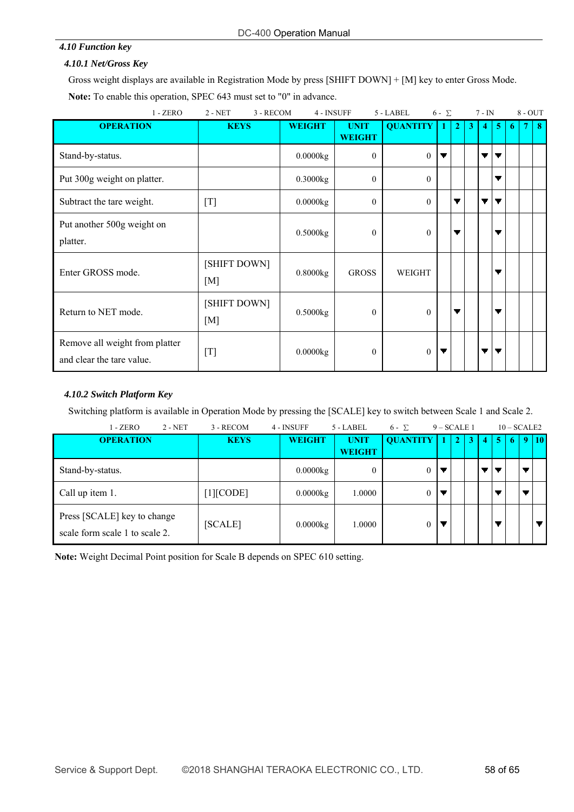# *4.10 Function key*

# *4.10.1 Net/Gross Key*

Gross weight displays are available in Registration Mode by press [SHIFT DOWN] + [M] key to enter Gross Mode. **Note:** To enable this operation, SPEC 643 must set to "0" in advance.

| $1 - ZERO$                                                  | $2 - NET$           | 3 - RECOM<br>4 - INSUFF |                              | 5 - LABEL<br>$6 - \Sigma$ |   |                |   | $7 - IN$       |                |    | $8 - OUT$ |   |
|-------------------------------------------------------------|---------------------|-------------------------|------------------------------|---------------------------|---|----------------|---|----------------|----------------|----|-----------|---|
| <b>OPERATION</b>                                            | <b>KEYS</b>         | <b>WEIGHT</b>           | <b>UNIT</b><br><b>WEIGHT</b> | <b>QUANTITY</b>           | 1 | $\overline{2}$ | 3 | $\overline{4}$ | $\overline{5}$ | -6 |           | 8 |
| Stand-by-status.                                            |                     | 0.0000kg                | $\theta$                     | $\overline{0}$            | ▼ |                |   | ▼              | ▼              |    |           |   |
| Put 300g weight on platter.                                 |                     | 0.3000kg                | $\mathbf{0}$                 | $\theta$                  |   |                |   |                | ▼              |    |           |   |
| Subtract the tare weight.                                   | [T]                 | 0.0000kg                | $\theta$                     | $\Omega$                  |   | ▼              |   | ▼              | ▼              |    |           |   |
| Put another 500g weight on<br>platter.                      |                     | 0.5000kg                | $\theta$                     | $\theta$                  |   | ▼              |   |                | ▼              |    |           |   |
| Enter GROSS mode.                                           | [SHIFT DOWN]<br>[M] | 0.8000kg                | <b>GROSS</b>                 | WEIGHT                    |   |                |   |                | ▼              |    |           |   |
| Return to NET mode.                                         | [SHIFT DOWN]<br>[M] | 0.5000kg                | $\mathbf{0}$                 | $\theta$                  |   | ▼              |   |                | ▼              |    |           |   |
| Remove all weight from platter<br>and clear the tare value. | $[T]$               | $0.0000$ kg             | $\theta$                     | $\overline{0}$            |   |                |   | ▼              | ▼              |    |           |   |

# *4.10.2 Switch Platform Key*

Switching platform is available in Operation Mode by pressing the [SCALE] key to switch between Scale 1 and Scale 2.

| $2 - NET$<br>$1 - ZERO$                                       | 3 - RECOM          | 4 - INSUFF<br>$5 - LABEL$ |                              | $6 - \Sigma$    | $9 - SCALE1$ |              |   |   |    | $10 - SCALE2$ |                 |
|---------------------------------------------------------------|--------------------|---------------------------|------------------------------|-----------------|--------------|--------------|---|---|----|---------------|-----------------|
| <b>OPERATION</b>                                              | <b>KEYS</b>        | <b>WEIGHT</b>             | <b>UNIT</b><br><b>WEIGHT</b> | <b>QUANTITY</b> |              | $\mathbf{2}$ | 3 | 4 | -5 | -6            | 10 <sup>1</sup> |
| Stand-by-status.                                              |                    | 0.0000kg                  | 0                            | 0               |              |              |   |   |    |               |                 |
| Call up item 1.                                               | $[1][\text{CODE}]$ | 0.0000kg                  | 1.0000                       |                 |              |              |   |   |    |               |                 |
| Press [SCALE] key to change<br>scale form scale 1 to scale 2. | [SCALE]            | 0.0000kg                  | 1.0000                       |                 |              |              |   |   |    |               |                 |

**Note:** Weight Decimal Point position for Scale B depends on SPEC 610 setting.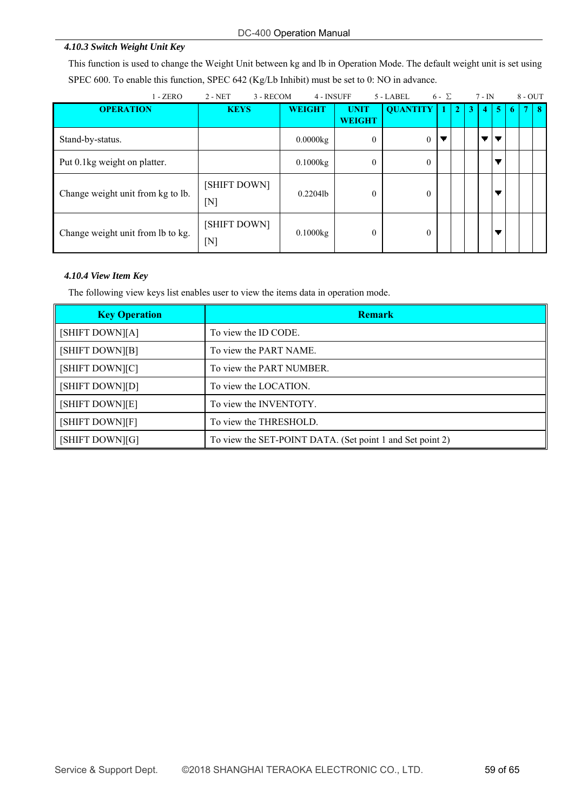#### DC-400 Operation Manual

#### *4.10.3 Switch Weight Unit Key*

This function is used to change the Weight Unit between kg and lb in Operation Mode. The default weight unit is set using SPEC 600. To enable this function, SPEC 642 (Kg/Lb Inhibit) must be set to 0: NO in advance.

| $1 - ZERO$                        | $2 - NET$<br>3 - RECOM      | 4 - INSUFF           |                              | 5 - LABEL       | $6 - \Sigma$ |                |   | $7 - IN$          |                | $8 - OUT$ |    |
|-----------------------------------|-----------------------------|----------------------|------------------------------|-----------------|--------------|----------------|---|-------------------|----------------|-----------|----|
| <b>OPERATION</b>                  | <b>KEYS</b>                 | <b>WEIGHT</b>        | <b>UNIT</b><br><b>WEIGHT</b> | <b>QUANTITY</b> | -1           | 2 <sup>1</sup> | 3 | $\left( 4\right)$ | 5 <sup>5</sup> |           | -8 |
| Stand-by-status.                  |                             | $0.0000$ kg          | $\theta$                     | $\Omega$        |              |                |   |                   |                |           |    |
| Put 0.1kg weight on platter.      |                             | 0.1000kg             | $\mathbf{0}$                 | $\theta$        |              |                |   |                   |                |           |    |
| Change weight unit from kg to lb. | [SHIFT DOWN]<br>$[{\rm N}]$ | 0.22041 <sub>b</sub> | $\theta$                     | $\theta$        |              |                |   |                   |                |           |    |
| Change weight unit from lb to kg. | [SHIFT DOWN]<br>$[{\rm N}]$ | 0.1000kg             | $\mathbf{0}$                 | $\theta$        |              |                |   |                   |                |           |    |

#### *4.10.4 View Item Key*

The following view keys list enables user to view the items data in operation mode.

| <b>Key Operation</b> | <b>Remark</b>                                             |
|----------------------|-----------------------------------------------------------|
| [SHIFT DOWN][A]      | To view the ID CODE.                                      |
| [SHIFT DOWN][B]      | To view the PART NAME.                                    |
| [SHIFT DOWN][C]      | To view the PART NUMBER.                                  |
| [SHIFT DOWN][D]      | To view the LOCATION.                                     |
| [SHIFT DOWN][E]      | To view the INVENTOTY.                                    |
| [SHIFT DOWN][F]      | To view the THRESHOLD.                                    |
| [SHIFT DOWN][G]      | To view the SET-POINT DATA. (Set point 1 and Set point 2) |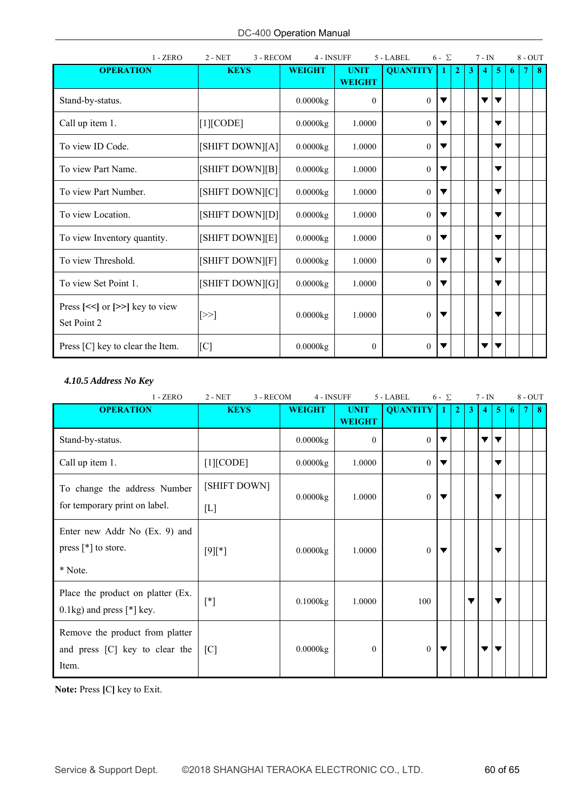| $1 - ZERO$                                                              | $2 - NET$<br>3 - RECOM | 4 - INSUFF    |                              | 5 - LABEL       | $6 - \sum$   |                |              | $7 - IN$ |   |   | $8 - OUT$ |    |
|-------------------------------------------------------------------------|------------------------|---------------|------------------------------|-----------------|--------------|----------------|--------------|----------|---|---|-----------|----|
| <b>OPERATION</b>                                                        | <b>KEYS</b>            | <b>WEIGHT</b> | <b>UNIT</b><br><b>WEIGHT</b> | <b>QUANTITY</b> | $\mathbf{1}$ | $\overline{2}$ | $\mathbf{3}$ |          | 5 | 6 |           | 48 |
| Stand-by-status.                                                        |                        | 0.0000kg      | $\theta$                     | $\Omega$        | ▼            |                |              | ▼        |   |   |           |    |
| Call up item 1.                                                         | [1][CODE]              | $0.0000$ kg   | 1.0000                       | $\theta$        | ▼            |                |              |          | ▼ |   |           |    |
| To view ID Code.                                                        | [SHIFT DOWN][A]        | 0.0000kg      | 1.0000                       | $\theta$        |              |                |              |          | ▼ |   |           |    |
| To view Part Name.                                                      | [SHIFT DOWN][B]        | 0.0000kg      | 1.0000                       | $\theta$        | ▼            |                |              |          | ▼ |   |           |    |
| To view Part Number.                                                    | [SHIFT DOWN][C]        | 0.0000kg      | 1.0000                       | $\theta$        | ▼            |                |              |          | ▼ |   |           |    |
| To view Location.                                                       | [SHIFT DOWN][D]        | $0.0000$ kg   | 1.0000                       | $\theta$        | ▼            |                |              |          | ▼ |   |           |    |
| To view Inventory quantity.                                             | [SHIFT DOWN][E]        | 0.0000kg      | 1.0000                       | $\theta$        | ▼            |                |              |          | ▼ |   |           |    |
| To view Threshold.                                                      | [SHIFT DOWN][F]        | 0.0000kg      | 1.0000                       | $\theta$        |              |                |              |          |   |   |           |    |
| To view Set Point 1.                                                    | [SHIFT DOWN][G]        | 0.0000kg      | 1.0000                       | $\theta$        | ▼            |                |              |          |   |   |           |    |
| Press $\left[<<\right]$ or $\left[>>\right]$ key to view<br>Set Point 2 | $[\ge$ $>$             | $0.0000$ kg   | 1.0000                       | $\theta$        |              |                |              |          |   |   |           |    |
| Press [C] key to clear the Item.                                        | [C]                    | 0.0000kg      | $\theta$                     | $\overline{0}$  | ▼            |                |              | ▼        |   |   |           |    |

#### *4.10.5 Address No Key*

| $1 - ZERO$                                                                       | $2 - NET$<br>3 - RECOM      | 4 - INSUFF    |                              | 5 - LABEL<br>$6 - \sum$ |   |                |   | $7 - IN$ |   |    | $8 - OUT$ |    |
|----------------------------------------------------------------------------------|-----------------------------|---------------|------------------------------|-------------------------|---|----------------|---|----------|---|----|-----------|----|
| <b>OPERATION</b>                                                                 | <b>KEYS</b>                 | <b>WEIGHT</b> | <b>UNIT</b><br><b>WEIGHT</b> | <b>QUANTITY</b>         |   | $\overline{2}$ | 3 | 4        | 5 | -6 |           | -8 |
| Stand-by-status.                                                                 |                             | 0.0000kg      | $\theta$                     | $\theta$                | ▼ |                |   | ▼        | ▼ |    |           |    |
| Call up item 1.                                                                  | $[1]$ [CODE]                | 0.0000kg      | 1.0000                       | $\theta$                | ▼ |                |   |          | ▼ |    |           |    |
| To change the address Number<br>for temporary print on label.                    | [SHIFT DOWN]<br>$[{\rm L}]$ | 0.0000kg      | 1.0000                       | $\overline{0}$          |   |                |   |          | ▼ |    |           |    |
| Enter new Addr No (Ex. 9) and<br>press $[$ <sup>*</sup> $]$ to store.<br>* Note. | $[9]$ [*]                   | 0.0000kg      | 1.0000                       | $\overline{0}$          |   |                |   |          | ▼ |    |           |    |
| Place the product on platter (Ex.<br>$0.1$ kg) and press [ $*$ ] key.            | $[^*]$                      | 0.1000kg      | 1.0000                       | 100                     |   |                |   |          |   |    |           |    |
| Remove the product from platter<br>and press [C] key to clear the<br>Item.       | [C]                         | 0.0000kg      | $\mathbf{0}$                 | $\theta$                |   |                |   |          |   |    |           |    |

**Note:** Press **[**C**]** key to Exit.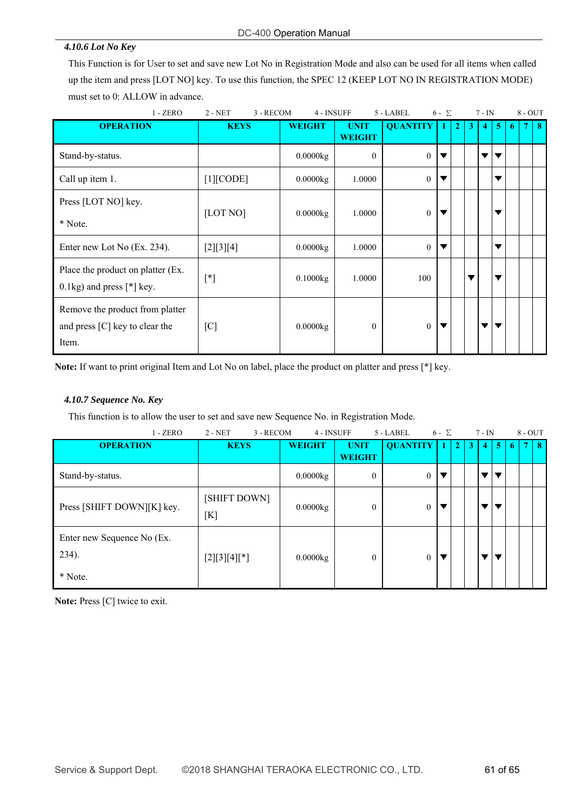#### *4.10.6 Lot No Key*

This Function is for User to set and save new Lot No in Registration Mode and also can be used for all items when called up the item and press [LOT NO] key. To use this function, the SPEC 12 (KEEP LOT NO IN REGISTRATION MODE) must set to 0: ALLOW in advance.

| $1 - ZERO$                                                                   | $2 - NET$<br>3 - RECOM |               | 4 - INSUFF<br>5 - LABEL      |                 | $6 - \sum$ |                |   | $7 - IN$ |                          |   | $8 - OUT$ |   |
|------------------------------------------------------------------------------|------------------------|---------------|------------------------------|-----------------|------------|----------------|---|----------|--------------------------|---|-----------|---|
| <b>OPERATION</b>                                                             | <b>KEYS</b>            | <b>WEIGHT</b> | <b>UNIT</b><br><b>WEIGHT</b> | <b>QUANTITY</b> | -1         | $\overline{2}$ | 3 | 4        | -5                       | 6 |           | 8 |
| Stand-by-status.                                                             |                        | 0.0000kg      | $\theta$                     | $\theta$        | ▼          |                |   |          | ▼                        |   |           |   |
| Call up item 1.                                                              | [1][CODE]              | 0.0000kg      | 1.0000                       | $\theta$        |            |                |   |          | ▼                        |   |           |   |
| Press [LOT NO] key.<br>* Note.                                               | [LOT NO]               | 0.0000kg      | 1.0000                       | $\mathbf{0}$    | ▼          |                |   |          | ▼                        |   |           |   |
| Enter new Lot No (Ex. 234).                                                  | [2][3][4]              | 0.0000kg      | 1.0000                       | $\theta$        | ▼          |                |   |          | ▼                        |   |           |   |
| Place the product on platter (Ex.<br>$0.1\text{kg}$ ) and press [*] key.     | $[^*]$                 | 0.1000kg      | 1.0000                       | 100             |            |                | ▼ |          | $\overline{\phantom{a}}$ |   |           |   |
| Remove the product from platter<br>and press $[C]$ key to clear the<br>Item. | [C]                    | 0.0000kg      | $\theta$                     | $\theta$        | ▼          |                |   | ▼        | ▼                        |   |           |   |

**Note:** If want to print original Item and Lot No on label, place the product on platter and press [\*] key.

#### *4.10.7 Sequence No. Key*

This function is to allow the user to set and save new Sequence No. in Registration Mode.

| $1 - ZERO$                                     | $2 - NET$<br>3 - RECOM |               | 4 - INSUFF<br>5 - LABEL |                 | $6 - \Sigma$ |              | $7 - IN$ |   |                | $8 - OUT$ |        |          |
|------------------------------------------------|------------------------|---------------|-------------------------|-----------------|--------------|--------------|----------|---|----------------|-----------|--------|----------|
| <b>OPERATION</b>                               | <b>KEYS</b>            | <b>WEIGHT</b> | <b>UNIT</b>             | <b>QUANTITY</b> |              | $\mathbf{C}$ | 3        | 4 | 5 <sup>1</sup> | -6        | $\tau$ | $\bf{8}$ |
|                                                |                        |               | <b>WEIGHT</b>           |                 |              |              |          |   |                |           |        |          |
| Stand-by-status.                               |                        | 0.0000kg      | $\theta$                | $\overline{0}$  |              |              |          |   |                |           |        |          |
| Press [SHIFT DOWN][K] key.                     | [SHIFT DOWN]<br>[K]    | 0.0000kg      | $\theta$                | $\theta$        |              |              |          |   |                |           |        |          |
| Enter new Sequence No (Ex.<br>234).<br>* Note. | $[2][3][4][*]$         | 0.0000kg      | $\theta$                | $\theta$        |              |              |          |   |                |           |        |          |

**Note:** Press [C] twice to exit.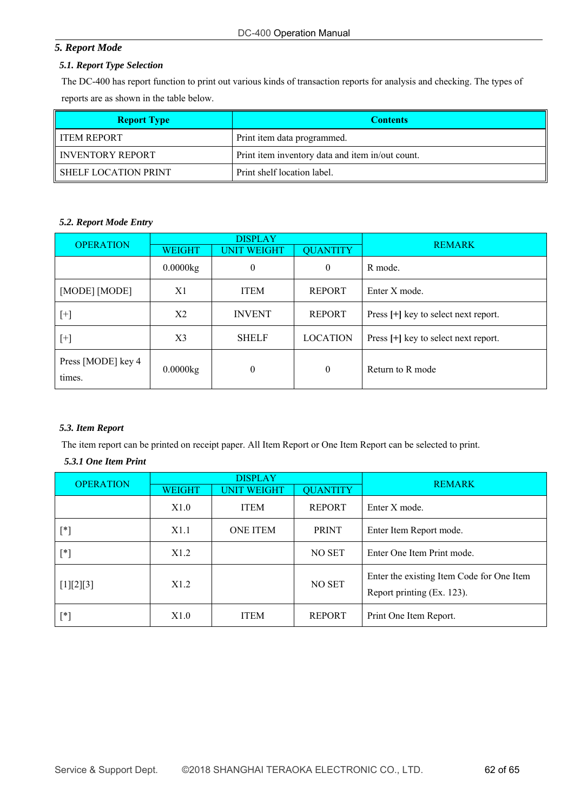# *5. Report Mode*

#### *5.1. Report Type Selection*

The DC-400 has report function to print out various kinds of transaction reports for analysis and checking. The types of reports are as shown in the table below.

| <b>Report Type</b>     | <b>Contents</b>                                  |
|------------------------|--------------------------------------------------|
| II ITEM REPORT         | Print item data programmed.                      |
| I INVENTORY REPORT     | Print item inventory data and item in/out count. |
| I SHELF LOCATION PRINT | Print shelf location label.                      |

#### *5.2. Report Mode Entry*

| <b>OPERATION</b>             |                | <b>DISPLAY</b>     |                 | <b>REMARK</b>                        |
|------------------------------|----------------|--------------------|-----------------|--------------------------------------|
|                              | <b>WEIGHT</b>  | <b>UNIT WEIGHT</b> | <b>QUANTITY</b> |                                      |
|                              | 0.0000kg       | $\boldsymbol{0}$   | $\mathbf{0}$    | R mode.                              |
| [MODE] [MODE]                | X1             | <b>ITEM</b>        | <b>REPORT</b>   | Enter X mode.                        |
| $[+]$                        | X <sub>2</sub> | <b>INVENT</b>      | <b>REPORT</b>   | Press [+] key to select next report. |
| $[+]$                        | X <sub>3</sub> | <b>SHELF</b>       | <b>LOCATION</b> | Press [+] key to select next report. |
| Press [MODE] key 4<br>times. | 0.0000kg       | $\theta$           | $\mathbf{0}$    | Return to R mode                     |

#### *5.3. Item Report*

The item report can be printed on receipt paper. All Item Report or One Item Report can be selected to print.

# *5.3.1 One Item Print*

| <b>OPERATION</b> | <b>DISPLAY</b>   |                    |                 |                                                                         |
|------------------|------------------|--------------------|-----------------|-------------------------------------------------------------------------|
|                  | <b>WEIGHT</b>    | <b>UNIT WEIGHT</b> | <b>QUANTITY</b> | <b>REMARK</b>                                                           |
|                  | X1.0             | <b>ITEM</b>        | <b>REPORT</b>   | Enter X mode.                                                           |
| [*]              | X1.1             | <b>ONE ITEM</b>    | <b>PRINT</b>    | Enter Item Report mode.                                                 |
| $[^*]$           | X1.2             |                    | NO SET          | Enter One Item Print mode.                                              |
| [1][2][3]        | X <sub>1.2</sub> |                    | NO SET          | Enter the existing Item Code for One Item<br>Report printing (Ex. 123). |
| [*]              | X1.0             | <b>ITEM</b>        | <b>REPORT</b>   | Print One Item Report.                                                  |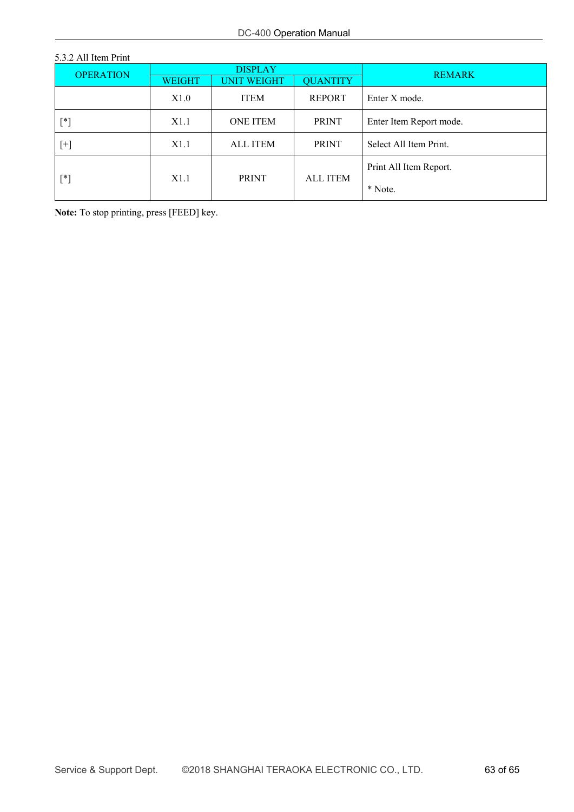| 5.3.2 All Item Print |                |                    |                 |                         |  |
|----------------------|----------------|--------------------|-----------------|-------------------------|--|
| <b>OPERATION</b>     | <b>DISPLAY</b> |                    |                 |                         |  |
|                      | <b>WEIGHT</b>  | <b>UNIT WEIGHT</b> | <b>QUANTITY</b> | <b>REMARK</b>           |  |
|                      | X1.0           | <b>ITEM</b>        | <b>REPORT</b>   | Enter X mode.           |  |
| $[^*]$               | X1.1           | <b>ONE ITEM</b>    | <b>PRINT</b>    | Enter Item Report mode. |  |
| $[+]$                | X1.1           | <b>ALL ITEM</b>    | <b>PRINT</b>    | Select All Item Print.  |  |
| $[^*]$               | X1.1           |                    | <b>ALL ITEM</b> | Print All Item Report.  |  |
|                      |                | <b>PRINT</b>       |                 | * Note.                 |  |

**Note:** To stop printing, press [FEED] key.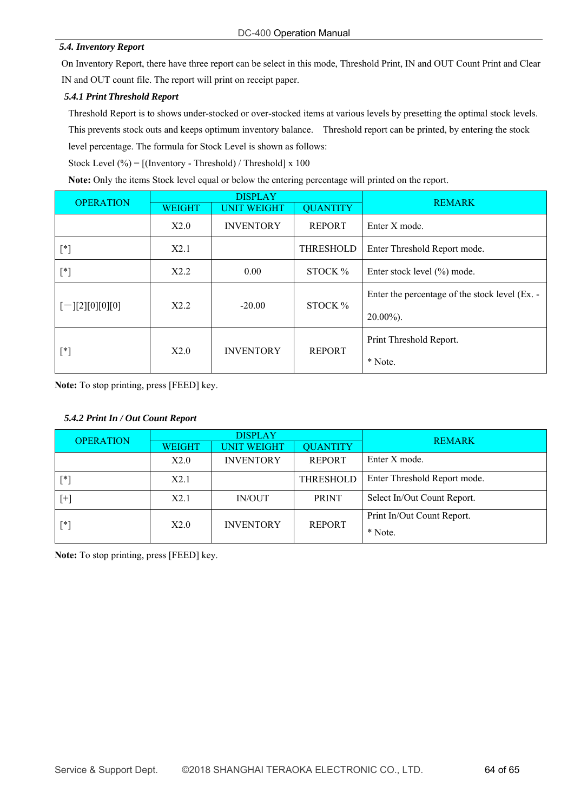#### *5.4. Inventory Report*

On Inventory Report, there have three report can be select in this mode, Threshold Print, IN and OUT Count Print and Clear IN and OUT count file. The report will print on receipt paper.

#### *5.4.1 Print Threshold Report*

Threshold Report is to shows under-stocked or over-stocked items at various levels by presetting the optimal stock levels. This prevents stock outs and keeps optimum inventory balance. Threshold report can be printed, by entering the stock level percentage. The formula for Stock Level is shown as follows:

Stock Level  $(\% ) = [$ (Inventory - Threshold) / Threshold] x 100

**Note:** Only the items Stock level equal or below the entering percentage will printed on the report.

| <b>OPERATION</b>      | <b>DISPLAY</b> |                    |                 |                                                |
|-----------------------|----------------|--------------------|-----------------|------------------------------------------------|
|                       | <b>WEIGHT</b>  | <b>UNIT WEIGHT</b> | <b>QUANTITY</b> | <b>REMARK</b>                                  |
|                       | X2.0           | <b>INVENTORY</b>   | <b>REPORT</b>   | Enter X mode.                                  |
| $[^*]$                | X2.1           |                    | THRESHOLD       | Enter Threshold Report mode.                   |
| $[^*]$                | X2.2           | 0.00               | STOCK %         | Enter stock level (%) mode.                    |
| $[-] [2] [0] [0] [0]$ | X2.2           | $-20.00$           | STOCK %         | Enter the percentage of the stock level (Ex. - |
|                       |                |                    |                 | $20.00\%$ ).                                   |
| [*]                   | X2.0           |                    | <b>REPORT</b>   | Print Threshold Report.                        |
|                       |                | <b>INVENTORY</b>   |                 | * Note.                                        |

**Note:** To stop printing, press [FEED] key.

#### *5.4.2 Print In / Out Count Report*

| <b>OPERATION</b> | <b>DISPLAY</b> |                    |                 |                                       |
|------------------|----------------|--------------------|-----------------|---------------------------------------|
|                  | <b>WEIGHT</b>  | <b>UNIT WEIGHT</b> | <b>QUANTITY</b> | <b>REMARK</b>                         |
|                  | X2.0           | <b>INVENTORY</b>   | <b>REPORT</b>   | Enter X mode.                         |
| [*]              | X2.1           |                    | THRESHOLD       | Enter Threshold Report mode.          |
| [+]              | X2.1           | IN/OUT             | <b>PRINT</b>    | Select In/Out Count Report.           |
| [*]              | X2.0           | <b>INVENTORY</b>   | <b>REPORT</b>   | Print In/Out Count Report.<br>* Note. |

**Note:** To stop printing, press [FEED] key.